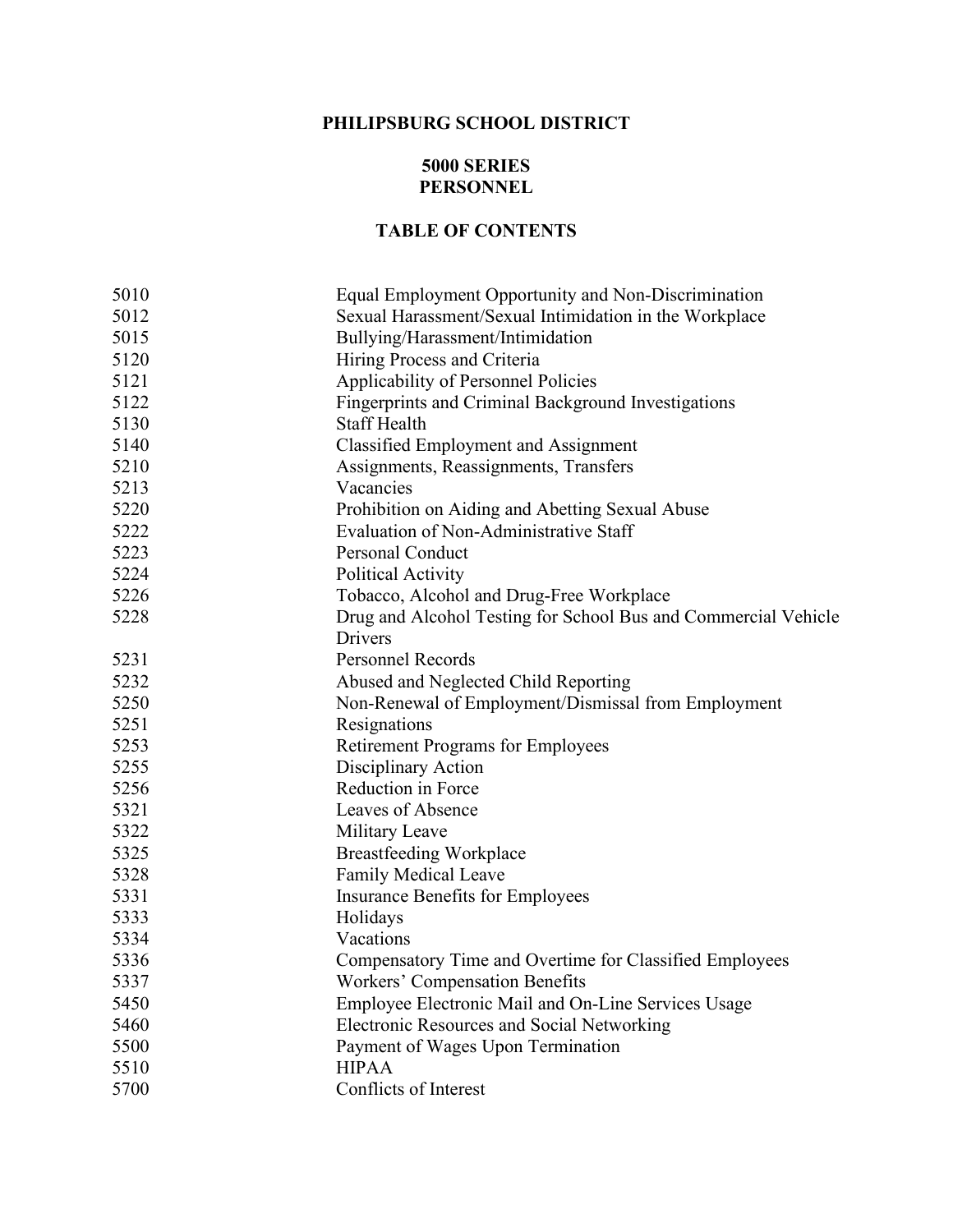## **PHILIPSBURG SCHOOL DISTRICT**

#### **5000 SERIES PERSONNEL**

## **TABLE OF CONTENTS**

| Equal Employment Opportunity and Non-Discrimination            |
|----------------------------------------------------------------|
| Sexual Harassment/Sexual Intimidation in the Workplace         |
| Bullying/Harassment/Intimidation                               |
| Hiring Process and Criteria                                    |
| Applicability of Personnel Policies                            |
| Fingerprints and Criminal Background Investigations            |
| <b>Staff Health</b>                                            |
| Classified Employment and Assignment                           |
| Assignments, Reassignments, Transfers                          |
| Vacancies                                                      |
| Prohibition on Aiding and Abetting Sexual Abuse                |
| Evaluation of Non-Administrative Staff                         |
| <b>Personal Conduct</b>                                        |
| <b>Political Activity</b>                                      |
| Tobacco, Alcohol and Drug-Free Workplace                       |
| Drug and Alcohol Testing for School Bus and Commercial Vehicle |
| Drivers                                                        |
| <b>Personnel Records</b>                                       |
| Abused and Neglected Child Reporting                           |
| Non-Renewal of Employment/Dismissal from Employment            |
| Resignations                                                   |
| <b>Retirement Programs for Employees</b>                       |
| Disciplinary Action                                            |
| Reduction in Force                                             |
| Leaves of Absence                                              |
| Military Leave                                                 |
| <b>Breastfeeding Workplace</b>                                 |
| <b>Family Medical Leave</b>                                    |
| <b>Insurance Benefits for Employees</b>                        |
| Holidays                                                       |
| Vacations                                                      |
| Compensatory Time and Overtime for Classified Employees        |
| Workers' Compensation Benefits                                 |
| Employee Electronic Mail and On-Line Services Usage            |
| Electronic Resources and Social Networking                     |
| Payment of Wages Upon Termination                              |
| <b>HIPAA</b>                                                   |
| Conflicts of Interest                                          |
|                                                                |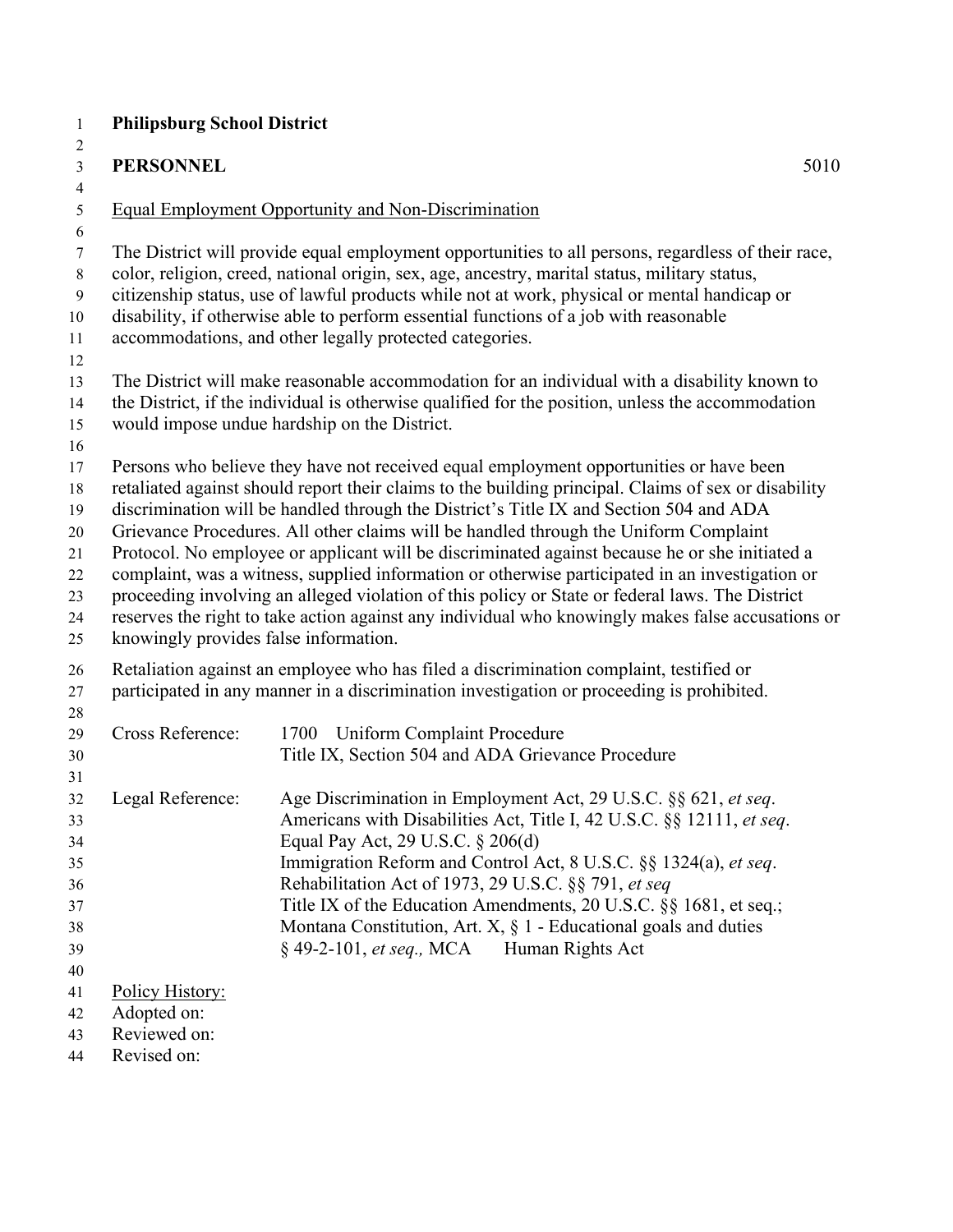#### **Philipsburg School District**  $\frac{1}{2}$

| ∠<br>$\mathfrak{Z}$                                | <b>PERSONNEL</b>                                              |                                                                                                                                                                                                                                                                                                                                                                                                                                                                                                                                                                                                                                                                                                                                                                                               | 5010 |
|----------------------------------------------------|---------------------------------------------------------------|-----------------------------------------------------------------------------------------------------------------------------------------------------------------------------------------------------------------------------------------------------------------------------------------------------------------------------------------------------------------------------------------------------------------------------------------------------------------------------------------------------------------------------------------------------------------------------------------------------------------------------------------------------------------------------------------------------------------------------------------------------------------------------------------------|------|
| $\overline{4}$<br>$\sqrt{5}$                       |                                                               | <b>Equal Employment Opportunity and Non-Discrimination</b>                                                                                                                                                                                                                                                                                                                                                                                                                                                                                                                                                                                                                                                                                                                                    |      |
| 6<br>7<br>$8\,$<br>$\boldsymbol{9}$<br>10<br>11    |                                                               | The District will provide equal employment opportunities to all persons, regardless of their race,<br>color, religion, creed, national origin, sex, age, ancestry, marital status, military status,<br>citizenship status, use of lawful products while not at work, physical or mental handicap or<br>disability, if otherwise able to perform essential functions of a job with reasonable<br>accommodations, and other legally protected categories.                                                                                                                                                                                                                                                                                                                                       |      |
| 12<br>13<br>14<br>15<br>16                         |                                                               | The District will make reasonable accommodation for an individual with a disability known to<br>the District, if the individual is otherwise qualified for the position, unless the accommodation<br>would impose undue hardship on the District.                                                                                                                                                                                                                                                                                                                                                                                                                                                                                                                                             |      |
| 17<br>18<br>19<br>20<br>21<br>22<br>23<br>24<br>25 | knowingly provides false information.                         | Persons who believe they have not received equal employment opportunities or have been<br>retaliated against should report their claims to the building principal. Claims of sex or disability<br>discrimination will be handled through the District's Title IX and Section 504 and ADA<br>Grievance Procedures. All other claims will be handled through the Uniform Complaint<br>Protocol. No employee or applicant will be discriminated against because he or she initiated a<br>complaint, was a witness, supplied information or otherwise participated in an investigation or<br>proceeding involving an alleged violation of this policy or State or federal laws. The District<br>reserves the right to take action against any individual who knowingly makes false accusations or |      |
| 26<br>27<br>28                                     |                                                               | Retaliation against an employee who has filed a discrimination complaint, testified or<br>participated in any manner in a discrimination investigation or proceeding is prohibited.                                                                                                                                                                                                                                                                                                                                                                                                                                                                                                                                                                                                           |      |
| 29<br>30<br>31                                     | Cross Reference:                                              | 1700 Uniform Complaint Procedure<br>Title IX, Section 504 and ADA Grievance Procedure                                                                                                                                                                                                                                                                                                                                                                                                                                                                                                                                                                                                                                                                                                         |      |
| 32<br>33<br>34<br>35<br>36<br>37<br>38<br>39<br>40 | Legal Reference:                                              | Age Discrimination in Employment Act, 29 U.S.C. §§ 621, et seq.<br>Americans with Disabilities Act, Title I, 42 U.S.C. §§ 12111, et seq.<br>Equal Pay Act, 29 U.S.C. § 206(d)<br>Immigration Reform and Control Act, 8 U.S.C. §§ 1324(a), et seq.<br>Rehabilitation Act of 1973, 29 U.S.C. §§ 791, et seq<br>Title IX of the Education Amendments, 20 U.S.C. §§ 1681, et seq.;<br>Montana Constitution, Art. $X$ , $\S$ 1 - Educational goals and duties<br>§ 49-2-101, et seq., MCA Human Rights Act                                                                                                                                                                                                                                                                                         |      |
| 41<br>42<br>43<br>44                               | Policy History:<br>Adopted on:<br>Reviewed on:<br>Revised on: |                                                                                                                                                                                                                                                                                                                                                                                                                                                                                                                                                                                                                                                                                                                                                                                               |      |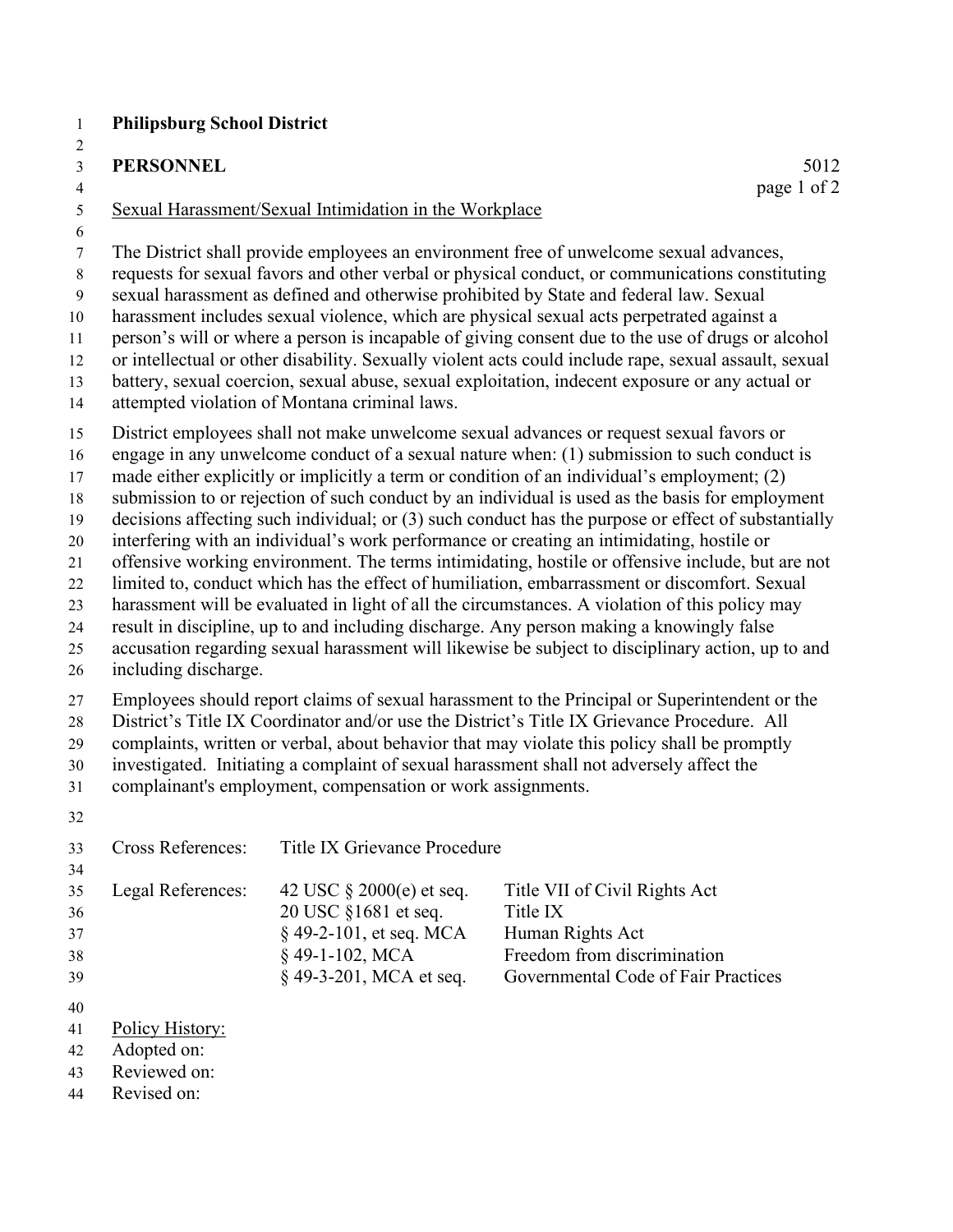### **PERSONNEL** 5012

### Sexual Harassment/Sexual Intimidation in the Workplace

The District shall provide employees an environment free of unwelcome sexual advances,

requests for sexual favors and other verbal or physical conduct, or communications constituting

sexual harassment as defined and otherwise prohibited by State and federal law. Sexual

harassment includes sexual violence, which are physical sexual acts perpetrated against a

 person's will or where a person is incapable of giving consent due to the use of drugs or alcohol or intellectual or other disability. Sexually violent acts could include rape, sexual assault, sexual

battery, sexual coercion, sexual abuse, sexual exploitation, indecent exposure or any actual or

attempted violation of Montana criminal laws.

District employees shall not make unwelcome sexual advances or request sexual favors or

engage in any unwelcome conduct of a sexual nature when: (1) submission to such conduct is

made either explicitly or implicitly a term or condition of an individual's employment; (2)

submission to or rejection of such conduct by an individual is used as the basis for employment

decisions affecting such individual; or (3) such conduct has the purpose or effect of substantially

interfering with an individual's work performance or creating an intimidating, hostile or

offensive working environment. The terms intimidating, hostile or offensive include, but are not

limited to, conduct which has the effect of humiliation, embarrassment or discomfort. Sexual

 harassment will be evaluated in light of all the circumstances. A violation of this policy may result in discipline, up to and including discharge. Any person making a knowingly false

accusation regarding sexual harassment will likewise be subject to disciplinary action, up to and

including discharge.

Employees should report claims of sexual harassment to the Principal or Superintendent or the

District's Title IX Coordinator and/or use the District's Title IX Grievance Procedure. All

complaints, written or verbal, about behavior that may violate this policy shall be promptly

investigated. Initiating a complaint of sexual harassment shall not adversely affect the

complainant's employment, compensation or work assignments.

| 33<br>34                   | Cross References:                              | Title IX Grievance Procedure                                                                                                    |                                                                                                                                     |
|----------------------------|------------------------------------------------|---------------------------------------------------------------------------------------------------------------------------------|-------------------------------------------------------------------------------------------------------------------------------------|
| 35<br>36<br>37<br>38<br>39 | Legal References:                              | 42 USC $\S 2000(e)$ et seq.<br>20 USC §1681 et seq.<br>$§$ 49-2-101, et seq. MCA<br>§49-1-102, MCA<br>$§$ 49-3-201, MCA et seq. | Title VII of Civil Rights Act<br>Title IX<br>Human Rights Act<br>Freedom from discrimination<br>Governmental Code of Fair Practices |
| 40<br>41<br>42<br>43       | Policy History:<br>Adopted on:<br>Reviewed on: |                                                                                                                                 |                                                                                                                                     |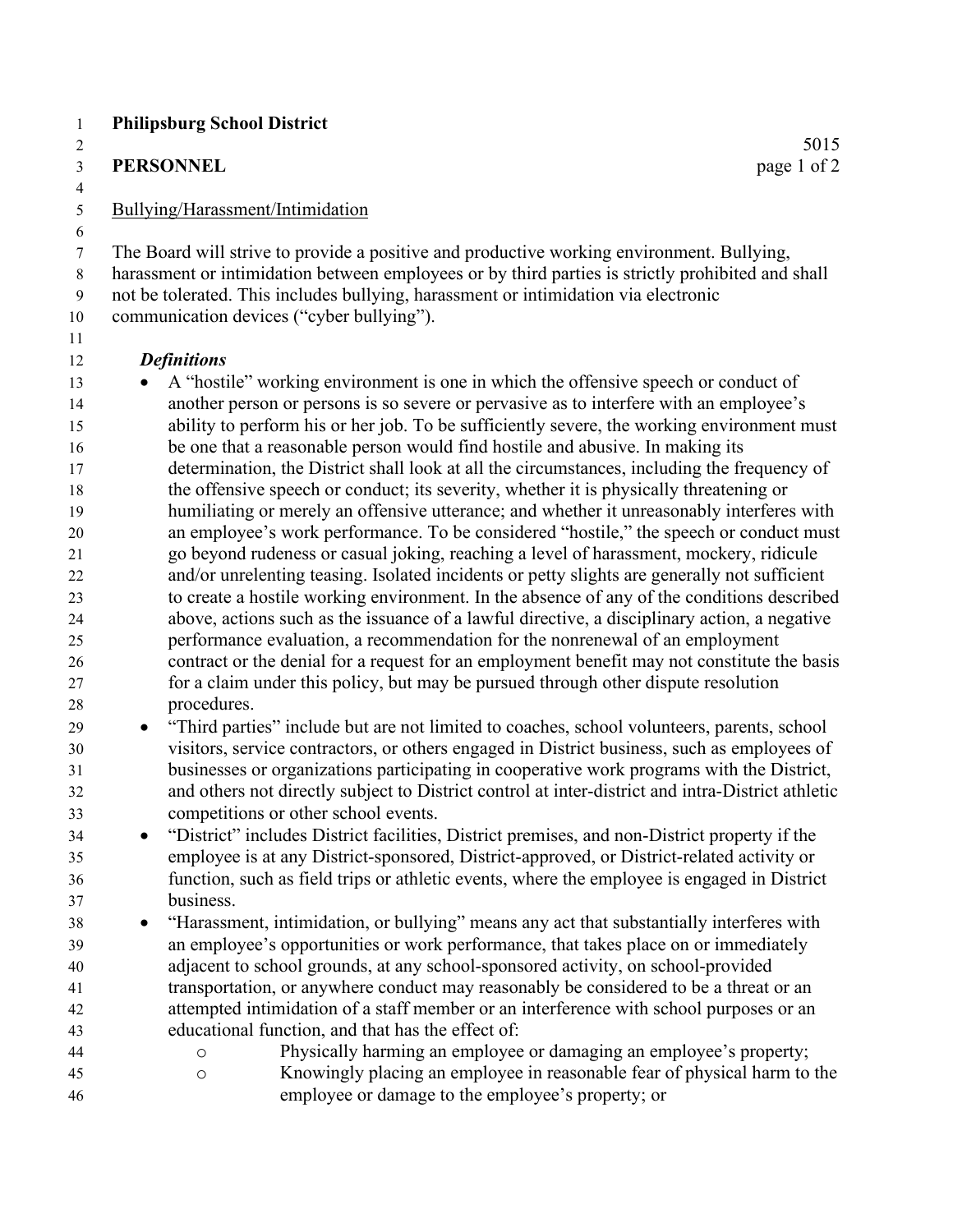## **PERSONNEL** page 1 of 2

## Bullying/Harassment/Intimidation

The Board will strive to provide a positive and productive working environment. Bullying,

harassment or intimidation between employees or by third parties is strictly prohibited and shall

not be tolerated. This includes bullying, harassment or intimidation via electronic

communication devices ("cyber bullying").

## *Definitions*

- A "hostile" working environment is one in which the offensive speech or conduct of another person or persons is so severe or pervasive as to interfere with an employee's ability to perform his or her job. To be sufficiently severe, the working environment must be one that a reasonable person would find hostile and abusive. In making its determination, the District shall look at all the circumstances, including the frequency of the offensive speech or conduct; its severity, whether it is physically threatening or humiliating or merely an offensive utterance; and whether it unreasonably interferes with an employee's work performance. To be considered "hostile," the speech or conduct must go beyond rudeness or casual joking, reaching a level of harassment, mockery, ridicule and/or unrelenting teasing. Isolated incidents or petty slights are generally not sufficient to create a hostile working environment. In the absence of any of the conditions described above, actions such as the issuance of a lawful directive, a disciplinary action, a negative performance evaluation, a recommendation for the nonrenewal of an employment contract or the denial for a request for an employment benefit may not constitute the basis for a claim under this policy, but may be pursued through other dispute resolution procedures.
- "Third parties" include but are not limited to coaches, school volunteers, parents, school visitors, service contractors, or others engaged in District business, such as employees of businesses or organizations participating in cooperative work programs with the District, and others not directly subject to District control at inter-district and intra-District athletic competitions or other school events.
- "District" includes District facilities, District premises, and non-District property if the employee is at any District-sponsored, District-approved, or District-related activity or function, such as field trips or athletic events, where the employee is engaged in District business.
- "Harassment, intimidation, or bullying" means any act that substantially interferes with an employee's opportunities or work performance, that takes place on or immediately adjacent to school grounds, at any school-sponsored activity, on school-provided transportation, or anywhere conduct may reasonably be considered to be a threat or an attempted intimidation of a staff member or an interference with school purposes or an educational function, and that has the effect of:
- o Physically harming an employee or damaging an employee's property; o Knowingly placing an employee in reasonable fear of physical harm to the employee or damage to the employee's property; or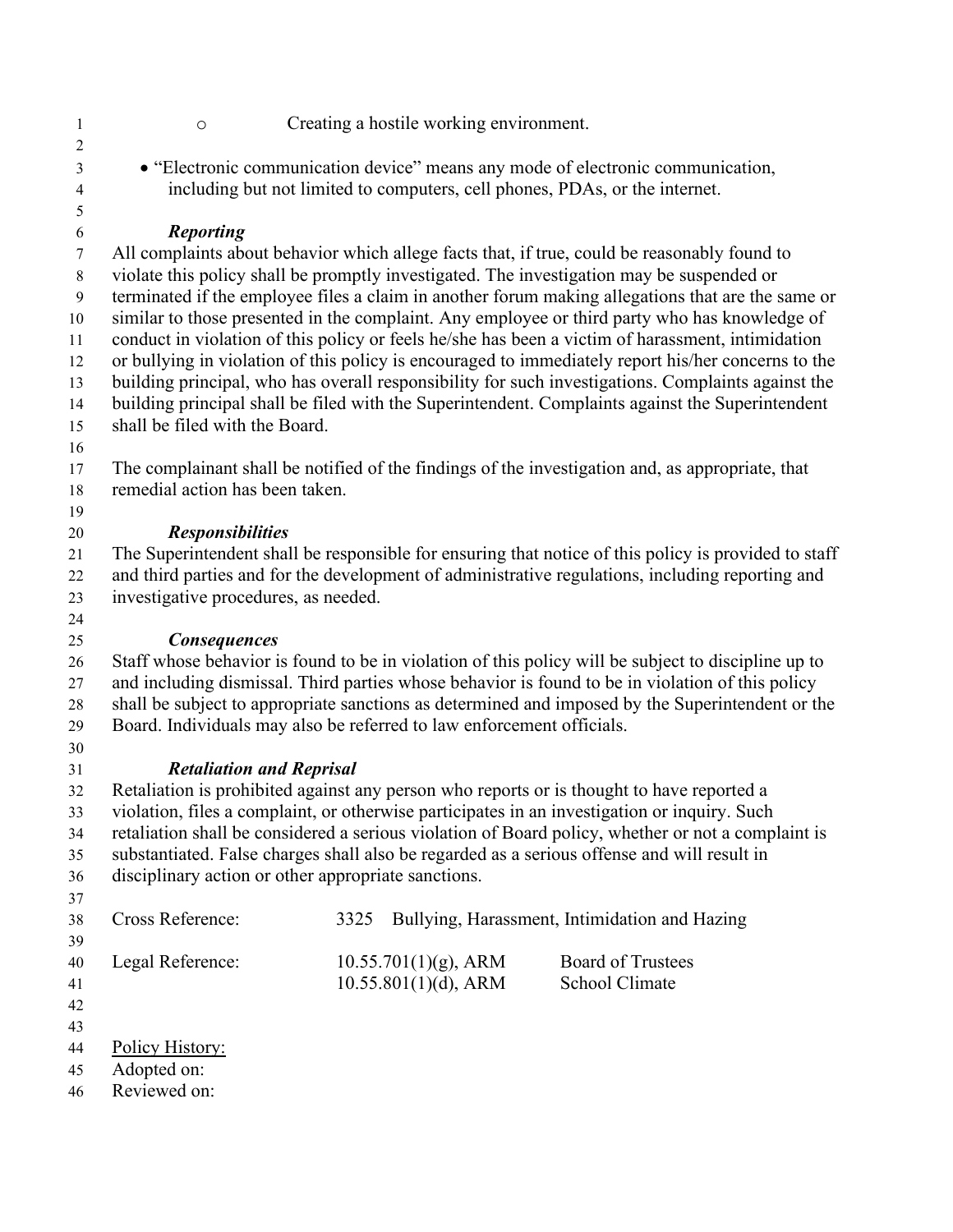- o Creating a hostile working environment.
- "Electronic communication device" means any mode of electronic communication, including but not limited to computers, cell phones, PDAs, or the internet.

#### *Reporting*

 All complaints about behavior which allege facts that, if true, could be reasonably found to violate this policy shall be promptly investigated. The investigation may be suspended or terminated if the employee files a claim in another forum making allegations that are the same or similar to those presented in the complaint. Any employee or third party who has knowledge of conduct in violation of this policy or feels he/she has been a victim of harassment, intimidation or bullying in violation of this policy is encouraged to immediately report his/her concerns to the building principal, who has overall responsibility for such investigations. Complaints against the building principal shall be filed with the Superintendent. Complaints against the Superintendent shall be filed with the Board.

- The complainant shall be notified of the findings of the investigation and, as appropriate, that remedial action has been taken.
- *Responsibilities*

 The Superintendent shall be responsible for ensuring that notice of this policy is provided to staff and third parties and for the development of administrative regulations, including reporting and investigative procedures, as needed.

#### *Consequences*

 Staff whose behavior is found to be in violation of this policy will be subject to discipline up to and including dismissal. Third parties whose behavior is found to be in violation of this policy shall be subject to appropriate sanctions as determined and imposed by the Superintendent or the Board. Individuals may also be referred to law enforcement officials.

#### *Retaliation and Reprisal*

 Retaliation is prohibited against any person who reports or is thought to have reported a violation, files a complaint, or otherwise participates in an investigation or inquiry. Such retaliation shall be considered a serious violation of Board policy, whether or not a complaint is substantiated. False charges shall also be regarded as a serious offense and will result in disciplinary action or other appropriate sanctions.

| 38<br>-39 | Cross Reference:    |                                                    | 3325 Bullying, Harassment, Intimidation and Hazing |
|-----------|---------------------|----------------------------------------------------|----------------------------------------------------|
| 41        | 40 Legal Reference: | $10.55.701(1)(g)$ , ARM<br>$10.55.801(1)(d)$ , ARM | <b>Board of Trustees</b><br>School Climate         |
| 42        |                     |                                                    |                                                    |

- Policy History:
- Adopted on:
- Reviewed on: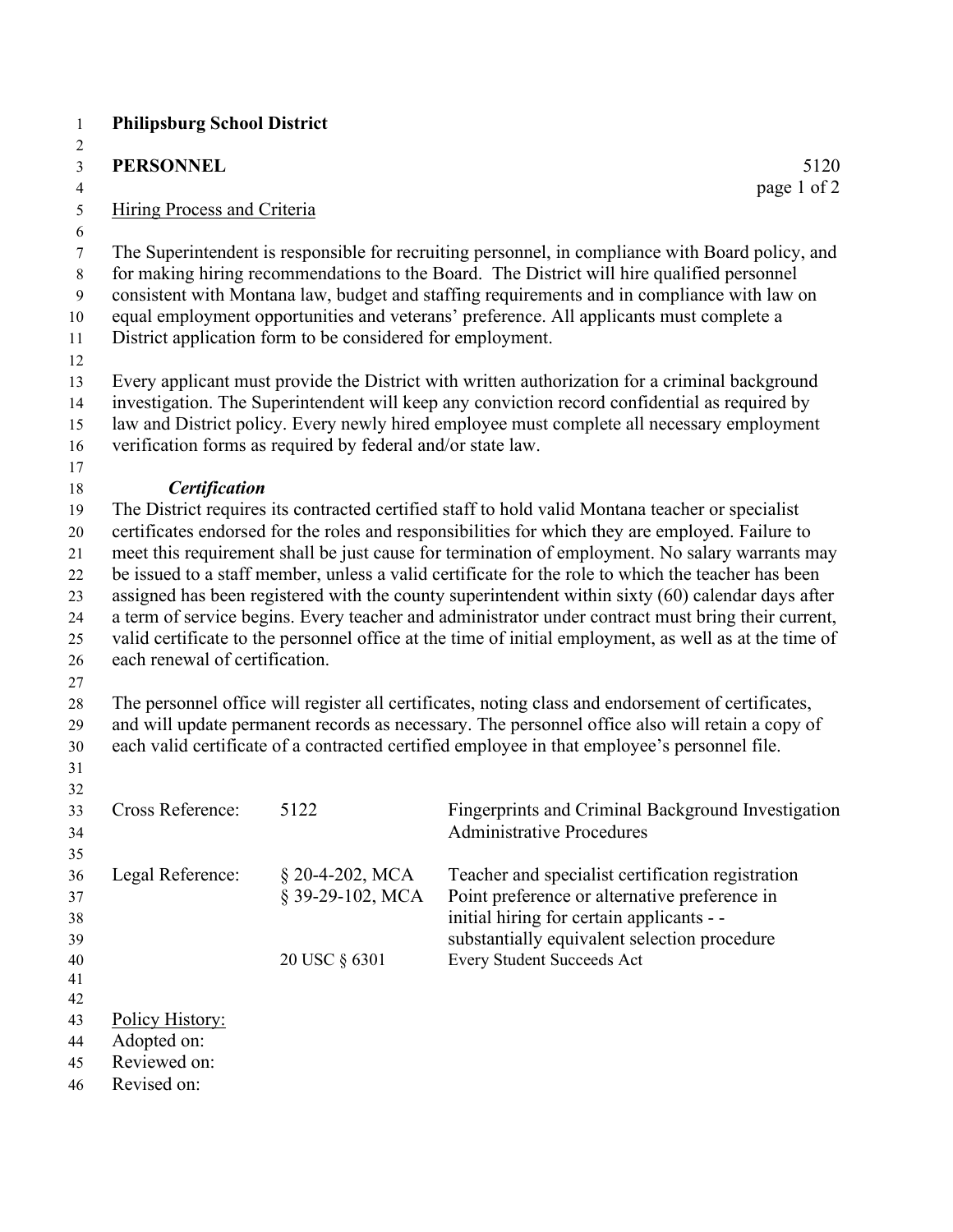| <b>PERSONNEL</b>                                              |                                                             | 5120<br>page 1 of 2                                                                                                                                                                                                                                                                                                                                                                                                                                                                                                                                                                                                                                                                                                                                                                                                                                                                                                                                                                                                                         |
|---------------------------------------------------------------|-------------------------------------------------------------|---------------------------------------------------------------------------------------------------------------------------------------------------------------------------------------------------------------------------------------------------------------------------------------------------------------------------------------------------------------------------------------------------------------------------------------------------------------------------------------------------------------------------------------------------------------------------------------------------------------------------------------------------------------------------------------------------------------------------------------------------------------------------------------------------------------------------------------------------------------------------------------------------------------------------------------------------------------------------------------------------------------------------------------------|
| <b>Hiring Process and Criteria</b>                            |                                                             |                                                                                                                                                                                                                                                                                                                                                                                                                                                                                                                                                                                                                                                                                                                                                                                                                                                                                                                                                                                                                                             |
|                                                               | District application form to be considered for employment.  | The Superintendent is responsible for recruiting personnel, in compliance with Board policy, and<br>for making hiring recommendations to the Board. The District will hire qualified personnel<br>consistent with Montana law, budget and staffing requirements and in compliance with law on<br>equal employment opportunities and veterans' preference. All applicants must complete a                                                                                                                                                                                                                                                                                                                                                                                                                                                                                                                                                                                                                                                    |
|                                                               | verification forms as required by federal and/or state law. | Every applicant must provide the District with written authorization for a criminal background<br>investigation. The Superintendent will keep any conviction record confidential as required by<br>law and District policy. Every newly hired employee must complete all necessary employment                                                                                                                                                                                                                                                                                                                                                                                                                                                                                                                                                                                                                                                                                                                                               |
| <b>Certification</b>                                          |                                                             |                                                                                                                                                                                                                                                                                                                                                                                                                                                                                                                                                                                                                                                                                                                                                                                                                                                                                                                                                                                                                                             |
| each renewal of certification.                                |                                                             | The District requires its contracted certified staff to hold valid Montana teacher or specialist<br>certificates endorsed for the roles and responsibilities for which they are employed. Failure to<br>meet this requirement shall be just cause for termination of employment. No salary warrants may<br>be issued to a staff member, unless a valid certificate for the role to which the teacher has been<br>assigned has been registered with the county superintendent within sixty (60) calendar days after<br>a term of service begins. Every teacher and administrator under contract must bring their current,<br>valid certificate to the personnel office at the time of initial employment, as well as at the time of<br>The personnel office will register all certificates, noting class and endorsement of certificates,<br>and will update permanent records as necessary. The personnel office also will retain a copy of<br>each valid certificate of a contracted certified employee in that employee's personnel file. |
| Cross Reference:                                              | 5122                                                        | Fingerprints and Criminal Background Investigation<br><b>Administrative Procedures</b>                                                                                                                                                                                                                                                                                                                                                                                                                                                                                                                                                                                                                                                                                                                                                                                                                                                                                                                                                      |
| Legal Reference:                                              | § 20-4-202, MCA<br>§ 39-29-102, MCA                         | Teacher and specialist certification registration<br>Point preference or alternative preference in<br>initial hiring for certain applicants - -<br>substantially equivalent selection procedure                                                                                                                                                                                                                                                                                                                                                                                                                                                                                                                                                                                                                                                                                                                                                                                                                                             |
|                                                               | 20 USC § 6301                                               | Every Student Succeeds Act                                                                                                                                                                                                                                                                                                                                                                                                                                                                                                                                                                                                                                                                                                                                                                                                                                                                                                                                                                                                                  |
| Policy History:<br>Adopted on:<br>Reviewed on:<br>Revised on: |                                                             |                                                                                                                                                                                                                                                                                                                                                                                                                                                                                                                                                                                                                                                                                                                                                                                                                                                                                                                                                                                                                                             |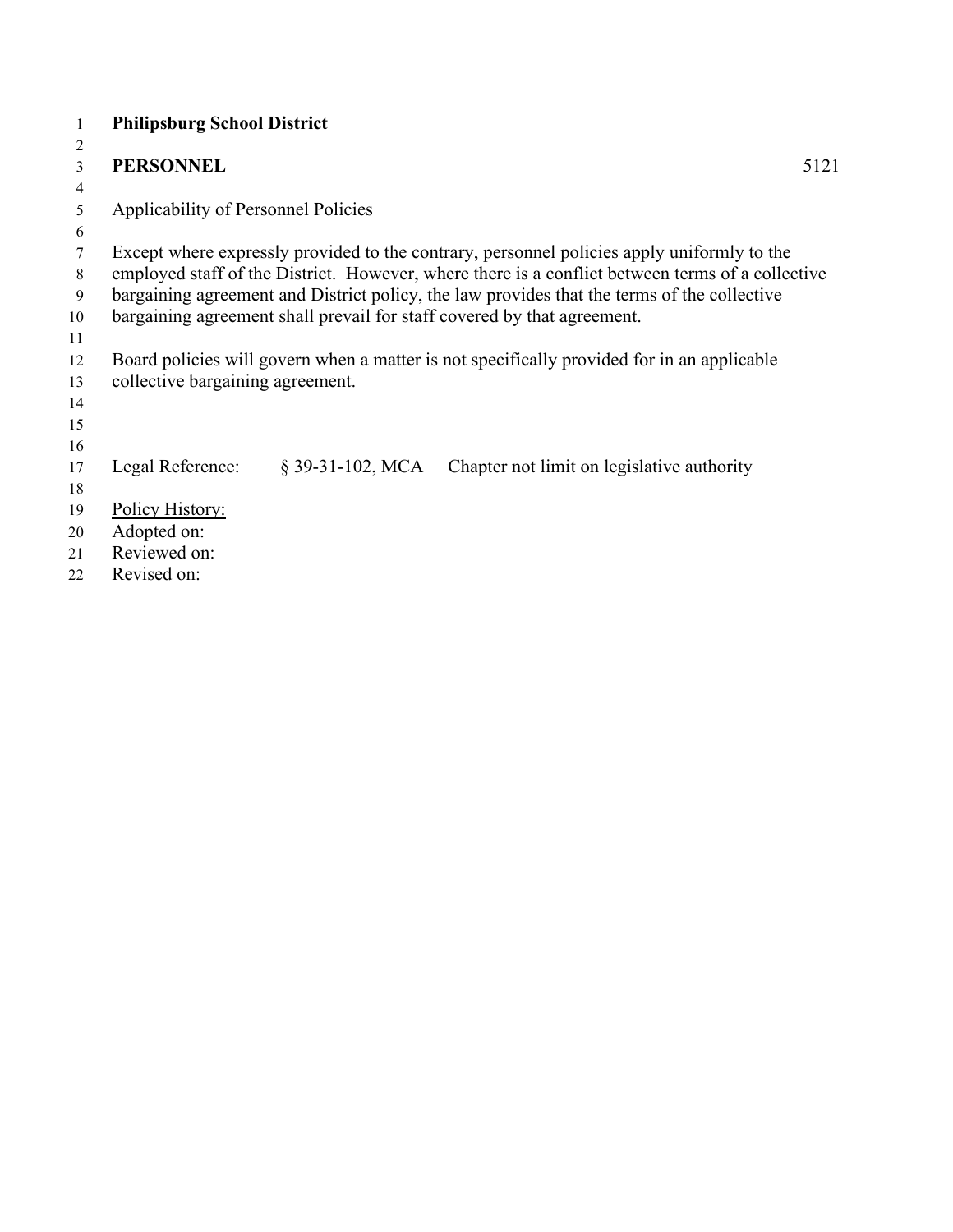| 1  | <b>Philipsburg School District</b>         |                  |                                                                                                  |      |
|----|--------------------------------------------|------------------|--------------------------------------------------------------------------------------------------|------|
| 2  |                                            |                  |                                                                                                  |      |
| 3  | <b>PERSONNEL</b>                           |                  |                                                                                                  | 5121 |
| 4  |                                            |                  |                                                                                                  |      |
| 5  | <b>Applicability of Personnel Policies</b> |                  |                                                                                                  |      |
| 6  |                                            |                  |                                                                                                  |      |
| 7  |                                            |                  | Except where expressly provided to the contrary, personnel policies apply uniformly to the       |      |
| 8  |                                            |                  | employed staff of the District. However, where there is a conflict between terms of a collective |      |
| 9  |                                            |                  | bargaining agreement and District policy, the law provides that the terms of the collective      |      |
| 10 |                                            |                  | bargaining agreement shall prevail for staff covered by that agreement.                          |      |
| 11 |                                            |                  |                                                                                                  |      |
| 12 |                                            |                  | Board policies will govern when a matter is not specifically provided for in an applicable       |      |
| 13 | collective bargaining agreement.           |                  |                                                                                                  |      |
| 14 |                                            |                  |                                                                                                  |      |
| 15 |                                            |                  |                                                                                                  |      |
| 16 |                                            |                  |                                                                                                  |      |
| 17 | Legal Reference:                           | § 39-31-102, MCA | Chapter not limit on legislative authority                                                       |      |
| 18 |                                            |                  |                                                                                                  |      |
| 19 | Policy History:                            |                  |                                                                                                  |      |
| 20 | Adopted on:<br>Reviewed on:                |                  |                                                                                                  |      |
| 21 |                                            |                  |                                                                                                  |      |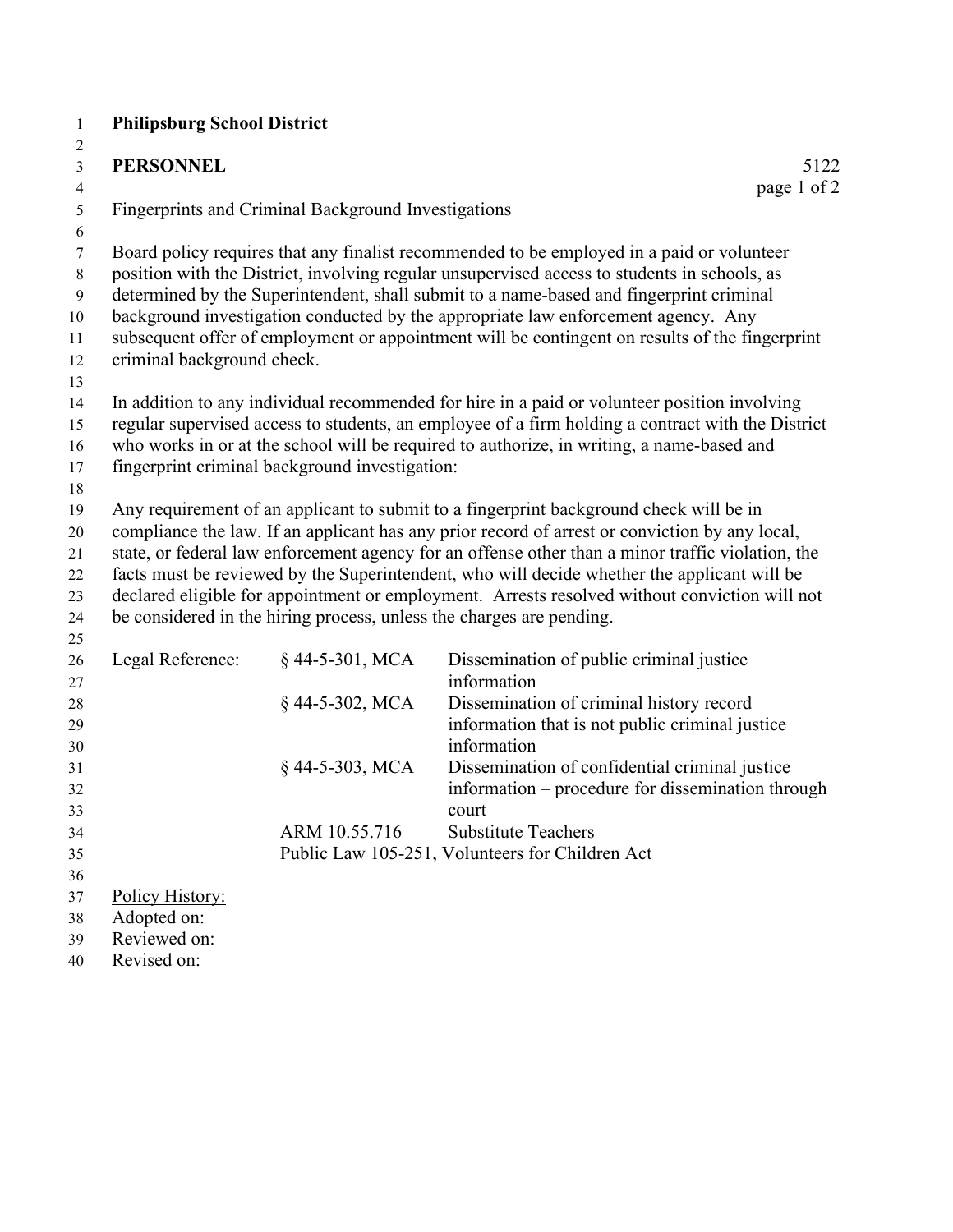| $\mathbf{1}$                              | <b>Philipsburg School District</b> |                                                            |                                                                                                   |                     |
|-------------------------------------------|------------------------------------|------------------------------------------------------------|---------------------------------------------------------------------------------------------------|---------------------|
| 2                                         |                                    |                                                            |                                                                                                   |                     |
| $\overline{3}$<br>$\overline{\mathbf{4}}$ | <b>PERSONNEL</b>                   |                                                            |                                                                                                   | 5122<br>page 1 of 2 |
| $\mathfrak{S}$                            |                                    | <b>Fingerprints and Criminal Background Investigations</b> |                                                                                                   |                     |
| 6                                         |                                    |                                                            |                                                                                                   |                     |
| $\boldsymbol{7}$                          |                                    |                                                            | Board policy requires that any finalist recommended to be employed in a paid or volunteer         |                     |
| $\,8\,$                                   |                                    |                                                            | position with the District, involving regular unsupervised access to students in schools, as      |                     |
| 9                                         |                                    |                                                            | determined by the Superintendent, shall submit to a name-based and fingerprint criminal           |                     |
| 10                                        |                                    |                                                            | background investigation conducted by the appropriate law enforcement agency. Any                 |                     |
| 11                                        |                                    |                                                            | subsequent offer of employment or appointment will be contingent on results of the fingerprint    |                     |
| 12                                        | criminal background check.         |                                                            |                                                                                                   |                     |
| 13                                        |                                    |                                                            |                                                                                                   |                     |
| 14                                        |                                    |                                                            | In addition to any individual recommended for hire in a paid or volunteer position involving      |                     |
| 15                                        |                                    |                                                            | regular supervised access to students, an employee of a firm holding a contract with the District |                     |
| 16                                        |                                    |                                                            | who works in or at the school will be required to authorize, in writing, a name-based and         |                     |
| 17                                        |                                    | fingerprint criminal background investigation:             |                                                                                                   |                     |
| 18                                        |                                    |                                                            |                                                                                                   |                     |
| 19                                        |                                    |                                                            | Any requirement of an applicant to submit to a fingerprint background check will be in            |                     |
| 20                                        |                                    |                                                            | compliance the law. If an applicant has any prior record of arrest or conviction by any local,    |                     |
| 21                                        |                                    |                                                            | state, or federal law enforcement agency for an offense other than a minor traffic violation, the |                     |
| 22                                        |                                    |                                                            | facts must be reviewed by the Superintendent, who will decide whether the applicant will be       |                     |
| 23                                        |                                    |                                                            | declared eligible for appointment or employment. Arrests resolved without conviction will not     |                     |
| 24                                        |                                    |                                                            | be considered in the hiring process, unless the charges are pending.                              |                     |
| 25                                        |                                    |                                                            |                                                                                                   |                     |
| 26                                        | Legal Reference:                   | $§$ 44-5-301, MCA                                          | Dissemination of public criminal justice                                                          |                     |
| 27                                        |                                    |                                                            | information                                                                                       |                     |
| 28                                        |                                    | $§$ 44-5-302, MCA                                          | Dissemination of criminal history record                                                          |                     |
| 29<br>30                                  |                                    |                                                            | information that is not public criminal justice<br>information                                    |                     |
| 31                                        |                                    | $§$ 44-5-303, MCA                                          | Dissemination of confidential criminal justice                                                    |                     |
| 32                                        |                                    |                                                            | information - procedure for dissemination through                                                 |                     |
| 33                                        |                                    |                                                            | court                                                                                             |                     |
| 34                                        |                                    | ARM 10.55.716                                              | <b>Substitute Teachers</b>                                                                        |                     |
| 35                                        |                                    |                                                            | Public Law 105-251, Volunteers for Children Act                                                   |                     |
| 36                                        |                                    |                                                            |                                                                                                   |                     |
| 37                                        | Policy History:                    |                                                            |                                                                                                   |                     |
| 38                                        | Adopted on:                        |                                                            |                                                                                                   |                     |
| 39                                        | Reviewed on:                       |                                                            |                                                                                                   |                     |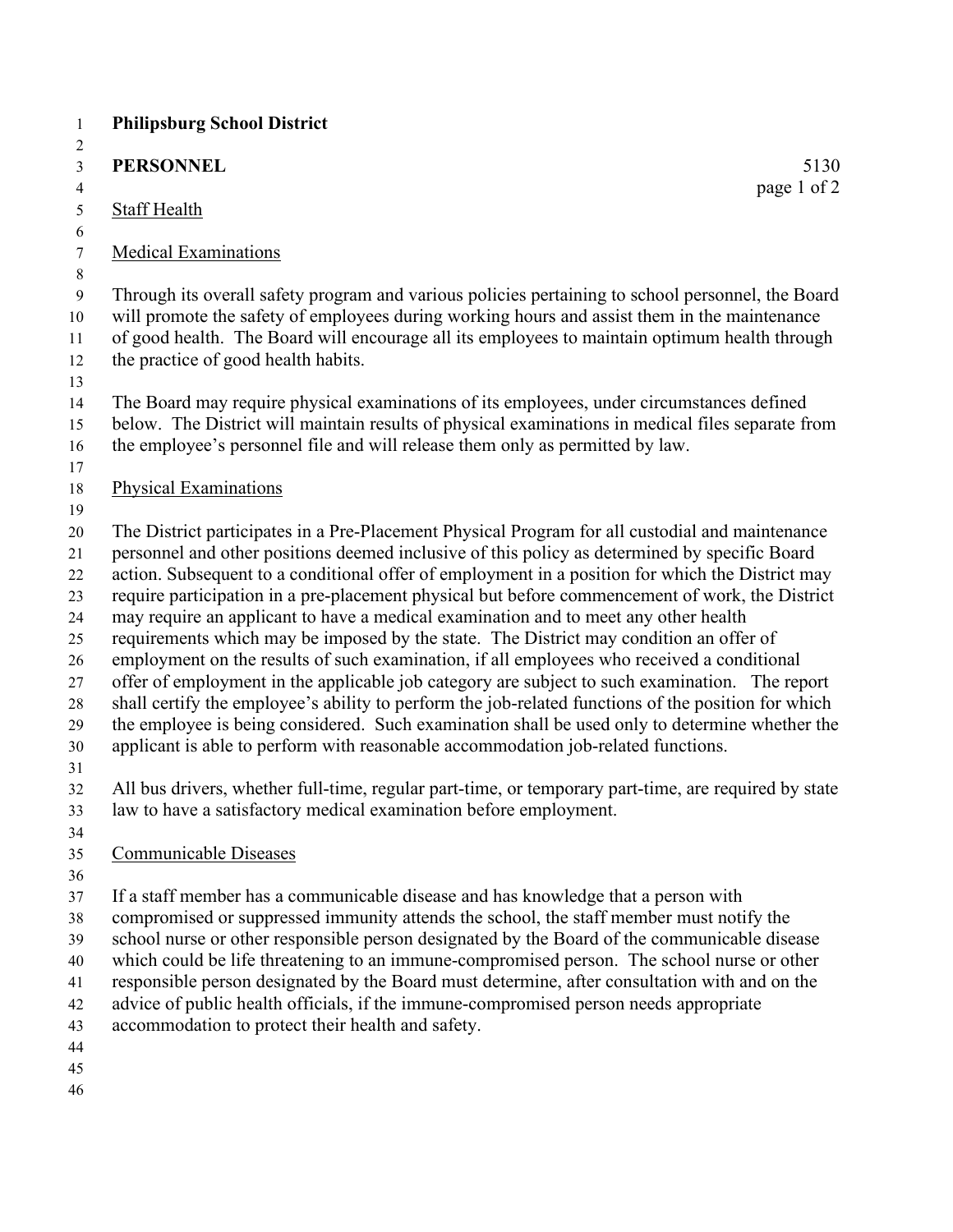| $\mathbf{1}$<br>2 | <b>Philipsburg School District</b>                                                                                                                                                                                                                                                                                                                                                                                                                                                                                                                                                                                                                                                                                                                                                                                                                                                                                                                                                                                                                                                                                                                                                                                                                                  |
|-------------------|---------------------------------------------------------------------------------------------------------------------------------------------------------------------------------------------------------------------------------------------------------------------------------------------------------------------------------------------------------------------------------------------------------------------------------------------------------------------------------------------------------------------------------------------------------------------------------------------------------------------------------------------------------------------------------------------------------------------------------------------------------------------------------------------------------------------------------------------------------------------------------------------------------------------------------------------------------------------------------------------------------------------------------------------------------------------------------------------------------------------------------------------------------------------------------------------------------------------------------------------------------------------|
|                   | <b>PERSONNEL</b><br>5130                                                                                                                                                                                                                                                                                                                                                                                                                                                                                                                                                                                                                                                                                                                                                                                                                                                                                                                                                                                                                                                                                                                                                                                                                                            |
|                   | page 1 of 2                                                                                                                                                                                                                                                                                                                                                                                                                                                                                                                                                                                                                                                                                                                                                                                                                                                                                                                                                                                                                                                                                                                                                                                                                                                         |
|                   | <b>Staff Health</b>                                                                                                                                                                                                                                                                                                                                                                                                                                                                                                                                                                                                                                                                                                                                                                                                                                                                                                                                                                                                                                                                                                                                                                                                                                                 |
|                   | <b>Medical Examinations</b>                                                                                                                                                                                                                                                                                                                                                                                                                                                                                                                                                                                                                                                                                                                                                                                                                                                                                                                                                                                                                                                                                                                                                                                                                                         |
|                   | Through its overall safety program and various policies pertaining to school personnel, the Board<br>will promote the safety of employees during working hours and assist them in the maintenance<br>of good health. The Board will encourage all its employees to maintain optimum health through<br>the practice of good health habits.                                                                                                                                                                                                                                                                                                                                                                                                                                                                                                                                                                                                                                                                                                                                                                                                                                                                                                                           |
|                   | The Board may require physical examinations of its employees, under circumstances defined<br>below. The District will maintain results of physical examinations in medical files separate from<br>the employee's personnel file and will release them only as permitted by law.                                                                                                                                                                                                                                                                                                                                                                                                                                                                                                                                                                                                                                                                                                                                                                                                                                                                                                                                                                                     |
|                   | <b>Physical Examinations</b>                                                                                                                                                                                                                                                                                                                                                                                                                                                                                                                                                                                                                                                                                                                                                                                                                                                                                                                                                                                                                                                                                                                                                                                                                                        |
|                   | The District participates in a Pre-Placement Physical Program for all custodial and maintenance<br>personnel and other positions deemed inclusive of this policy as determined by specific Board<br>action. Subsequent to a conditional offer of employment in a position for which the District may<br>require participation in a pre-placement physical but before commencement of work, the District<br>may require an applicant to have a medical examination and to meet any other health<br>requirements which may be imposed by the state. The District may condition an offer of<br>employment on the results of such examination, if all employees who received a conditional<br>offer of employment in the applicable job category are subject to such examination. The report<br>shall certify the employee's ability to perform the job-related functions of the position for which<br>the employee is being considered. Such examination shall be used only to determine whether the<br>applicant is able to perform with reasonable accommodation job-related functions.<br>All bus drivers, whether full-time, regular part-time, or temporary part-time, are required by state<br>law to have a satisfactory medical examination before employment. |
|                   | Communicable Diseases                                                                                                                                                                                                                                                                                                                                                                                                                                                                                                                                                                                                                                                                                                                                                                                                                                                                                                                                                                                                                                                                                                                                                                                                                                               |
|                   | If a staff member has a communicable disease and has knowledge that a person with<br>compromised or suppressed immunity attends the school, the staff member must notify the<br>school nurse or other responsible person designated by the Board of the communicable disease<br>which could be life threatening to an immune-compromised person. The school nurse or other<br>responsible person designated by the Board must determine, after consultation with and on the<br>advice of public health officials, if the immune-compromised person needs appropriate<br>accommodation to protect their health and safety.                                                                                                                                                                                                                                                                                                                                                                                                                                                                                                                                                                                                                                           |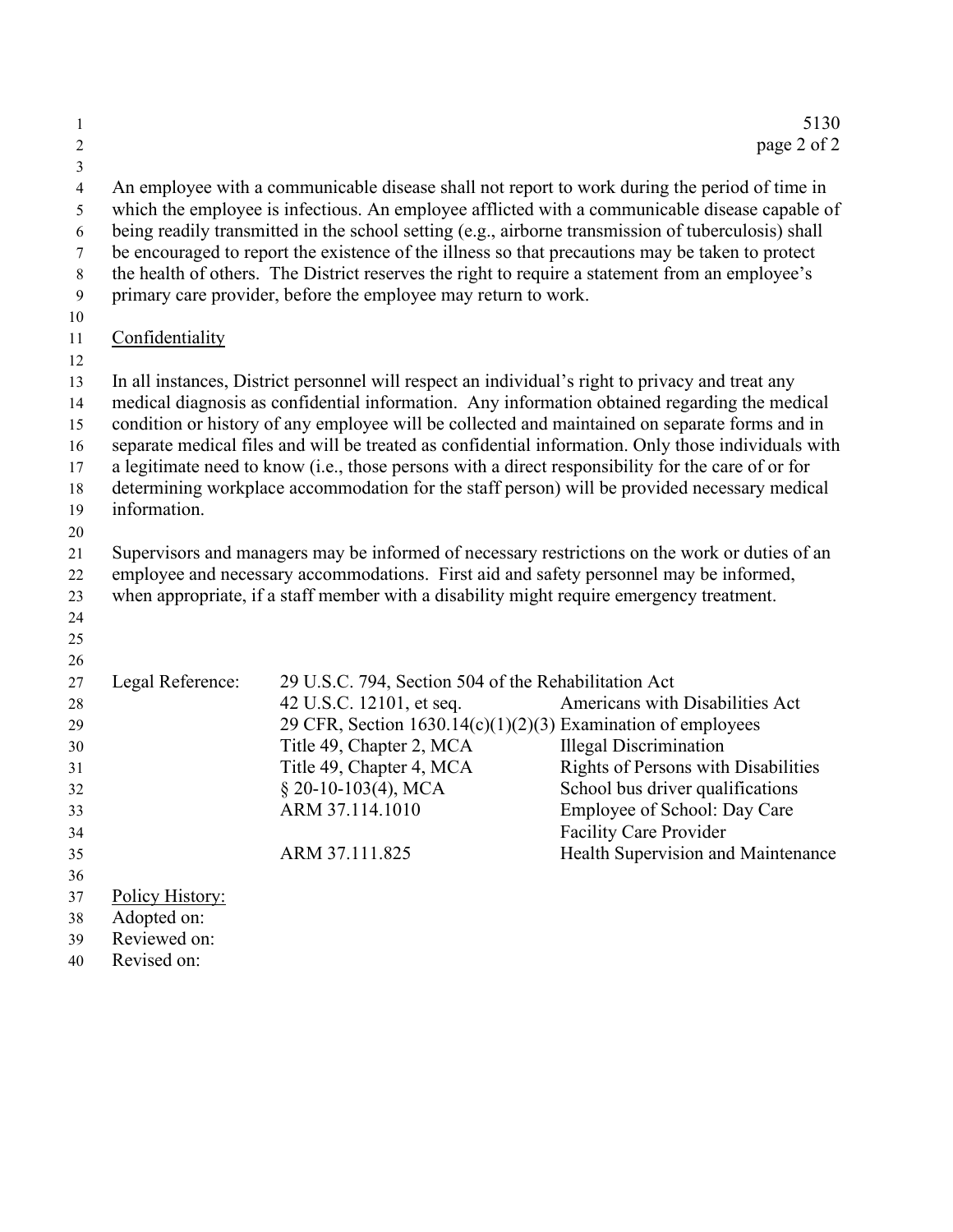| 1<br>$\overline{2}$<br>$\mathfrak{Z}$             |                  |                                                                                                                                                                                                                                                                       | 5130<br>page 2 of 2                                                                                                                                                                                                                                                                                    |
|---------------------------------------------------|------------------|-----------------------------------------------------------------------------------------------------------------------------------------------------------------------------------------------------------------------------------------------------------------------|--------------------------------------------------------------------------------------------------------------------------------------------------------------------------------------------------------------------------------------------------------------------------------------------------------|
| $\overline{4}$<br>5<br>6<br>7<br>$8\,$<br>9<br>10 |                  | be encouraged to report the existence of the illness so that precautions may be taken to protect<br>the health of others. The District reserves the right to require a statement from an employee's<br>primary care provider, before the employee may return to work. | An employee with a communicable disease shall not report to work during the period of time in<br>which the employee is infectious. An employee afflicted with a communicable disease capable of<br>being readily transmitted in the school setting (e.g., airborne transmission of tuberculosis) shall |
| 11                                                | Confidentiality  |                                                                                                                                                                                                                                                                       |                                                                                                                                                                                                                                                                                                        |
| 12                                                |                  |                                                                                                                                                                                                                                                                       |                                                                                                                                                                                                                                                                                                        |
| 13                                                |                  | In all instances, District personnel will respect an individual's right to privacy and treat any                                                                                                                                                                      |                                                                                                                                                                                                                                                                                                        |
| 14                                                |                  |                                                                                                                                                                                                                                                                       | medical diagnosis as confidential information. Any information obtained regarding the medical                                                                                                                                                                                                          |
| 15                                                |                  |                                                                                                                                                                                                                                                                       | condition or history of any employee will be collected and maintained on separate forms and in                                                                                                                                                                                                         |
| 16                                                |                  |                                                                                                                                                                                                                                                                       | separate medical files and will be treated as confidential information. Only those individuals with                                                                                                                                                                                                    |
| 17<br>18                                          |                  | a legitimate need to know (i.e., those persons with a direct responsibility for the care of or for                                                                                                                                                                    | determining workplace accommodation for the staff person) will be provided necessary medical                                                                                                                                                                                                           |
| 19                                                | information.     |                                                                                                                                                                                                                                                                       |                                                                                                                                                                                                                                                                                                        |
| 20                                                |                  |                                                                                                                                                                                                                                                                       |                                                                                                                                                                                                                                                                                                        |
| 21                                                |                  |                                                                                                                                                                                                                                                                       | Supervisors and managers may be informed of necessary restrictions on the work or duties of an                                                                                                                                                                                                         |
| 22                                                |                  | employee and necessary accommodations. First aid and safety personnel may be informed,                                                                                                                                                                                |                                                                                                                                                                                                                                                                                                        |
| 23                                                |                  | when appropriate, if a staff member with a disability might require emergency treatment.                                                                                                                                                                              |                                                                                                                                                                                                                                                                                                        |
| 24                                                |                  |                                                                                                                                                                                                                                                                       |                                                                                                                                                                                                                                                                                                        |
| 25                                                |                  |                                                                                                                                                                                                                                                                       |                                                                                                                                                                                                                                                                                                        |
| 26                                                |                  |                                                                                                                                                                                                                                                                       |                                                                                                                                                                                                                                                                                                        |
| 27                                                | Legal Reference: | 29 U.S.C. 794, Section 504 of the Rehabilitation Act                                                                                                                                                                                                                  |                                                                                                                                                                                                                                                                                                        |
| 28                                                |                  | 42 U.S.C. 12101, et seq.                                                                                                                                                                                                                                              | Americans with Disabilities Act                                                                                                                                                                                                                                                                        |
| 29<br>30                                          |                  | 29 CFR, Section 1630.14(c)(1)(2)(3) Examination of employees<br>Title 49, Chapter 2, MCA                                                                                                                                                                              | <b>Illegal Discrimination</b>                                                                                                                                                                                                                                                                          |
| 31                                                |                  | Title 49, Chapter 4, MCA                                                                                                                                                                                                                                              | Rights of Persons with Disabilities                                                                                                                                                                                                                                                                    |
| 32                                                |                  | $§$ 20-10-103(4), MCA                                                                                                                                                                                                                                                 | School bus driver qualifications                                                                                                                                                                                                                                                                       |
| 33                                                |                  | ARM 37.114.1010                                                                                                                                                                                                                                                       | Employee of School: Day Care                                                                                                                                                                                                                                                                           |
| 34                                                |                  |                                                                                                                                                                                                                                                                       | <b>Facility Care Provider</b>                                                                                                                                                                                                                                                                          |
| 35                                                |                  | ARM 37.111.825                                                                                                                                                                                                                                                        | Health Supervision and Maintenance                                                                                                                                                                                                                                                                     |
| 36                                                |                  |                                                                                                                                                                                                                                                                       |                                                                                                                                                                                                                                                                                                        |
| 37                                                | Policy History:  |                                                                                                                                                                                                                                                                       |                                                                                                                                                                                                                                                                                                        |
| 38                                                | Adopted on:      |                                                                                                                                                                                                                                                                       |                                                                                                                                                                                                                                                                                                        |
| 39                                                | Reviewed on:     |                                                                                                                                                                                                                                                                       |                                                                                                                                                                                                                                                                                                        |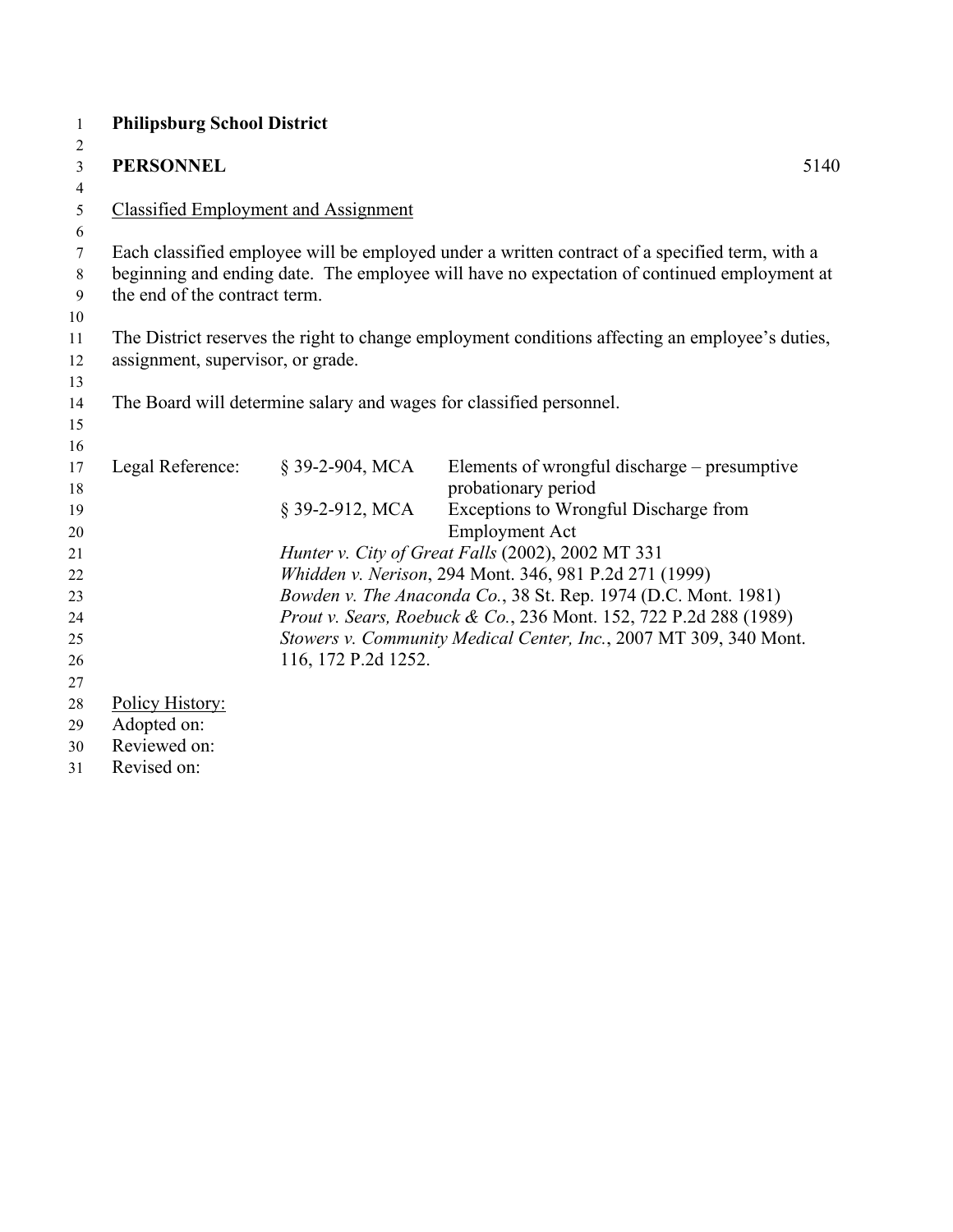| $\mathbf{1}$   | <b>Philipsburg School District</b> |                                             |                                                                                                 |
|----------------|------------------------------------|---------------------------------------------|-------------------------------------------------------------------------------------------------|
| 2              |                                    |                                             |                                                                                                 |
| $\mathfrak{Z}$ | <b>PERSONNEL</b>                   |                                             | 5140                                                                                            |
| $\overline{4}$ |                                    |                                             |                                                                                                 |
| 5              |                                    | <b>Classified Employment and Assignment</b> |                                                                                                 |
| 6              |                                    |                                             |                                                                                                 |
| $\tau$         |                                    |                                             | Each classified employee will be employed under a written contract of a specified term, with a  |
| 8              |                                    |                                             | beginning and ending date. The employee will have no expectation of continued employment at     |
| 9              | the end of the contract term.      |                                             |                                                                                                 |
| 10             |                                    |                                             |                                                                                                 |
| 11<br>12       | assignment, supervisor, or grade.  |                                             | The District reserves the right to change employment conditions affecting an employee's duties, |
| 13             |                                    |                                             |                                                                                                 |
| 14             |                                    |                                             | The Board will determine salary and wages for classified personnel.                             |
| 15             |                                    |                                             |                                                                                                 |
| 16             |                                    |                                             |                                                                                                 |
| 17             | Legal Reference:                   | § 39-2-904, MCA                             | Elements of wrongful discharge – presumptive                                                    |
| 18             |                                    |                                             | probationary period                                                                             |
| 19             |                                    | § 39-2-912, MCA                             | Exceptions to Wrongful Discharge from                                                           |
| 20             |                                    |                                             | <b>Employment Act</b>                                                                           |
| 21             |                                    |                                             | Hunter v. City of Great Falls (2002), 2002 MT 331                                               |
| 22             |                                    |                                             | Whidden v. Nerison, 294 Mont. 346, 981 P.2d 271 (1999)                                          |
| 23             |                                    |                                             | Bowden v. The Anaconda Co., 38 St. Rep. 1974 (D.C. Mont. 1981)                                  |
| 24             |                                    |                                             | Prout v. Sears, Roebuck & Co., 236 Mont. 152, 722 P.2d 288 (1989)                               |
| 25             |                                    |                                             | Stowers v. Community Medical Center, Inc., 2007 MT 309, 340 Mont.                               |
| 26             |                                    | 116, 172 P.2d 1252.                         |                                                                                                 |
| 27             |                                    |                                             |                                                                                                 |
| 28             | Policy History:                    |                                             |                                                                                                 |
| 29             | Adopted on:                        |                                             |                                                                                                 |
| 30             | Reviewed on:                       |                                             |                                                                                                 |
| 31             | Revised on:                        |                                             |                                                                                                 |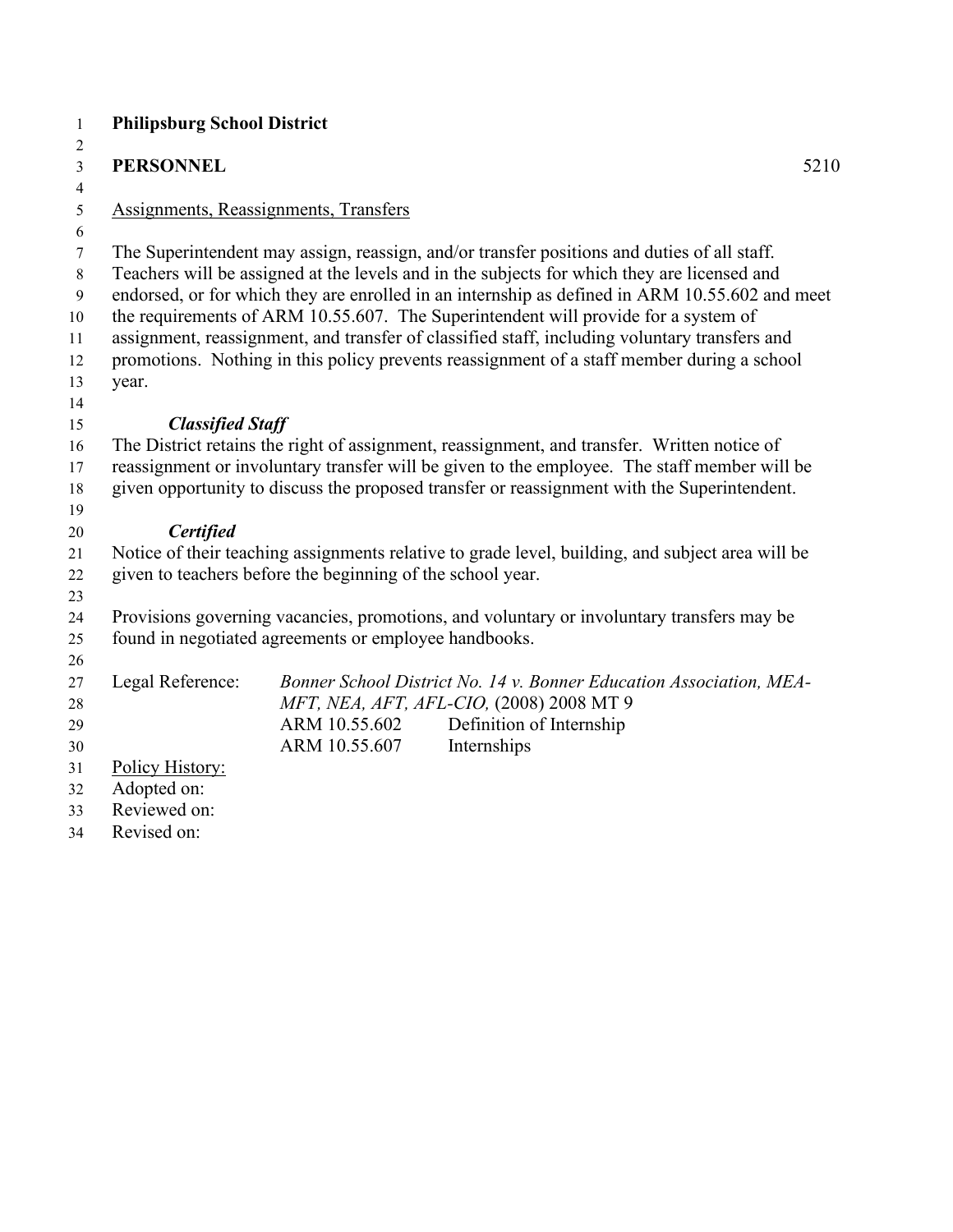| $\mathbf{1}$   | <b>Philipsburg School District</b> |                                                            |                                                                                                  |
|----------------|------------------------------------|------------------------------------------------------------|--------------------------------------------------------------------------------------------------|
| 2              |                                    |                                                            |                                                                                                  |
| $\mathfrak{Z}$ | <b>PERSONNEL</b>                   |                                                            | 5210                                                                                             |
| $\overline{4}$ |                                    |                                                            |                                                                                                  |
| 5              |                                    | <b>Assignments, Reassignments, Transfers</b>               |                                                                                                  |
| 6              |                                    |                                                            |                                                                                                  |
| $\tau$         |                                    |                                                            | The Superintendent may assign, reassign, and/or transfer positions and duties of all staff.      |
| 8              |                                    |                                                            | Teachers will be assigned at the levels and in the subjects for which they are licensed and      |
| 9              |                                    |                                                            | endorsed, or for which they are enrolled in an internship as defined in ARM 10.55.602 and meet   |
| 10             |                                    |                                                            | the requirements of ARM 10.55.607. The Superintendent will provide for a system of               |
| 11             |                                    |                                                            | assignment, reassignment, and transfer of classified staff, including voluntary transfers and    |
| 12             |                                    |                                                            | promotions. Nothing in this policy prevents reassignment of a staff member during a school       |
| 13             | year.                              |                                                            |                                                                                                  |
| 14             |                                    |                                                            |                                                                                                  |
| 15             | <b>Classified Staff</b>            |                                                            |                                                                                                  |
| 16             |                                    |                                                            | The District retains the right of assignment, reassignment, and transfer. Written notice of      |
| 17             |                                    |                                                            | reassignment or involuntary transfer will be given to the employee. The staff member will be     |
| 18             |                                    |                                                            | given opportunity to discuss the proposed transfer or reassignment with the Superintendent.      |
| 19             |                                    |                                                            |                                                                                                  |
| 20             | <b>Certified</b>                   |                                                            |                                                                                                  |
| 21             |                                    |                                                            | Notice of their teaching assignments relative to grade level, building, and subject area will be |
| 22             |                                    | given to teachers before the beginning of the school year. |                                                                                                  |
| 23             |                                    |                                                            |                                                                                                  |
| 24             |                                    |                                                            | Provisions governing vacancies, promotions, and voluntary or involuntary transfers may be        |
| 25             |                                    | found in negotiated agreements or employee handbooks.      |                                                                                                  |
| 26             |                                    |                                                            |                                                                                                  |
| 27             | Legal Reference:                   |                                                            | Bonner School District No. 14 v. Bonner Education Association, MEA-                              |
| 28             |                                    |                                                            | MFT, NEA, AFT, AFL-CIO, (2008) 2008 MT 9                                                         |
| 29             |                                    | ARM 10.55.602                                              | Definition of Internship                                                                         |
| 30             |                                    | ARM 10.55.607                                              | Internships                                                                                      |
| 31             | Policy History:                    |                                                            |                                                                                                  |
| 32             | Adopted on:                        |                                                            |                                                                                                  |
| 33             | Reviewed on:                       |                                                            |                                                                                                  |
| 34             | Revised on:                        |                                                            |                                                                                                  |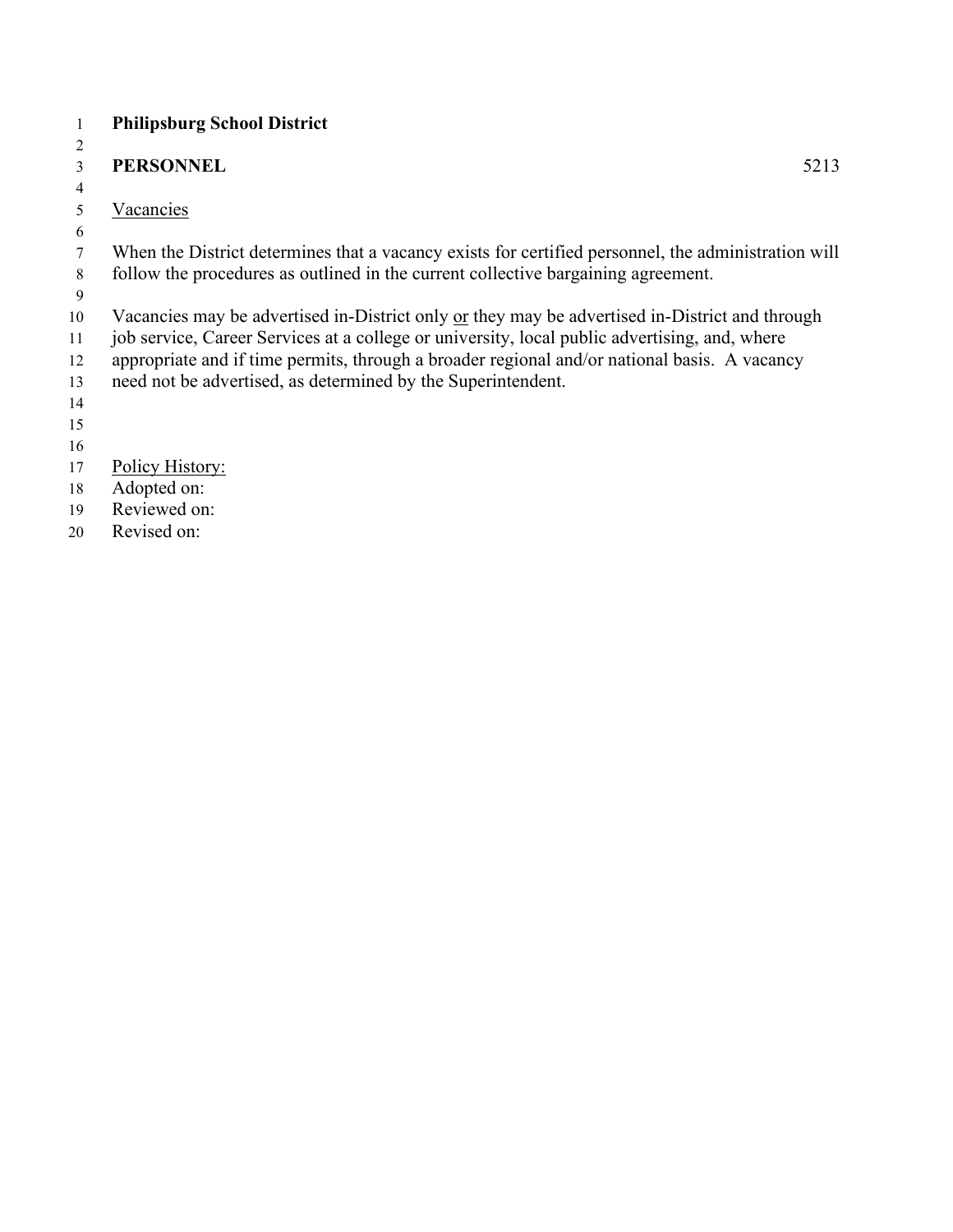#### **PERSONNEL** 5213

- 
- Vacancies
- 
- When the District determines that a vacancy exists for certified personnel, the administration will follow the procedures as outlined in the current collective bargaining agreement.
- 
- 10 Vacancies may be advertised in-District only or they may be advertised in-District and through
- job service, Career Services at a college or university, local public advertising, and, where
- appropriate and if time permits, through a broader regional and/or national basis. A vacancy
- need not be advertised, as determined by the Superintendent.
- 
- 
- 
- 17 Policy History:
- Adopted on:
- Reviewed on:
- Revised on: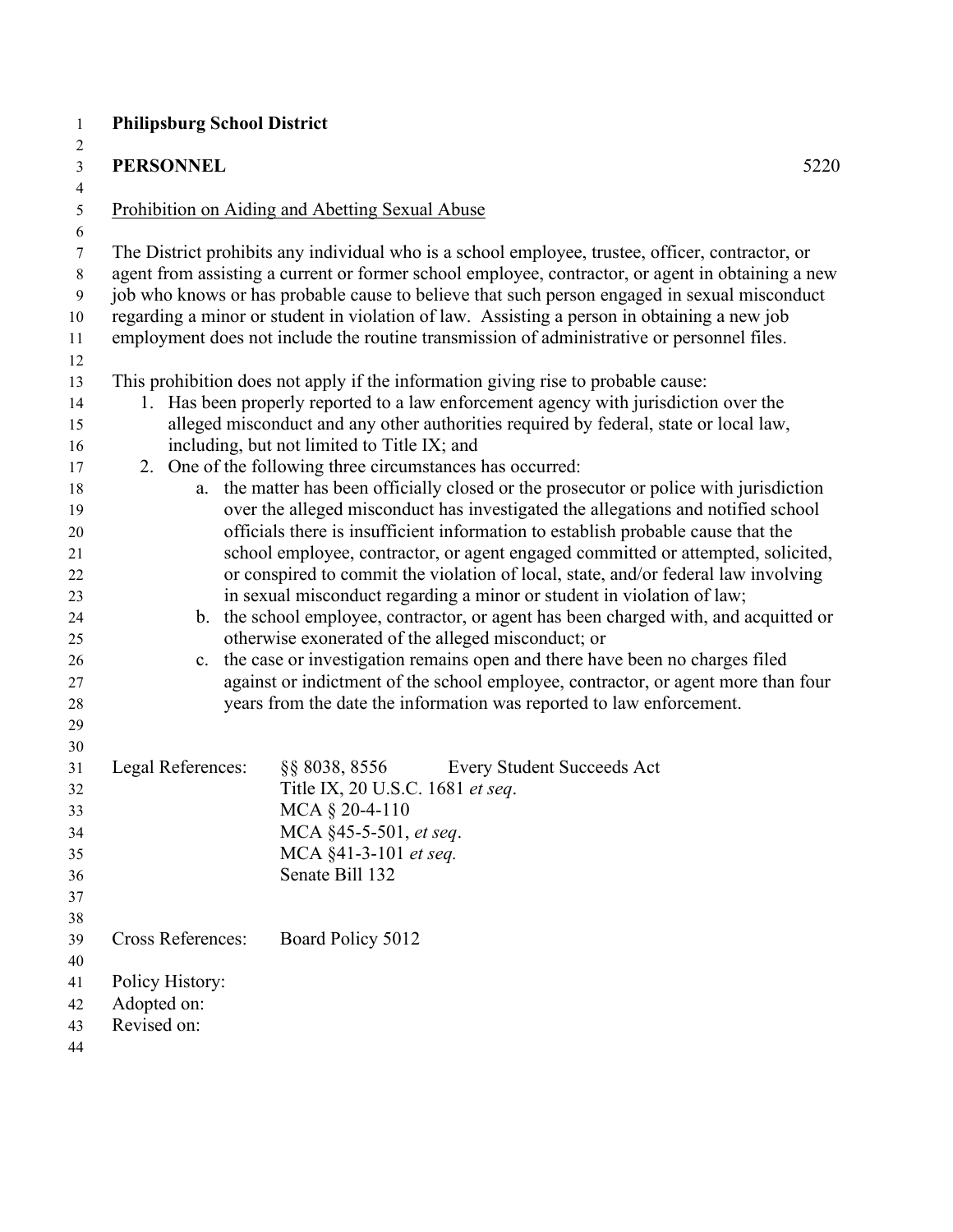| <b>Philipsburg School District</b> |
|------------------------------------|
|                                    |

| 2                            |                                |                                                                                                                                                                           |      |
|------------------------------|--------------------------------|---------------------------------------------------------------------------------------------------------------------------------------------------------------------------|------|
| $\mathfrak{Z}$               | <b>PERSONNEL</b>               |                                                                                                                                                                           | 5220 |
| $\overline{4}$<br>$\sqrt{5}$ |                                | Prohibition on Aiding and Abetting Sexual Abuse                                                                                                                           |      |
| 6                            |                                |                                                                                                                                                                           |      |
| 7                            |                                | The District prohibits any individual who is a school employee, trustee, officer, contractor, or                                                                          |      |
| $8\phantom{1}$               |                                | agent from assisting a current or former school employee, contractor, or agent in obtaining a new                                                                         |      |
| 9                            |                                | job who knows or has probable cause to believe that such person engaged in sexual misconduct                                                                              |      |
| 10                           |                                | regarding a minor or student in violation of law. Assisting a person in obtaining a new job                                                                               |      |
| 11                           |                                | employment does not include the routine transmission of administrative or personnel files.                                                                                |      |
| 12                           |                                |                                                                                                                                                                           |      |
| 13<br>14                     |                                | This prohibition does not apply if the information giving rise to probable cause:<br>1. Has been properly reported to a law enforcement agency with jurisdiction over the |      |
| 15                           |                                | alleged misconduct and any other authorities required by federal, state or local law,                                                                                     |      |
| 16                           |                                | including, but not limited to Title IX; and                                                                                                                               |      |
| 17                           |                                | 2. One of the following three circumstances has occurred:                                                                                                                 |      |
| 18                           | a.                             | the matter has been officially closed or the prosecutor or police with jurisdiction                                                                                       |      |
| 19                           |                                | over the alleged misconduct has investigated the allegations and notified school                                                                                          |      |
| 20                           |                                | officials there is insufficient information to establish probable cause that the                                                                                          |      |
| 21                           |                                | school employee, contractor, or agent engaged committed or attempted, solicited,                                                                                          |      |
| 22                           |                                | or conspired to commit the violation of local, state, and/or federal law involving                                                                                        |      |
| 23<br>24                     |                                | in sexual misconduct regarding a minor or student in violation of law;<br>b. the school employee, contractor, or agent has been charged with, and acquitted or            |      |
| 25                           |                                | otherwise exonerated of the alleged misconduct; or                                                                                                                        |      |
| 26                           |                                | c. the case or investigation remains open and there have been no charges filed                                                                                            |      |
| 27                           |                                | against or indictment of the school employee, contractor, or agent more than four                                                                                         |      |
| 28                           |                                | years from the date the information was reported to law enforcement.                                                                                                      |      |
| 29                           |                                |                                                                                                                                                                           |      |
| 30                           |                                |                                                                                                                                                                           |      |
| 31                           | Legal References:              | §§ 8038, 8556<br><b>Every Student Succeeds Act</b>                                                                                                                        |      |
| 32<br>33                     |                                | Title IX, 20 U.S.C. 1681 et seq.<br>MCA § 20-4-110                                                                                                                        |      |
| 34                           |                                | MCA §45-5-501, et seq.                                                                                                                                                    |      |
| 35                           |                                | MCA §41-3-101 et seq.                                                                                                                                                     |      |
| 36                           |                                | Senate Bill 132                                                                                                                                                           |      |
| 37                           |                                |                                                                                                                                                                           |      |
| 38                           |                                |                                                                                                                                                                           |      |
| 39                           | <b>Cross References:</b>       | Board Policy 5012                                                                                                                                                         |      |
| 40                           |                                |                                                                                                                                                                           |      |
| 41                           | Policy History:<br>Adopted on: |                                                                                                                                                                           |      |
| 42<br>43                     | Revised on:                    |                                                                                                                                                                           |      |
| 44                           |                                |                                                                                                                                                                           |      |
|                              |                                |                                                                                                                                                                           |      |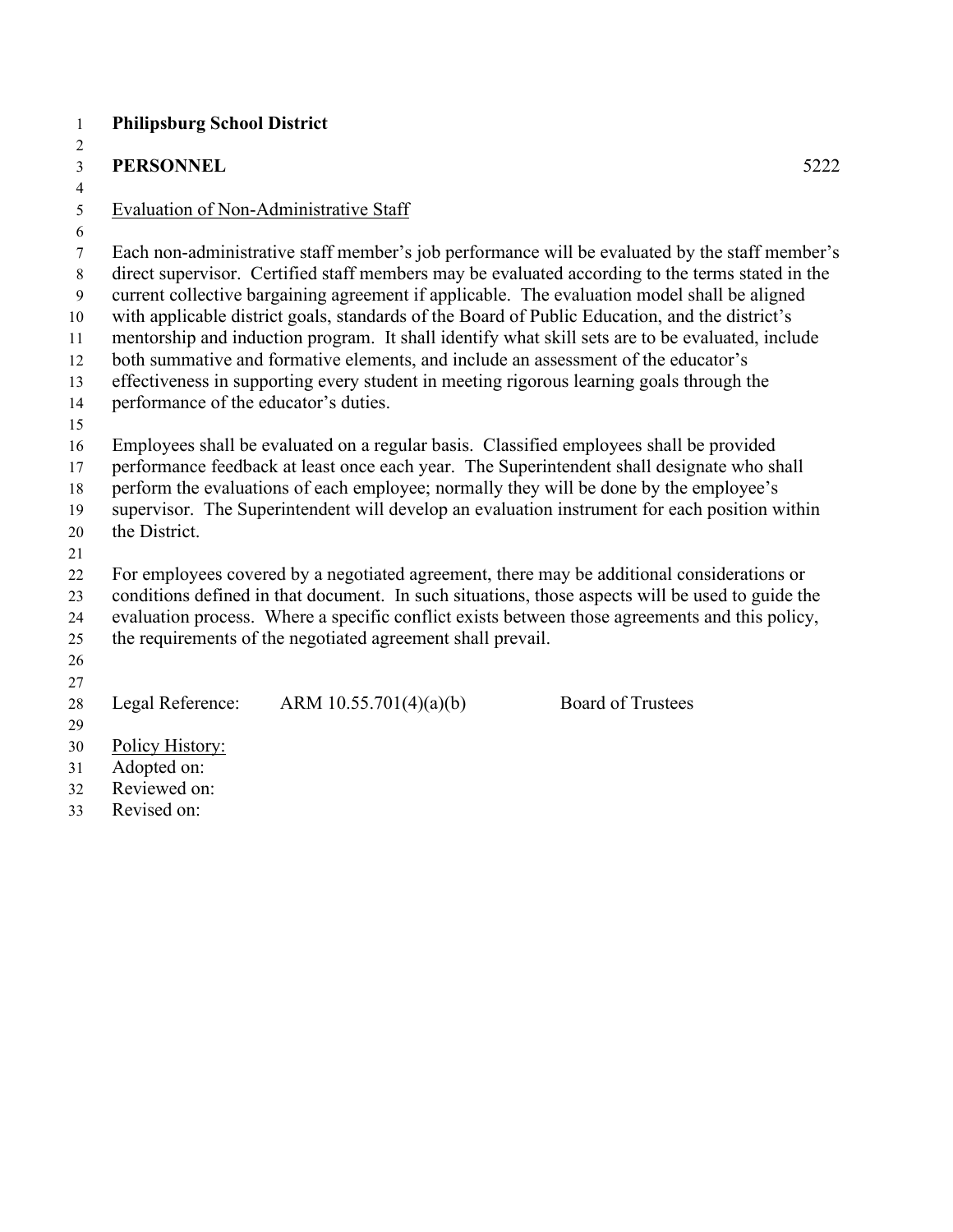#### **Philipsburg School District**  $\frac{1}{2}$

| ∠                |                                                                                                                                                                                      |
|------------------|--------------------------------------------------------------------------------------------------------------------------------------------------------------------------------------|
| 3                | 5222<br><b>PERSONNEL</b>                                                                                                                                                             |
| 4                |                                                                                                                                                                                      |
| 5                | Evaluation of Non-Administrative Staff                                                                                                                                               |
| 6                |                                                                                                                                                                                      |
| 7                | Each non-administrative staff member's job performance will be evaluated by the staff member's                                                                                       |
| $8\,$            | direct supervisor. Certified staff members may be evaluated according to the terms stated in the                                                                                     |
| $\boldsymbol{9}$ | current collective bargaining agreement if applicable. The evaluation model shall be aligned                                                                                         |
| 10               | with applicable district goals, standards of the Board of Public Education, and the district's                                                                                       |
| 11               | mentorship and induction program. It shall identify what skill sets are to be evaluated, include                                                                                     |
| 12               | both summative and formative elements, and include an assessment of the educator's                                                                                                   |
| 13               | effectiveness in supporting every student in meeting rigorous learning goals through the                                                                                             |
| 14               | performance of the educator's duties.                                                                                                                                                |
| 15               |                                                                                                                                                                                      |
| 16               | Employees shall be evaluated on a regular basis. Classified employees shall be provided                                                                                              |
| 17<br>18         | performance feedback at least once each year. The Superintendent shall designate who shall<br>perform the evaluations of each employee; normally they will be done by the employee's |
| 19               | supervisor. The Superintendent will develop an evaluation instrument for each position within                                                                                        |
| 20               | the District.                                                                                                                                                                        |
| 21               |                                                                                                                                                                                      |
| 22               | For employees covered by a negotiated agreement, there may be additional considerations or                                                                                           |
| 23               | conditions defined in that document. In such situations, those aspects will be used to guide the                                                                                     |
| 24               | evaluation process. Where a specific conflict exists between those agreements and this policy,                                                                                       |
| 25               | the requirements of the negotiated agreement shall prevail.                                                                                                                          |
| 26               |                                                                                                                                                                                      |
| 27               |                                                                                                                                                                                      |
| 28               | <b>Board of Trustees</b><br>Legal Reference:<br>ARM $10.55.701(4)(a)(b)$                                                                                                             |
| 29               |                                                                                                                                                                                      |
| 30               | Policy History:                                                                                                                                                                      |
| 31               | Adopted on:                                                                                                                                                                          |
| 32               | Reviewed on:                                                                                                                                                                         |
| 33               | Revised on:                                                                                                                                                                          |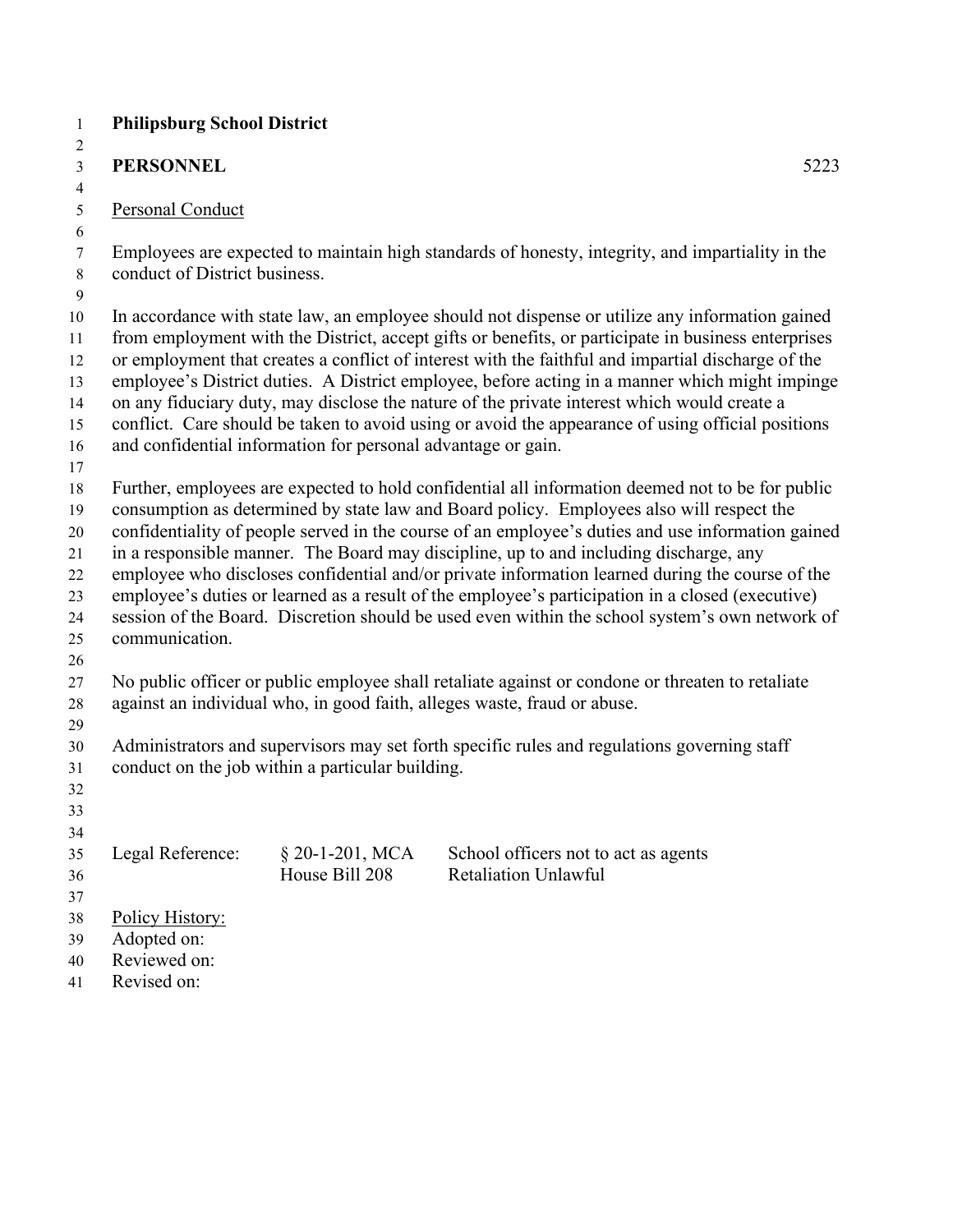| $\mathbf{1}$         | <b>Philipsburg School District</b>                                                               |                                                                                                                                                                              |                                                                                                                                                                                                        |  |
|----------------------|--------------------------------------------------------------------------------------------------|------------------------------------------------------------------------------------------------------------------------------------------------------------------------------|--------------------------------------------------------------------------------------------------------------------------------------------------------------------------------------------------------|--|
| 2<br>$\overline{3}$  | <b>PERSONNEL</b>                                                                                 |                                                                                                                                                                              | 5223                                                                                                                                                                                                   |  |
| $\overline{4}$       |                                                                                                  |                                                                                                                                                                              |                                                                                                                                                                                                        |  |
| $5\,$                | <b>Personal Conduct</b>                                                                          |                                                                                                                                                                              |                                                                                                                                                                                                        |  |
| 6                    |                                                                                                  |                                                                                                                                                                              |                                                                                                                                                                                                        |  |
| $7\phantom{.0}$<br>8 | conduct of District business.                                                                    |                                                                                                                                                                              | Employees are expected to maintain high standards of honesty, integrity, and impartiality in the                                                                                                       |  |
| 9                    |                                                                                                  |                                                                                                                                                                              |                                                                                                                                                                                                        |  |
| 10<br>11             |                                                                                                  |                                                                                                                                                                              | In accordance with state law, an employee should not dispense or utilize any information gained<br>from employment with the District, accept gifts or benefits, or participate in business enterprises |  |
| 12                   |                                                                                                  |                                                                                                                                                                              | or employment that creates a conflict of interest with the faithful and impartial discharge of the                                                                                                     |  |
| 13                   |                                                                                                  |                                                                                                                                                                              | employee's District duties. A District employee, before acting in a manner which might impinge                                                                                                         |  |
| 14<br>15             |                                                                                                  |                                                                                                                                                                              | on any fiduciary duty, may disclose the nature of the private interest which would create a<br>conflict. Care should be taken to avoid using or avoid the appearance of using official positions       |  |
| 16                   |                                                                                                  | and confidential information for personal advantage or gain.                                                                                                                 |                                                                                                                                                                                                        |  |
| 17                   |                                                                                                  |                                                                                                                                                                              |                                                                                                                                                                                                        |  |
| 18                   |                                                                                                  |                                                                                                                                                                              | Further, employees are expected to hold confidential all information deemed not to be for public                                                                                                       |  |
| 19                   |                                                                                                  |                                                                                                                                                                              | consumption as determined by state law and Board policy. Employees also will respect the                                                                                                               |  |
| 20                   |                                                                                                  |                                                                                                                                                                              | confidentiality of people served in the course of an employee's duties and use information gained                                                                                                      |  |
| 21                   |                                                                                                  | in a responsible manner. The Board may discipline, up to and including discharge, any                                                                                        |                                                                                                                                                                                                        |  |
| 22                   |                                                                                                  |                                                                                                                                                                              | employee who discloses confidential and/or private information learned during the course of the                                                                                                        |  |
| 23                   | employee's duties or learned as a result of the employee's participation in a closed (executive) |                                                                                                                                                                              |                                                                                                                                                                                                        |  |
| 24                   | session of the Board. Discretion should be used even within the school system's own network of   |                                                                                                                                                                              |                                                                                                                                                                                                        |  |
| 25                   | communication.                                                                                   |                                                                                                                                                                              |                                                                                                                                                                                                        |  |
| 26<br>27             |                                                                                                  |                                                                                                                                                                              |                                                                                                                                                                                                        |  |
| 28                   |                                                                                                  | No public officer or public employee shall retaliate against or condone or threaten to retaliate<br>against an individual who, in good faith, alleges waste, fraud or abuse. |                                                                                                                                                                                                        |  |
| 29                   |                                                                                                  |                                                                                                                                                                              |                                                                                                                                                                                                        |  |
| 30                   |                                                                                                  |                                                                                                                                                                              | Administrators and supervisors may set forth specific rules and regulations governing staff                                                                                                            |  |
| 31                   |                                                                                                  | conduct on the job within a particular building.                                                                                                                             |                                                                                                                                                                                                        |  |
| 32                   |                                                                                                  |                                                                                                                                                                              |                                                                                                                                                                                                        |  |
| 33                   |                                                                                                  |                                                                                                                                                                              |                                                                                                                                                                                                        |  |
| 34                   |                                                                                                  |                                                                                                                                                                              |                                                                                                                                                                                                        |  |
| 35                   | Legal Reference:                                                                                 | § 20-1-201, MCA                                                                                                                                                              | School officers not to act as agents                                                                                                                                                                   |  |
| 36                   |                                                                                                  | House Bill 208                                                                                                                                                               | <b>Retaliation Unlawful</b>                                                                                                                                                                            |  |
| 37                   |                                                                                                  |                                                                                                                                                                              |                                                                                                                                                                                                        |  |
| 38                   | Policy History:                                                                                  |                                                                                                                                                                              |                                                                                                                                                                                                        |  |
| 39                   | Adopted on:<br>Reviewed on:                                                                      |                                                                                                                                                                              |                                                                                                                                                                                                        |  |
| 40<br>41             | Revised on:                                                                                      |                                                                                                                                                                              |                                                                                                                                                                                                        |  |
|                      |                                                                                                  |                                                                                                                                                                              |                                                                                                                                                                                                        |  |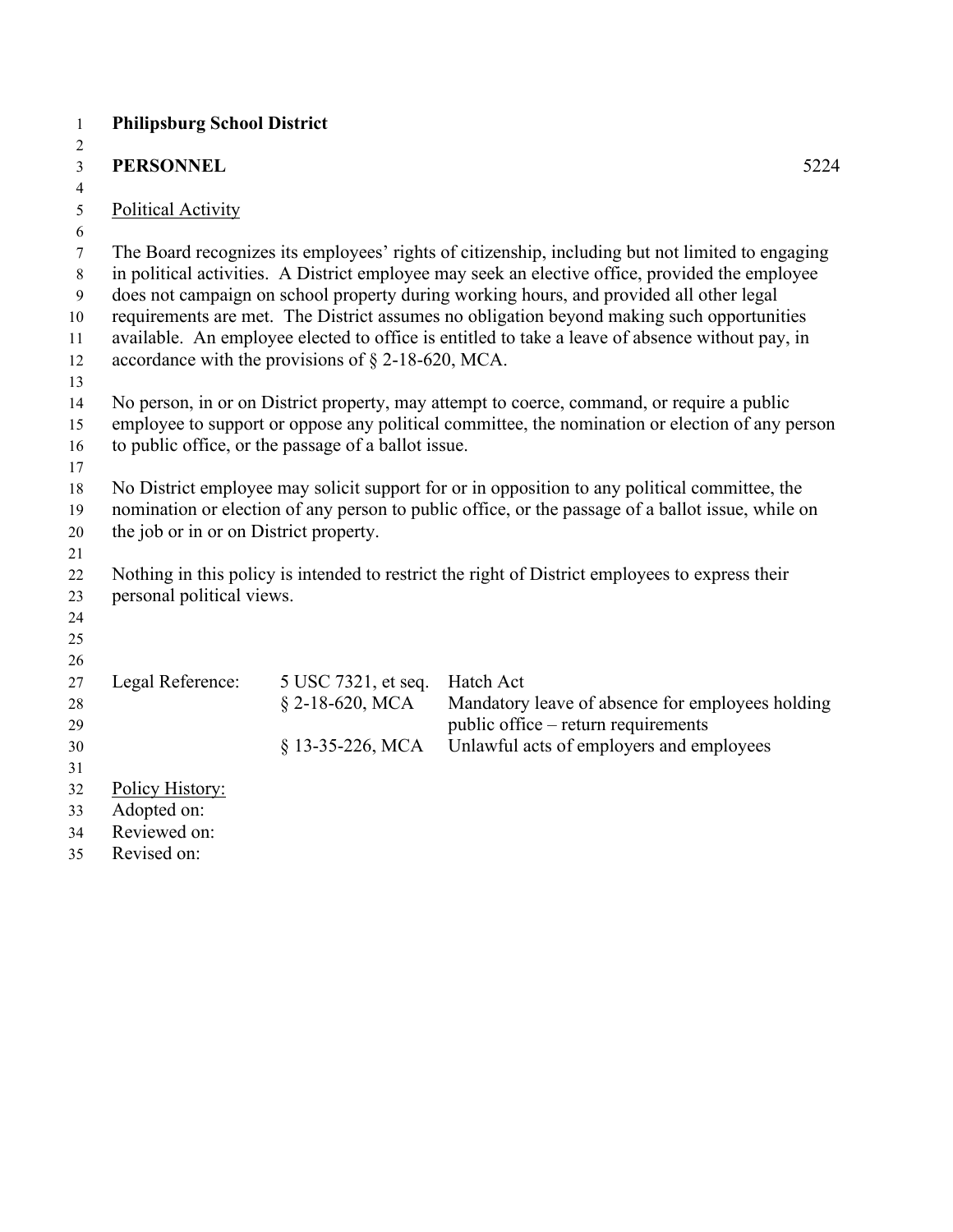| $\mathbf{1}$ | <b>Philipsburg School District</b>     |                                                       |                                                                                                                                                                                            |
|--------------|----------------------------------------|-------------------------------------------------------|--------------------------------------------------------------------------------------------------------------------------------------------------------------------------------------------|
| 2            |                                        |                                                       |                                                                                                                                                                                            |
| 3            | <b>PERSONNEL</b>                       |                                                       | 5224                                                                                                                                                                                       |
| 4            |                                        |                                                       |                                                                                                                                                                                            |
| 5            | <b>Political Activity</b>              |                                                       |                                                                                                                                                                                            |
| 6            |                                        |                                                       |                                                                                                                                                                                            |
| 7            |                                        |                                                       | The Board recognizes its employees' rights of citizenship, including but not limited to engaging                                                                                           |
| $\,8\,$      |                                        |                                                       | in political activities. A District employee may seek an elective office, provided the employee<br>does not campaign on school property during working hours, and provided all other legal |
| 9            |                                        |                                                       | requirements are met. The District assumes no obligation beyond making such opportunities                                                                                                  |
| 10<br>11     |                                        |                                                       | available. An employee elected to office is entitled to take a leave of absence without pay, in                                                                                            |
| 12           |                                        | accordance with the provisions of $\S$ 2-18-620, MCA. |                                                                                                                                                                                            |
| 13           |                                        |                                                       |                                                                                                                                                                                            |
| 14           |                                        |                                                       | No person, in or on District property, may attempt to coerce, command, or require a public                                                                                                 |
| 15           |                                        |                                                       | employee to support or oppose any political committee, the nomination or election of any person                                                                                            |
| 16           |                                        | to public office, or the passage of a ballot issue.   |                                                                                                                                                                                            |
| 17           |                                        |                                                       |                                                                                                                                                                                            |
| 18           |                                        |                                                       | No District employee may solicit support for or in opposition to any political committee, the                                                                                              |
| 19           |                                        |                                                       | nomination or election of any person to public office, or the passage of a ballot issue, while on                                                                                          |
| 20           | the job or in or on District property. |                                                       |                                                                                                                                                                                            |
| 21           |                                        |                                                       |                                                                                                                                                                                            |
| 22           |                                        |                                                       | Nothing in this policy is intended to restrict the right of District employees to express their                                                                                            |
| 23           | personal political views.              |                                                       |                                                                                                                                                                                            |
| 24           |                                        |                                                       |                                                                                                                                                                                            |
| 25           |                                        |                                                       |                                                                                                                                                                                            |
| 26           | Legal Reference:                       | 5 USC 7321, et seq.                                   | Hatch Act                                                                                                                                                                                  |
| 27<br>28     |                                        | $§$ 2-18-620, MCA                                     | Mandatory leave of absence for employees holding                                                                                                                                           |
| 29           |                                        |                                                       | public office – return requirements                                                                                                                                                        |
| 30           |                                        | $§$ 13-35-226, MCA                                    | Unlawful acts of employers and employees                                                                                                                                                   |
| 31           |                                        |                                                       |                                                                                                                                                                                            |
| 32           | Policy History:                        |                                                       |                                                                                                                                                                                            |
| 33           | Adopted on:                            |                                                       |                                                                                                                                                                                            |
| 34           | Reviewed on:                           |                                                       |                                                                                                                                                                                            |
| 35           | Revised on:                            |                                                       |                                                                                                                                                                                            |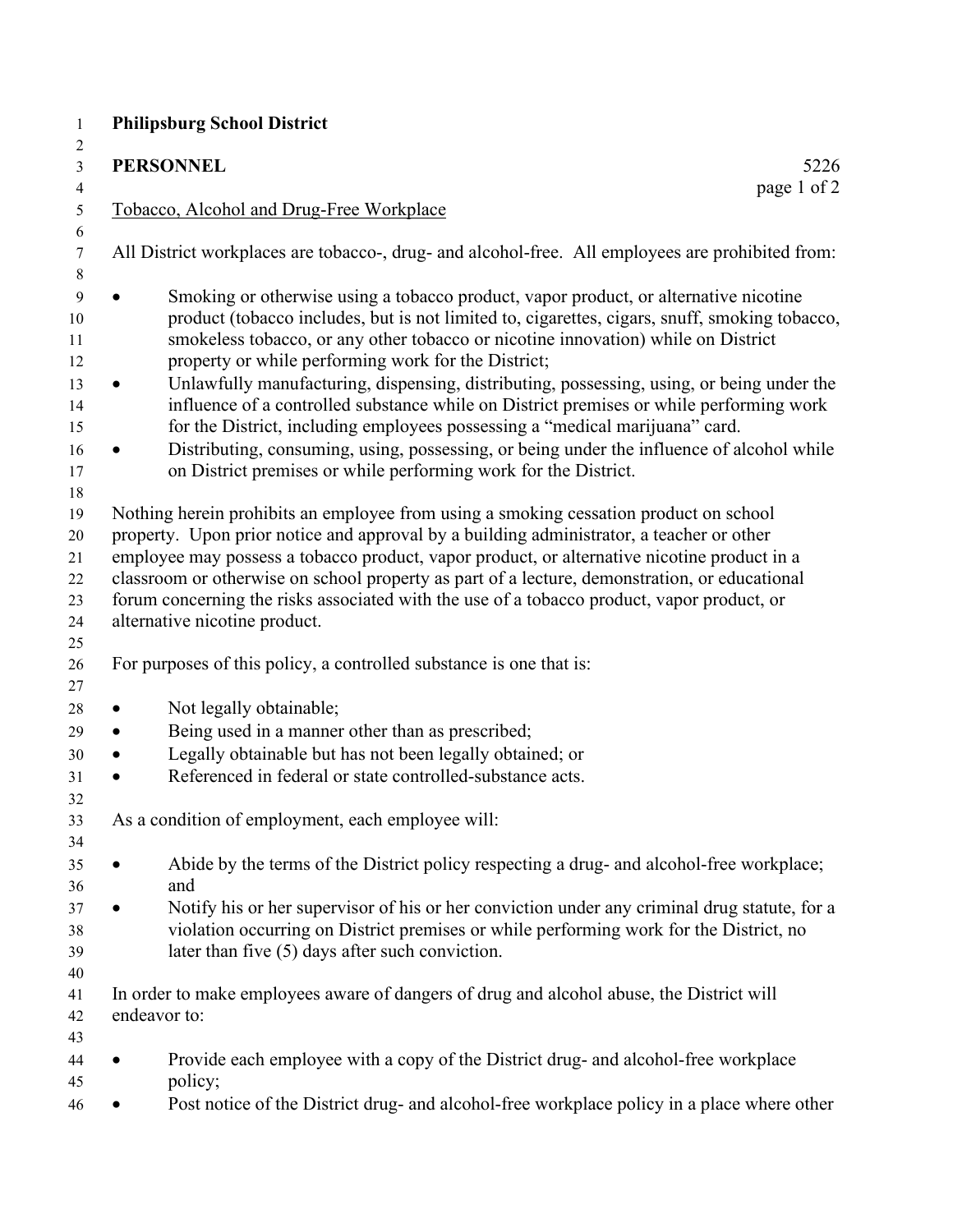| $\mathbf{1}$                                       | <b>Philipsburg School District</b>                                                                                                                                                                                                                                                                                                                                                                                                                                                                                                                                                                                     |      |
|----------------------------------------------------|------------------------------------------------------------------------------------------------------------------------------------------------------------------------------------------------------------------------------------------------------------------------------------------------------------------------------------------------------------------------------------------------------------------------------------------------------------------------------------------------------------------------------------------------------------------------------------------------------------------------|------|
| $\mathfrak{2}$<br>$\mathfrak{Z}$<br>$\overline{4}$ | <b>PERSONNEL</b><br>page 1 of 2                                                                                                                                                                                                                                                                                                                                                                                                                                                                                                                                                                                        | 5226 |
| $\sqrt{5}$                                         | Tobacco, Alcohol and Drug-Free Workplace                                                                                                                                                                                                                                                                                                                                                                                                                                                                                                                                                                               |      |
| $\sqrt{6}$<br>$\boldsymbol{7}$<br>$8\,$            | All District workplaces are tobacco-, drug- and alcohol-free. All employees are prohibited from:                                                                                                                                                                                                                                                                                                                                                                                                                                                                                                                       |      |
| 9<br>10<br>11<br>12<br>13<br>14<br>15              | Smoking or otherwise using a tobacco product, vapor product, or alternative nicotine<br>product (tobacco includes, but is not limited to, cigarettes, cigars, snuff, smoking tobacco,<br>smokeless tobacco, or any other tobacco or nicotine innovation) while on District<br>property or while performing work for the District;<br>Unlawfully manufacturing, dispensing, distributing, possessing, using, or being under the<br>$\bullet$<br>influence of a controlled substance while on District premises or while performing work<br>for the District, including employees possessing a "medical marijuana" card. |      |
| 16<br>17                                           | Distributing, consuming, using, possessing, or being under the influence of alcohol while<br>on District premises or while performing work for the District.                                                                                                                                                                                                                                                                                                                                                                                                                                                           |      |
| 18<br>19<br>$20\,$<br>21<br>22<br>23<br>24         | Nothing herein prohibits an employee from using a smoking cessation product on school<br>property. Upon prior notice and approval by a building administrator, a teacher or other<br>employee may possess a tobacco product, vapor product, or alternative nicotine product in a<br>classroom or otherwise on school property as part of a lecture, demonstration, or educational<br>forum concerning the risks associated with the use of a tobacco product, vapor product, or<br>alternative nicotine product.                                                                                                       |      |
| 25<br>26                                           | For purposes of this policy, a controlled substance is one that is:                                                                                                                                                                                                                                                                                                                                                                                                                                                                                                                                                    |      |
| 27<br>$28\,$<br>29<br>30<br>31                     | Not legally obtainable;<br>Being used in a manner other than as prescribed;<br>$\bullet$<br>Legally obtainable but has not been legally obtained; or<br>Referenced in federal or state controlled-substance acts.                                                                                                                                                                                                                                                                                                                                                                                                      |      |
| 32<br>33                                           | As a condition of employment, each employee will:                                                                                                                                                                                                                                                                                                                                                                                                                                                                                                                                                                      |      |
| 34<br>35<br>36<br>37<br>38<br>39<br>40             | Abide by the terms of the District policy respecting a drug- and alcohol-free workplace;<br>$\bullet$<br>and<br>Notify his or her supervisor of his or her conviction under any criminal drug statute, for a<br>٠<br>violation occurring on District premises or while performing work for the District, no<br>later than five $(5)$ days after such conviction.                                                                                                                                                                                                                                                       |      |
| 41<br>42                                           | In order to make employees aware of dangers of drug and alcohol abuse, the District will<br>endeavor to:                                                                                                                                                                                                                                                                                                                                                                                                                                                                                                               |      |
| 43<br>44<br>45                                     | Provide each employee with a copy of the District drug- and alcohol-free workplace<br>٠<br>policy;                                                                                                                                                                                                                                                                                                                                                                                                                                                                                                                     |      |
| 46                                                 | Post notice of the District drug- and alcohol-free workplace policy in a place where other                                                                                                                                                                                                                                                                                                                                                                                                                                                                                                                             |      |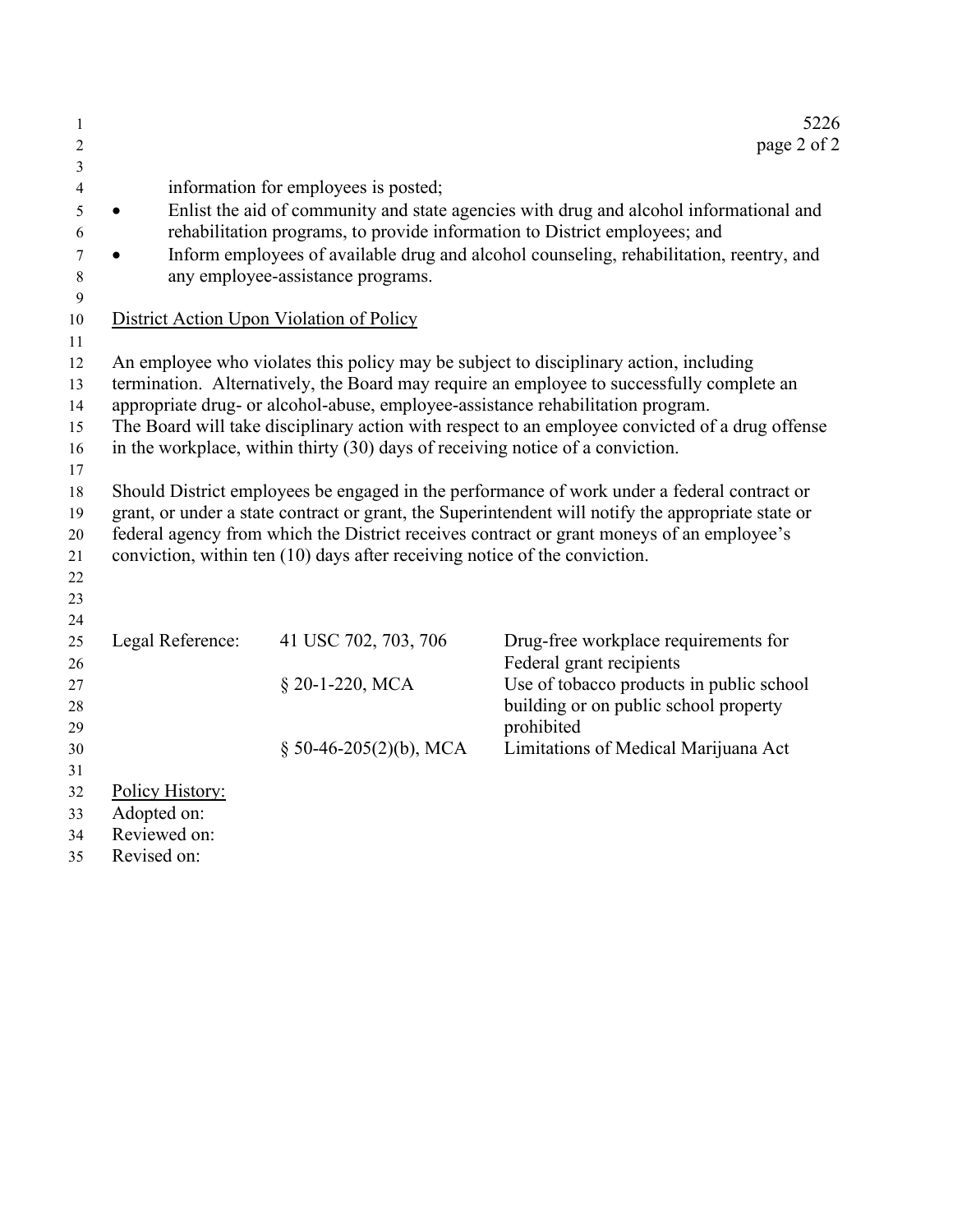| 1<br>$\overline{c}$                   |                  |                                                                                | 5226<br>page 2 of 2                                                                                                                                                                                                                                             |
|---------------------------------------|------------------|--------------------------------------------------------------------------------|-----------------------------------------------------------------------------------------------------------------------------------------------------------------------------------------------------------------------------------------------------------------|
| 3<br>4<br>5<br>6<br>7<br>$\,8\,$<br>9 |                  | information for employees is posted;<br>any employee-assistance programs.      | Enlist the aid of community and state agencies with drug and alcohol informational and<br>rehabilitation programs, to provide information to District employees; and<br>Inform employees of available drug and alcohol counseling, rehabilitation, reentry, and |
| 10                                    |                  | District Action Upon Violation of Policy                                       |                                                                                                                                                                                                                                                                 |
| 11                                    |                  |                                                                                |                                                                                                                                                                                                                                                                 |
| 12                                    |                  |                                                                                | An employee who violates this policy may be subject to disciplinary action, including                                                                                                                                                                           |
| 13                                    |                  |                                                                                | termination. Alternatively, the Board may require an employee to successfully complete an                                                                                                                                                                       |
| 14                                    |                  |                                                                                | appropriate drug- or alcohol-abuse, employee-assistance rehabilitation program.                                                                                                                                                                                 |
| 15                                    |                  | in the workplace, within thirty (30) days of receiving notice of a conviction. | The Board will take disciplinary action with respect to an employee convicted of a drug offense                                                                                                                                                                 |
| 16<br>17                              |                  |                                                                                |                                                                                                                                                                                                                                                                 |
| 18                                    |                  |                                                                                | Should District employees be engaged in the performance of work under a federal contract or                                                                                                                                                                     |
| 19                                    |                  |                                                                                | grant, or under a state contract or grant, the Superintendent will notify the appropriate state or                                                                                                                                                              |
| 20                                    |                  |                                                                                | federal agency from which the District receives contract or grant moneys of an employee's                                                                                                                                                                       |
| 21                                    |                  | conviction, within ten (10) days after receiving notice of the conviction.     |                                                                                                                                                                                                                                                                 |
| 22                                    |                  |                                                                                |                                                                                                                                                                                                                                                                 |
| 23                                    |                  |                                                                                |                                                                                                                                                                                                                                                                 |
| 24                                    |                  |                                                                                |                                                                                                                                                                                                                                                                 |
| 25                                    | Legal Reference: | 41 USC 702, 703, 706                                                           | Drug-free workplace requirements for                                                                                                                                                                                                                            |
| 26                                    |                  |                                                                                | Federal grant recipients                                                                                                                                                                                                                                        |
| 27                                    |                  | § 20-1-220, MCA                                                                | Use of tobacco products in public school                                                                                                                                                                                                                        |
| 28                                    |                  |                                                                                | building or on public school property                                                                                                                                                                                                                           |
| 29                                    |                  |                                                                                | prohibited                                                                                                                                                                                                                                                      |
| 30                                    |                  | $\S$ 50-46-205(2)(b), MCA                                                      | Limitations of Medical Marijuana Act                                                                                                                                                                                                                            |
| 31                                    |                  |                                                                                |                                                                                                                                                                                                                                                                 |
| 32                                    | Policy History:  |                                                                                |                                                                                                                                                                                                                                                                 |
| 33                                    | Adopted on:      |                                                                                |                                                                                                                                                                                                                                                                 |
| 34                                    | Reviewed on:     |                                                                                |                                                                                                                                                                                                                                                                 |
| 35                                    | Revised on:      |                                                                                |                                                                                                                                                                                                                                                                 |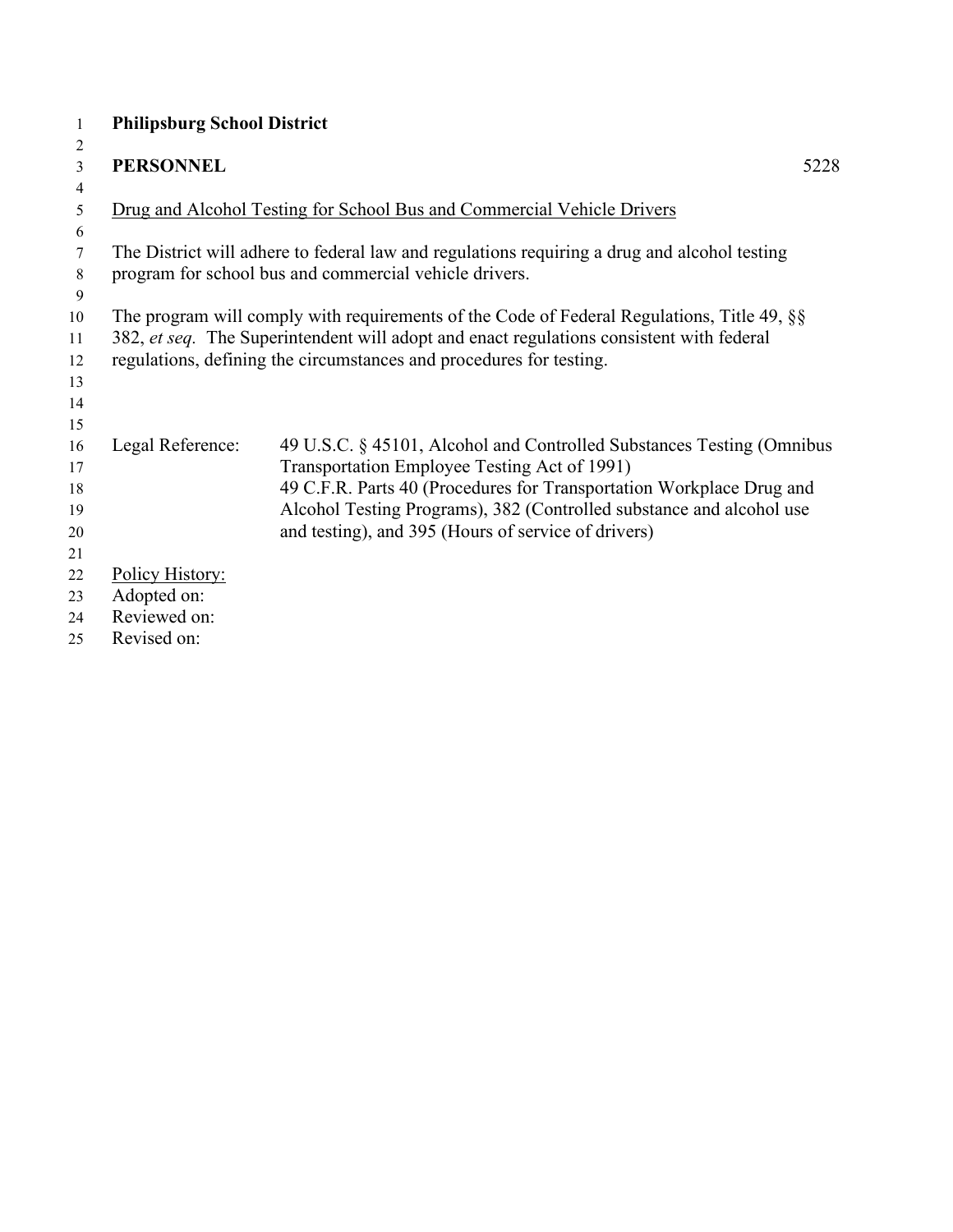| $\overline{2}$<br><b>PERSONNEL</b><br>5228<br>$\overline{3}$<br>4<br>Drug and Alcohol Testing for School Bus and Commercial Vehicle Drivers<br>5<br>6<br>The District will adhere to federal law and regulations requiring a drug and alcohol testing<br>7<br>program for school bus and commercial vehicle drivers.<br>8<br>9<br>The program will comply with requirements of the Code of Federal Regulations, Title 49, §§<br>10<br>382, et seq. The Superintendent will adopt and enact regulations consistent with federal<br>11<br>regulations, defining the circumstances and procedures for testing.<br>12<br>13<br>14<br>15<br>Legal Reference:<br>49 U.S.C. § 45101, Alcohol and Controlled Substances Testing (Omnibus<br>16<br>Transportation Employee Testing Act of 1991)<br>17<br>49 C.F.R. Parts 40 (Procedures for Transportation Workplace Drug and<br>18<br>Alcohol Testing Programs), 382 (Controlled substance and alcohol use<br>19<br>and testing), and 395 (Hours of service of drivers)<br>20<br>21<br>Policy History:<br>22<br>Adopted on:<br>23 | $\mathbf{1}$ | <b>Philipsburg School District</b> |  |
|---------------------------------------------------------------------------------------------------------------------------------------------------------------------------------------------------------------------------------------------------------------------------------------------------------------------------------------------------------------------------------------------------------------------------------------------------------------------------------------------------------------------------------------------------------------------------------------------------------------------------------------------------------------------------------------------------------------------------------------------------------------------------------------------------------------------------------------------------------------------------------------------------------------------------------------------------------------------------------------------------------------------------------------------------------------------------|--------------|------------------------------------|--|
|                                                                                                                                                                                                                                                                                                                                                                                                                                                                                                                                                                                                                                                                                                                                                                                                                                                                                                                                                                                                                                                                           |              |                                    |  |
|                                                                                                                                                                                                                                                                                                                                                                                                                                                                                                                                                                                                                                                                                                                                                                                                                                                                                                                                                                                                                                                                           |              |                                    |  |
|                                                                                                                                                                                                                                                                                                                                                                                                                                                                                                                                                                                                                                                                                                                                                                                                                                                                                                                                                                                                                                                                           |              |                                    |  |
|                                                                                                                                                                                                                                                                                                                                                                                                                                                                                                                                                                                                                                                                                                                                                                                                                                                                                                                                                                                                                                                                           |              |                                    |  |
|                                                                                                                                                                                                                                                                                                                                                                                                                                                                                                                                                                                                                                                                                                                                                                                                                                                                                                                                                                                                                                                                           |              |                                    |  |
|                                                                                                                                                                                                                                                                                                                                                                                                                                                                                                                                                                                                                                                                                                                                                                                                                                                                                                                                                                                                                                                                           |              |                                    |  |
|                                                                                                                                                                                                                                                                                                                                                                                                                                                                                                                                                                                                                                                                                                                                                                                                                                                                                                                                                                                                                                                                           |              |                                    |  |
|                                                                                                                                                                                                                                                                                                                                                                                                                                                                                                                                                                                                                                                                                                                                                                                                                                                                                                                                                                                                                                                                           |              |                                    |  |
|                                                                                                                                                                                                                                                                                                                                                                                                                                                                                                                                                                                                                                                                                                                                                                                                                                                                                                                                                                                                                                                                           |              |                                    |  |
|                                                                                                                                                                                                                                                                                                                                                                                                                                                                                                                                                                                                                                                                                                                                                                                                                                                                                                                                                                                                                                                                           |              |                                    |  |
|                                                                                                                                                                                                                                                                                                                                                                                                                                                                                                                                                                                                                                                                                                                                                                                                                                                                                                                                                                                                                                                                           |              |                                    |  |
|                                                                                                                                                                                                                                                                                                                                                                                                                                                                                                                                                                                                                                                                                                                                                                                                                                                                                                                                                                                                                                                                           |              |                                    |  |
|                                                                                                                                                                                                                                                                                                                                                                                                                                                                                                                                                                                                                                                                                                                                                                                                                                                                                                                                                                                                                                                                           |              |                                    |  |
|                                                                                                                                                                                                                                                                                                                                                                                                                                                                                                                                                                                                                                                                                                                                                                                                                                                                                                                                                                                                                                                                           |              |                                    |  |
|                                                                                                                                                                                                                                                                                                                                                                                                                                                                                                                                                                                                                                                                                                                                                                                                                                                                                                                                                                                                                                                                           |              |                                    |  |
|                                                                                                                                                                                                                                                                                                                                                                                                                                                                                                                                                                                                                                                                                                                                                                                                                                                                                                                                                                                                                                                                           |              |                                    |  |
|                                                                                                                                                                                                                                                                                                                                                                                                                                                                                                                                                                                                                                                                                                                                                                                                                                                                                                                                                                                                                                                                           |              |                                    |  |
|                                                                                                                                                                                                                                                                                                                                                                                                                                                                                                                                                                                                                                                                                                                                                                                                                                                                                                                                                                                                                                                                           |              |                                    |  |
|                                                                                                                                                                                                                                                                                                                                                                                                                                                                                                                                                                                                                                                                                                                                                                                                                                                                                                                                                                                                                                                                           |              |                                    |  |
|                                                                                                                                                                                                                                                                                                                                                                                                                                                                                                                                                                                                                                                                                                                                                                                                                                                                                                                                                                                                                                                                           |              |                                    |  |
|                                                                                                                                                                                                                                                                                                                                                                                                                                                                                                                                                                                                                                                                                                                                                                                                                                                                                                                                                                                                                                                                           |              |                                    |  |
| 24                                                                                                                                                                                                                                                                                                                                                                                                                                                                                                                                                                                                                                                                                                                                                                                                                                                                                                                                                                                                                                                                        |              | Reviewed on:                       |  |
| Revised on:<br>25                                                                                                                                                                                                                                                                                                                                                                                                                                                                                                                                                                                                                                                                                                                                                                                                                                                                                                                                                                                                                                                         |              |                                    |  |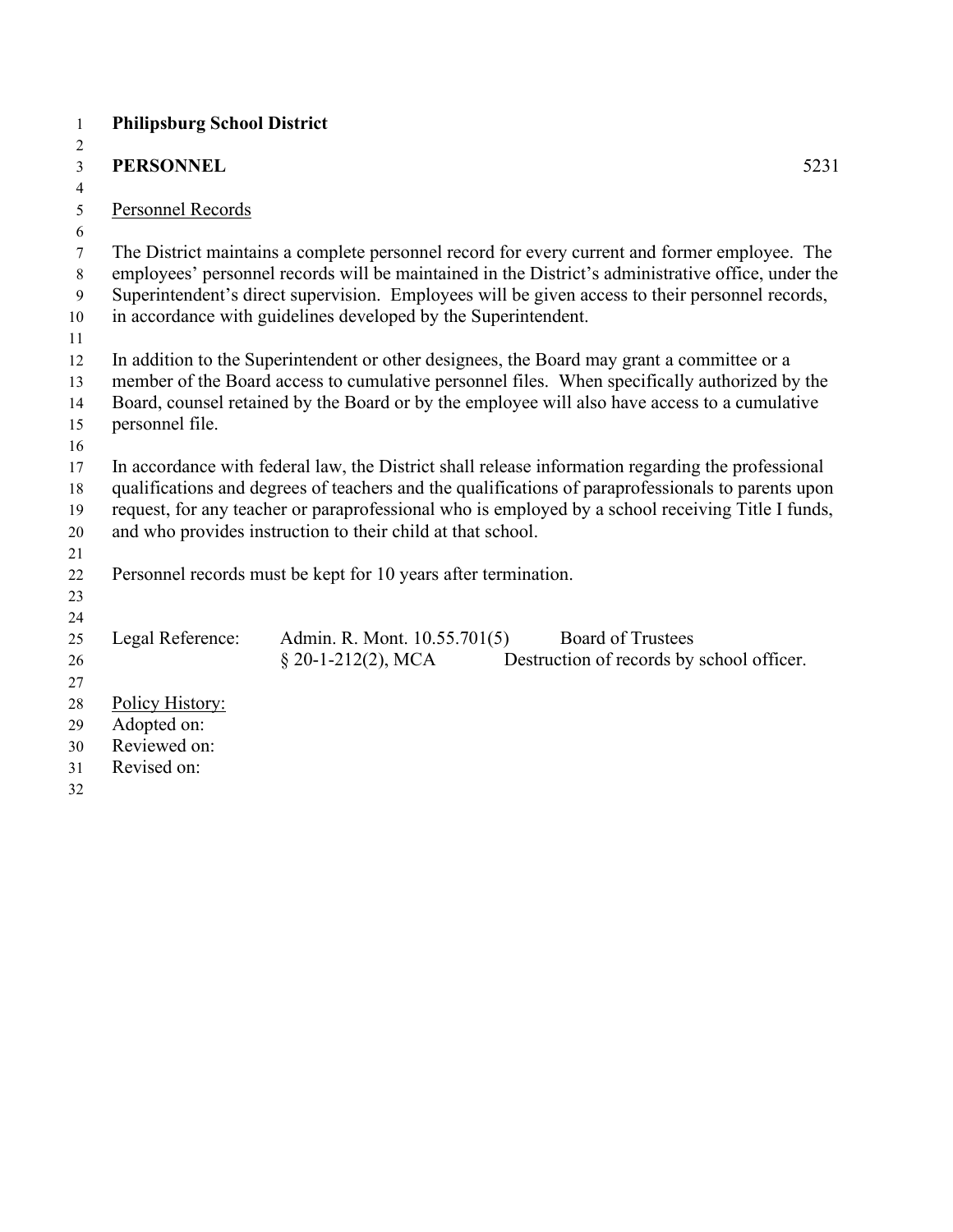| $\mathbf{1}$   | <b>Philipsburg School District</b>                                                                                                                                                                      |                                                                |                                                                                                                                                                                             |
|----------------|---------------------------------------------------------------------------------------------------------------------------------------------------------------------------------------------------------|----------------------------------------------------------------|---------------------------------------------------------------------------------------------------------------------------------------------------------------------------------------------|
| 2              |                                                                                                                                                                                                         |                                                                |                                                                                                                                                                                             |
| 3              | <b>PERSONNEL</b>                                                                                                                                                                                        |                                                                | 5231                                                                                                                                                                                        |
| $\overline{4}$ |                                                                                                                                                                                                         |                                                                |                                                                                                                                                                                             |
| 5              | <b>Personnel Records</b>                                                                                                                                                                                |                                                                |                                                                                                                                                                                             |
| 6              |                                                                                                                                                                                                         |                                                                |                                                                                                                                                                                             |
| $\tau$         |                                                                                                                                                                                                         |                                                                | The District maintains a complete personnel record for every current and former employee. The                                                                                               |
| 8              |                                                                                                                                                                                                         |                                                                | employees' personnel records will be maintained in the District's administrative office, under the                                                                                          |
| 9              |                                                                                                                                                                                                         |                                                                | Superintendent's direct supervision. Employees will be given access to their personnel records,                                                                                             |
| 10             |                                                                                                                                                                                                         | in accordance with guidelines developed by the Superintendent. |                                                                                                                                                                                             |
| 11             |                                                                                                                                                                                                         |                                                                |                                                                                                                                                                                             |
| 12<br>13       |                                                                                                                                                                                                         |                                                                | In addition to the Superintendent or other designees, the Board may grant a committee or a<br>member of the Board access to cumulative personnel files. When specifically authorized by the |
| 14             |                                                                                                                                                                                                         |                                                                | Board, counsel retained by the Board or by the employee will also have access to a cumulative                                                                                               |
| 15             | personnel file.                                                                                                                                                                                         |                                                                |                                                                                                                                                                                             |
| 16             |                                                                                                                                                                                                         |                                                                |                                                                                                                                                                                             |
| 17             |                                                                                                                                                                                                         |                                                                |                                                                                                                                                                                             |
| 18             | In accordance with federal law, the District shall release information regarding the professional<br>qualifications and degrees of teachers and the qualifications of paraprofessionals to parents upon |                                                                |                                                                                                                                                                                             |
| 19             |                                                                                                                                                                                                         |                                                                | request, for any teacher or paraprofessional who is employed by a school receiving Title I funds,                                                                                           |
| 20             |                                                                                                                                                                                                         | and who provides instruction to their child at that school.    |                                                                                                                                                                                             |
| 21             |                                                                                                                                                                                                         |                                                                |                                                                                                                                                                                             |
| 22             |                                                                                                                                                                                                         | Personnel records must be kept for 10 years after termination. |                                                                                                                                                                                             |
| 23             |                                                                                                                                                                                                         |                                                                |                                                                                                                                                                                             |
| 24             |                                                                                                                                                                                                         |                                                                |                                                                                                                                                                                             |
| 25             | Legal Reference:                                                                                                                                                                                        | Admin. R. Mont. 10.55.701(5)                                   | <b>Board of Trustees</b>                                                                                                                                                                    |
| 26             |                                                                                                                                                                                                         | $$20-1-212(2), MCA$                                            | Destruction of records by school officer.                                                                                                                                                   |
| 27             |                                                                                                                                                                                                         |                                                                |                                                                                                                                                                                             |
| 28             | Policy History:                                                                                                                                                                                         |                                                                |                                                                                                                                                                                             |
| 29             | Adopted on:                                                                                                                                                                                             |                                                                |                                                                                                                                                                                             |
| 30             | Reviewed on:                                                                                                                                                                                            |                                                                |                                                                                                                                                                                             |
| 31             | Revised on:                                                                                                                                                                                             |                                                                |                                                                                                                                                                                             |
| 32             |                                                                                                                                                                                                         |                                                                |                                                                                                                                                                                             |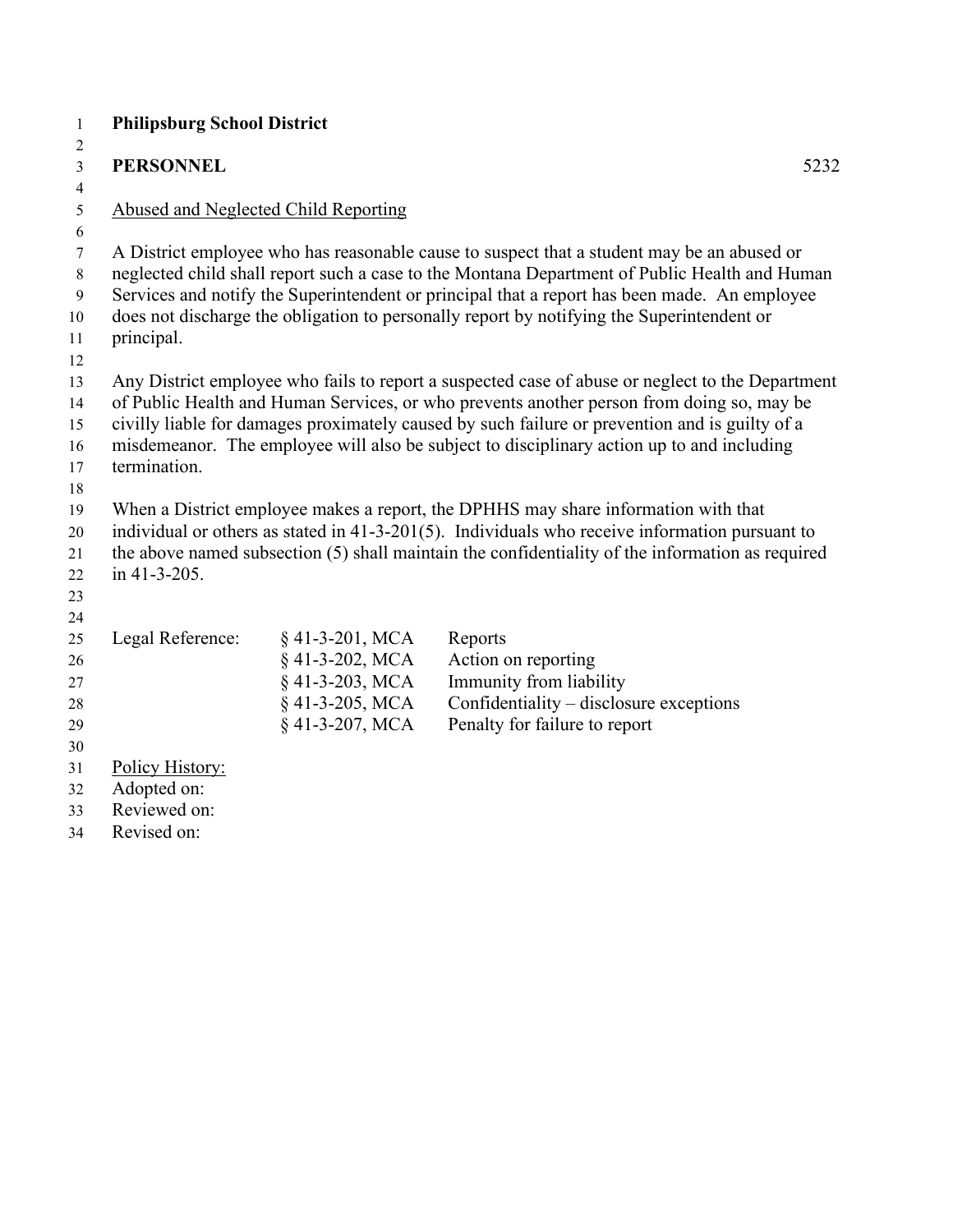| $\mathbf{1}$   | <b>Philipsburg School District</b> |                                             |                                                                                                                                                                                           |
|----------------|------------------------------------|---------------------------------------------|-------------------------------------------------------------------------------------------------------------------------------------------------------------------------------------------|
| 2              |                                    |                                             |                                                                                                                                                                                           |
| $\mathfrak{Z}$ | <b>PERSONNEL</b>                   |                                             | 5232                                                                                                                                                                                      |
| $\overline{4}$ |                                    |                                             |                                                                                                                                                                                           |
| $\sqrt{5}$     |                                    | <b>Abused and Neglected Child Reporting</b> |                                                                                                                                                                                           |
| 6              |                                    |                                             |                                                                                                                                                                                           |
| $\tau$         |                                    |                                             | A District employee who has reasonable cause to suspect that a student may be an abused or                                                                                                |
| 8              |                                    |                                             | neglected child shall report such a case to the Montana Department of Public Health and Human                                                                                             |
| 9              |                                    |                                             | Services and notify the Superintendent or principal that a report has been made. An employee<br>does not discharge the obligation to personally report by notifying the Superintendent or |
| 10<br>11       | principal.                         |                                             |                                                                                                                                                                                           |
| 12             |                                    |                                             |                                                                                                                                                                                           |
| 13             |                                    |                                             | Any District employee who fails to report a suspected case of abuse or neglect to the Department                                                                                          |
| 14             |                                    |                                             | of Public Health and Human Services, or who prevents another person from doing so, may be                                                                                                 |
| 15             |                                    |                                             | civilly liable for damages proximately caused by such failure or prevention and is guilty of a                                                                                            |
| 16             |                                    |                                             | misdemeanor. The employee will also be subject to disciplinary action up to and including                                                                                                 |
| 17             | termination.                       |                                             |                                                                                                                                                                                           |
| 18             |                                    |                                             |                                                                                                                                                                                           |
| 19             |                                    |                                             | When a District employee makes a report, the DPHHS may share information with that                                                                                                        |
| 20             |                                    |                                             | individual or others as stated in $41-3-201(5)$ . Individuals who receive information pursuant to                                                                                         |
| 21             |                                    |                                             | the above named subsection (5) shall maintain the confidentiality of the information as required                                                                                          |
| 22             | in 41-3-205.                       |                                             |                                                                                                                                                                                           |
| 23             |                                    |                                             |                                                                                                                                                                                           |
| 24             |                                    |                                             |                                                                                                                                                                                           |
| 25             | Legal Reference:                   | $§$ 41-3-201, MCA                           | Reports                                                                                                                                                                                   |
| 26             |                                    | § 41-3-202, MCA                             | Action on reporting                                                                                                                                                                       |
| 27             |                                    | § 41-3-203, MCA                             | Immunity from liability                                                                                                                                                                   |
| 28             |                                    | §41-3-205, MCA                              | Confidentiality – disclosure exceptions                                                                                                                                                   |
| 29             |                                    | § 41-3-207, MCA                             | Penalty for failure to report                                                                                                                                                             |
| 30             |                                    |                                             |                                                                                                                                                                                           |
| 31             | Policy History:                    |                                             |                                                                                                                                                                                           |
| 32<br>33       | Adopted on:<br>Reviewed on:        |                                             |                                                                                                                                                                                           |
| 34             | Revised on:                        |                                             |                                                                                                                                                                                           |
|                |                                    |                                             |                                                                                                                                                                                           |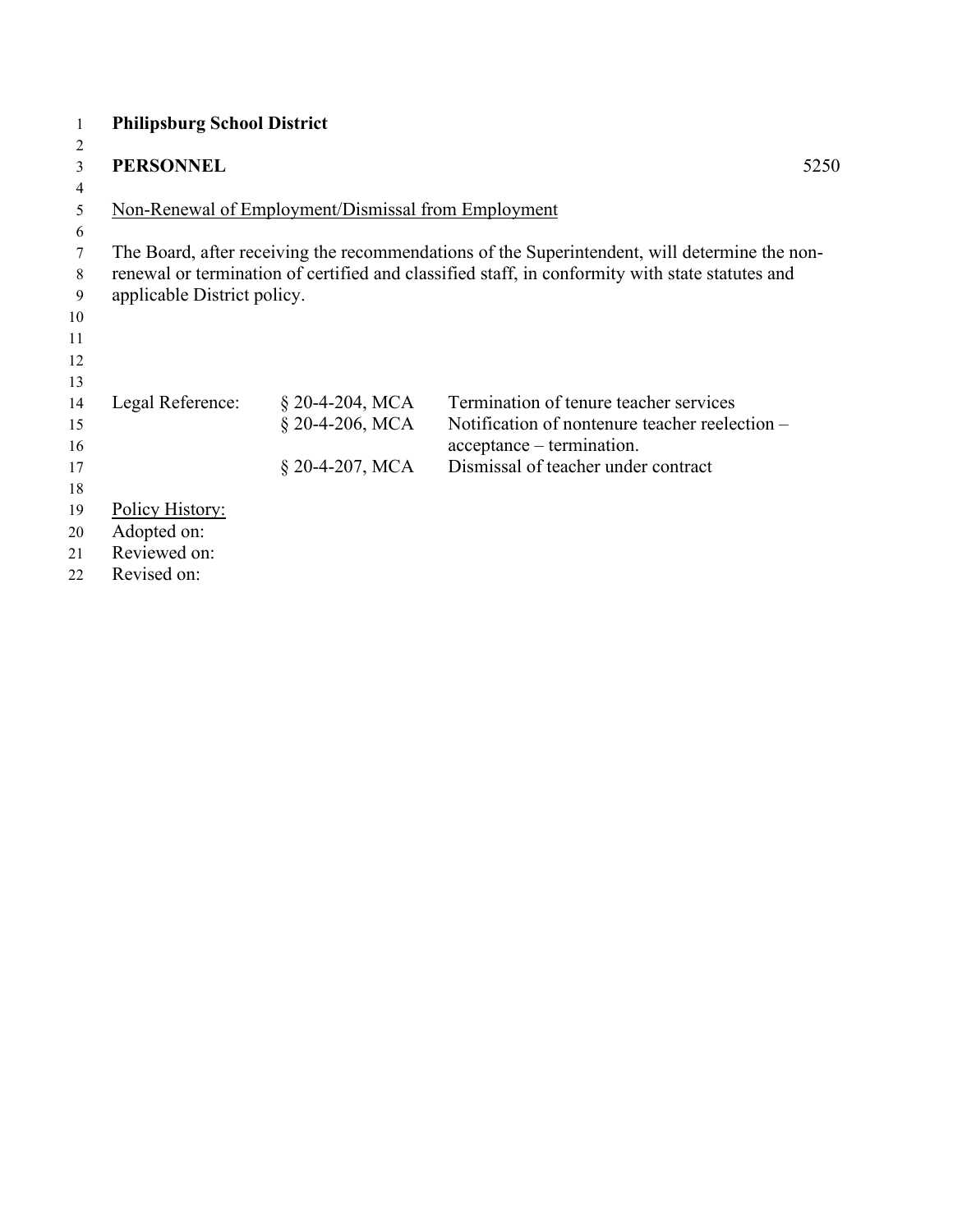|                | <b>Philipsburg School District</b> |                                                     |                                                                                                 |      |
|----------------|------------------------------------|-----------------------------------------------------|-------------------------------------------------------------------------------------------------|------|
| 2              |                                    |                                                     |                                                                                                 |      |
| $\mathfrak{Z}$ | <b>PERSONNEL</b>                   |                                                     |                                                                                                 | 5250 |
| 4              |                                    |                                                     |                                                                                                 |      |
| 5              |                                    | Non-Renewal of Employment/Dismissal from Employment |                                                                                                 |      |
| 6              |                                    |                                                     |                                                                                                 |      |
| $\tau$         |                                    |                                                     | The Board, after receiving the recommendations of the Superintendent, will determine the non-   |      |
| 8              |                                    |                                                     | renewal or termination of certified and classified staff, in conformity with state statutes and |      |
| 9              | applicable District policy.        |                                                     |                                                                                                 |      |
| 10             |                                    |                                                     |                                                                                                 |      |
| 11             |                                    |                                                     |                                                                                                 |      |
| 12             |                                    |                                                     |                                                                                                 |      |
| 13             |                                    |                                                     |                                                                                                 |      |
| 14             | Legal Reference:                   | $\S$ 20-4-204, MCA                                  | Termination of tenure teacher services                                                          |      |
| 15             |                                    | $§$ 20-4-206, MCA                                   | Notification of nontenure teacher reelection –                                                  |      |
| 16             |                                    |                                                     | acceptance – termination.                                                                       |      |
| 17             |                                    | § 20-4-207, MCA                                     | Dismissal of teacher under contract                                                             |      |
| 18             |                                    |                                                     |                                                                                                 |      |
| 19             | <b>Policy History:</b>             |                                                     |                                                                                                 |      |
| 20             | Adopted on:                        |                                                     |                                                                                                 |      |
| 21             | Reviewed on:                       |                                                     |                                                                                                 |      |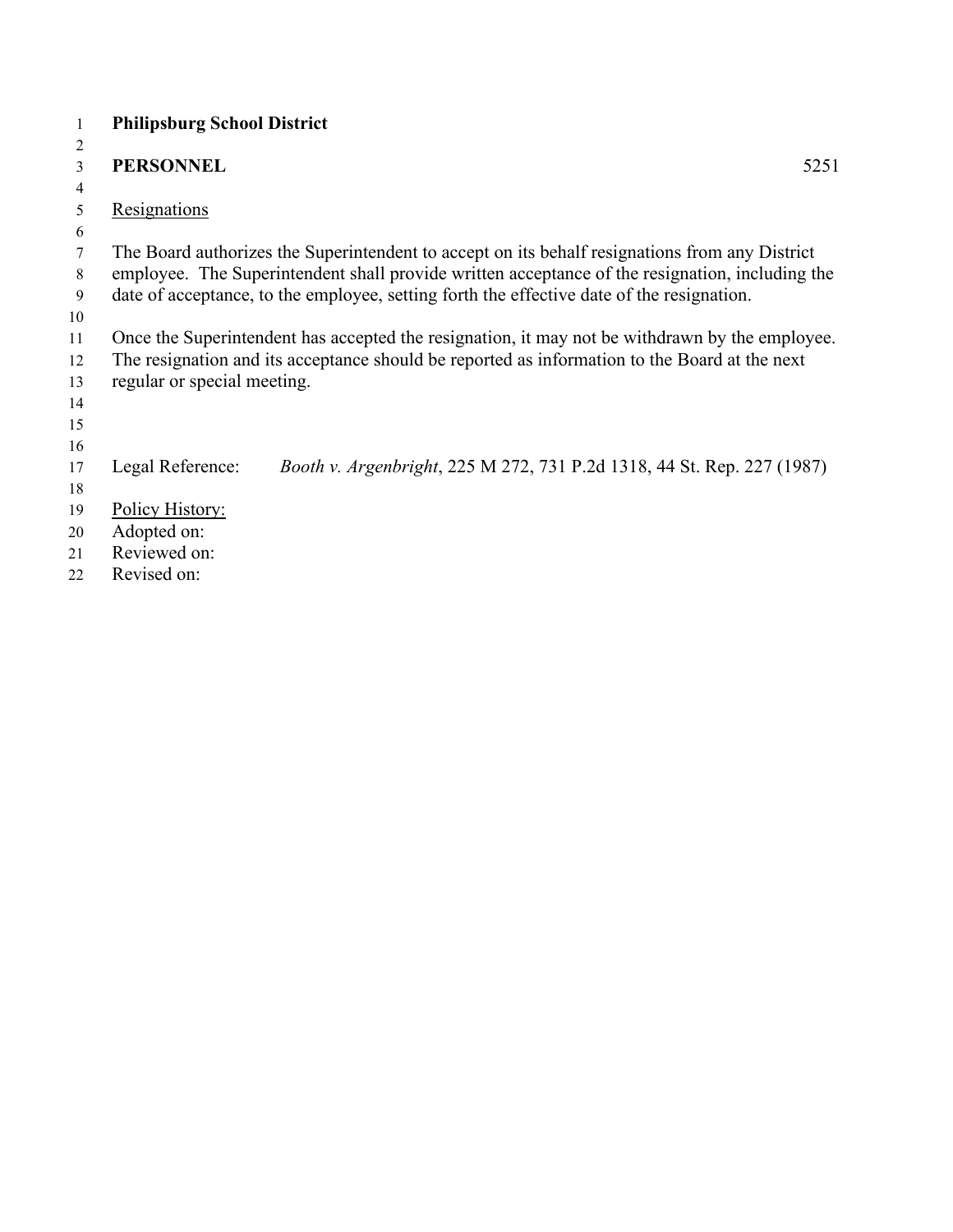| 1              | <b>Philipsburg School District</b>                                                              |
|----------------|-------------------------------------------------------------------------------------------------|
| $\overline{2}$ |                                                                                                 |
| 3              | <b>PERSONNEL</b><br>5251                                                                        |
| $\overline{4}$ |                                                                                                 |
| 5              | <u>Resignations</u>                                                                             |
| 6              |                                                                                                 |
| 7              | The Board authorizes the Superintendent to accept on its behalf resignations from any District  |
| 8              | employee. The Superintendent shall provide written acceptance of the resignation, including the |
| 9              | date of acceptance, to the employee, setting forth the effective date of the resignation.       |
| 10             |                                                                                                 |
| 11             | Once the Superintendent has accepted the resignation, it may not be withdrawn by the employee.  |
| 12             | The resignation and its acceptance should be reported as information to the Board at the next   |
| 13             | regular or special meeting.                                                                     |
| 14             |                                                                                                 |
| 15             |                                                                                                 |
| 16             |                                                                                                 |
| 17             | Legal Reference:<br>Booth v. Argenbright, 225 M 272, 731 P.2d 1318, 44 St. Rep. 227 (1987)      |
| 18             |                                                                                                 |
| 19             | Policy History:                                                                                 |
| 20             | Adopted on:                                                                                     |
| 21             | Reviewed on:                                                                                    |

21 Reviewed on:<br>22 Revised on: Revised on: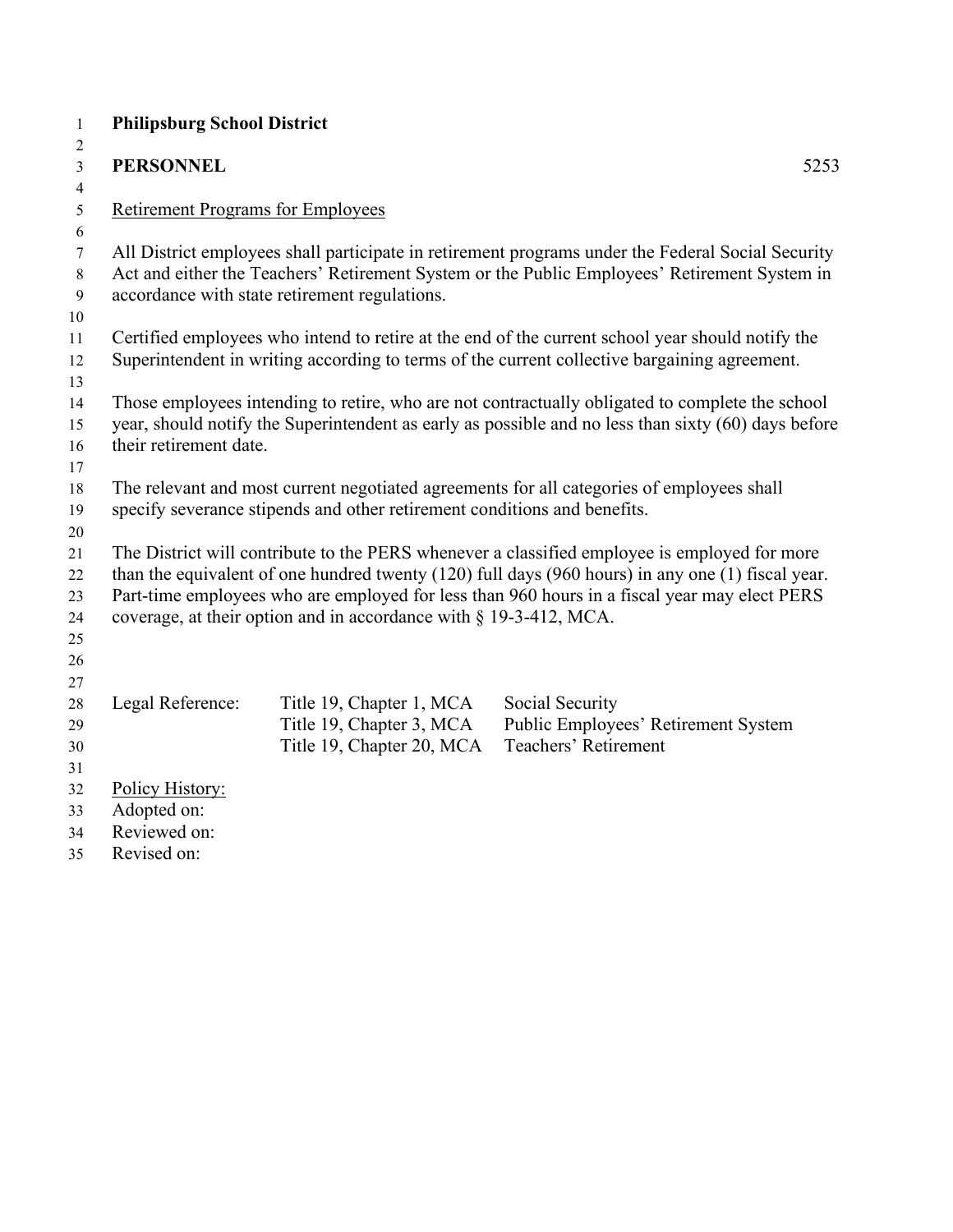| $\mathbf{1}$   | <b>Philipsburg School District</b>       |                                                                          |                                                                                                                                                                                                  |
|----------------|------------------------------------------|--------------------------------------------------------------------------|--------------------------------------------------------------------------------------------------------------------------------------------------------------------------------------------------|
| $\overline{2}$ |                                          |                                                                          |                                                                                                                                                                                                  |
| $\mathfrak{Z}$ | <b>PERSONNEL</b>                         |                                                                          | 5253                                                                                                                                                                                             |
| 4              |                                          |                                                                          |                                                                                                                                                                                                  |
| 5              | <b>Retirement Programs for Employees</b> |                                                                          |                                                                                                                                                                                                  |
| 6              |                                          |                                                                          |                                                                                                                                                                                                  |
| $\tau$         |                                          |                                                                          | All District employees shall participate in retirement programs under the Federal Social Security                                                                                                |
| $8\phantom{.}$ |                                          |                                                                          | Act and either the Teachers' Retirement System or the Public Employees' Retirement System in                                                                                                     |
| 9              |                                          | accordance with state retirement regulations.                            |                                                                                                                                                                                                  |
| 10             |                                          |                                                                          |                                                                                                                                                                                                  |
| 11<br>12       |                                          |                                                                          | Certified employees who intend to retire at the end of the current school year should notify the<br>Superintendent in writing according to terms of the current collective bargaining agreement. |
| 13             |                                          |                                                                          |                                                                                                                                                                                                  |
| 14             |                                          |                                                                          | Those employees intending to retire, who are not contractually obligated to complete the school                                                                                                  |
| 15             |                                          |                                                                          | year, should notify the Superintendent as early as possible and no less than sixty (60) days before                                                                                              |
| 16             | their retirement date.                   |                                                                          |                                                                                                                                                                                                  |
| 17             |                                          |                                                                          |                                                                                                                                                                                                  |
| 18             |                                          |                                                                          | The relevant and most current negotiated agreements for all categories of employees shall                                                                                                        |
| 19             |                                          | specify severance stipends and other retirement conditions and benefits. |                                                                                                                                                                                                  |
| 20             |                                          |                                                                          |                                                                                                                                                                                                  |
| 21             |                                          |                                                                          | The District will contribute to the PERS whenever a classified employee is employed for more                                                                                                     |
| 22             |                                          |                                                                          | than the equivalent of one hundred twenty (120) full days (960 hours) in any one (1) fiscal year.                                                                                                |
| 23             |                                          |                                                                          | Part-time employees who are employed for less than 960 hours in a fiscal year may elect PERS                                                                                                     |
| 24             |                                          | coverage, at their option and in accordance with § 19-3-412, MCA.        |                                                                                                                                                                                                  |
| 25             |                                          |                                                                          |                                                                                                                                                                                                  |
| 26             |                                          |                                                                          |                                                                                                                                                                                                  |
| 27             |                                          |                                                                          |                                                                                                                                                                                                  |
| 28             | Legal Reference:                         | Title 19, Chapter 1, MCA                                                 | Social Security                                                                                                                                                                                  |
| 29             |                                          | Title 19, Chapter 3, MCA                                                 | Public Employees' Retirement System                                                                                                                                                              |
| 30             |                                          | Title 19, Chapter 20, MCA                                                | <b>Teachers' Retirement</b>                                                                                                                                                                      |
| 31             |                                          |                                                                          |                                                                                                                                                                                                  |
| 32             | Policy History:                          |                                                                          |                                                                                                                                                                                                  |
| 33             | Adopted on:<br>Reviewed on:              |                                                                          |                                                                                                                                                                                                  |
| 34             | Revised on:                              |                                                                          |                                                                                                                                                                                                  |
| 35             |                                          |                                                                          |                                                                                                                                                                                                  |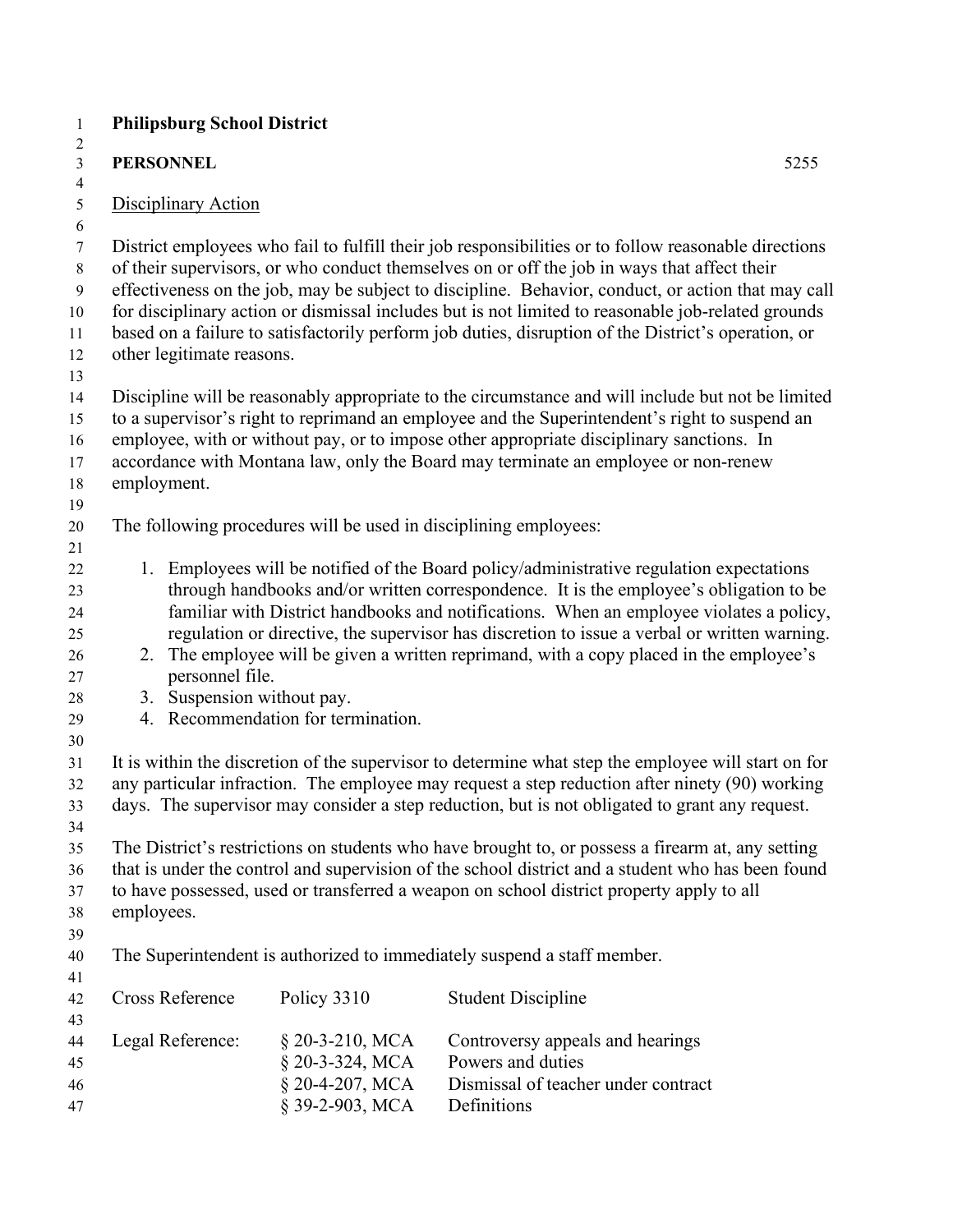#### **Philipsburg School District**  $\frac{1}{2}$

| L<br>$\mathfrak{Z}$<br>$\overline{\mathbf{4}}$                   | <b>PERSONNEL</b>                                                                             |                                                                               | 5255                                                                                                                                                                                                                                                                                                                                                                                                                                                                                                                   |
|------------------------------------------------------------------|----------------------------------------------------------------------------------------------|-------------------------------------------------------------------------------|------------------------------------------------------------------------------------------------------------------------------------------------------------------------------------------------------------------------------------------------------------------------------------------------------------------------------------------------------------------------------------------------------------------------------------------------------------------------------------------------------------------------|
| 5                                                                | Disciplinary Action                                                                          |                                                                               |                                                                                                                                                                                                                                                                                                                                                                                                                                                                                                                        |
| 6<br>$\tau$<br>$8\,$<br>$\boldsymbol{9}$<br>10<br>11<br>12<br>13 | other legitimate reasons.                                                                    |                                                                               | District employees who fail to fulfill their job responsibilities or to follow reasonable directions<br>of their supervisors, or who conduct themselves on or off the job in ways that affect their<br>effectiveness on the job, may be subject to discipline. Behavior, conduct, or action that may call<br>for disciplinary action or dismissal includes but is not limited to reasonable job-related grounds<br>based on a failure to satisfactorily perform job duties, disruption of the District's operation, or |
| 14<br>15<br>16<br>17<br>18<br>19                                 | employment.                                                                                  |                                                                               | Discipline will be reasonably appropriate to the circumstance and will include but not be limited<br>to a supervisor's right to reprimand an employee and the Superintendent's right to suspend an<br>employee, with or without pay, or to impose other appropriate disciplinary sanctions. In<br>accordance with Montana law, only the Board may terminate an employee or non-renew                                                                                                                                   |
| $20\,$                                                           | The following procedures will be used in disciplining employees:                             |                                                                               |                                                                                                                                                                                                                                                                                                                                                                                                                                                                                                                        |
| 21<br>22<br>23<br>24<br>25<br>26<br>27<br>28<br>29<br>30         | 2.<br>personnel file.<br>Suspension without pay.<br>3.<br>4. Recommendation for termination. |                                                                               | 1. Employees will be notified of the Board policy/administrative regulation expectations<br>through handbooks and/or written correspondence. It is the employee's obligation to be<br>familiar with District handbooks and notifications. When an employee violates a policy,<br>regulation or directive, the supervisor has discretion to issue a verbal or written warning.<br>The employee will be given a written reprimand, with a copy placed in the employee's                                                  |
| 31<br>32<br>33                                                   |                                                                                              |                                                                               | It is within the discretion of the supervisor to determine what step the employee will start on for<br>any particular infraction. The employee may request a step reduction after ninety (90) working<br>days. The supervisor may consider a step reduction, but is not obligated to grant any request.                                                                                                                                                                                                                |
| 34<br>35<br>36<br>37<br>38                                       | employees.                                                                                   |                                                                               | The District's restrictions on students who have brought to, or possess a firearm at, any setting<br>that is under the control and supervision of the school district and a student who has been found<br>to have possessed, used or transferred a weapon on school district property apply to all                                                                                                                                                                                                                     |
| 39<br>40                                                         |                                                                                              |                                                                               | The Superintendent is authorized to immediately suspend a staff member.                                                                                                                                                                                                                                                                                                                                                                                                                                                |
| 41<br>42                                                         | <b>Cross Reference</b>                                                                       | Policy 3310                                                                   | <b>Student Discipline</b>                                                                                                                                                                                                                                                                                                                                                                                                                                                                                              |
| 43<br>44<br>45<br>46<br>47                                       | Legal Reference:                                                                             | $\S$ 20-3-210, MCA<br>§ 20-3-324, MCA<br>$§$ 20-4-207, MCA<br>§ 39-2-903, MCA | Controversy appeals and hearings<br>Powers and duties<br>Dismissal of teacher under contract<br>Definitions                                                                                                                                                                                                                                                                                                                                                                                                            |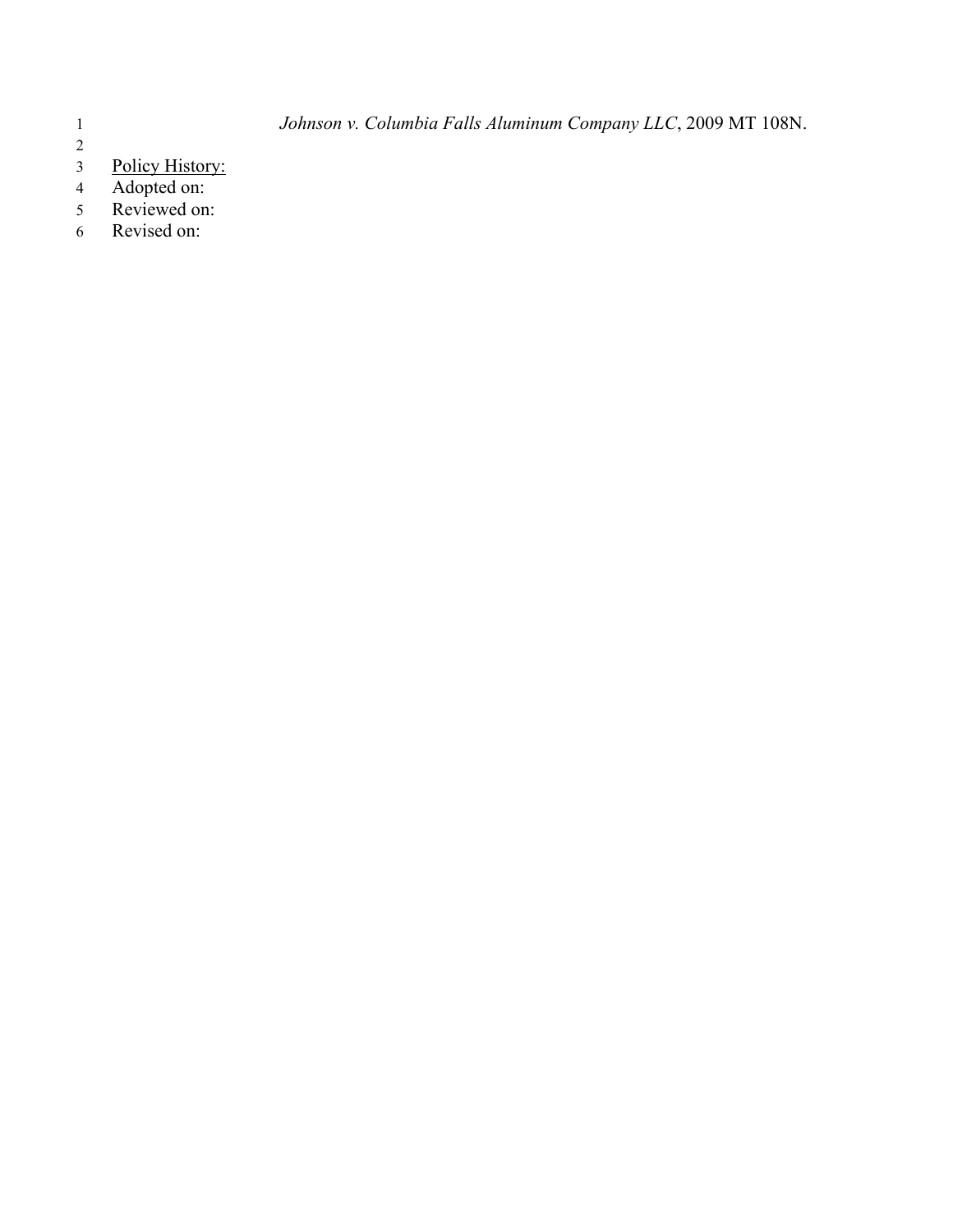- *Johnson v. Columbia Falls Aluminum Company LLC*, 2009 MT 108N.
- $\begin{array}{c} 2 \\ 3 \end{array}$ 3 Policy History:
- Adopted on:
- Reviewed on:
- Revised on:
-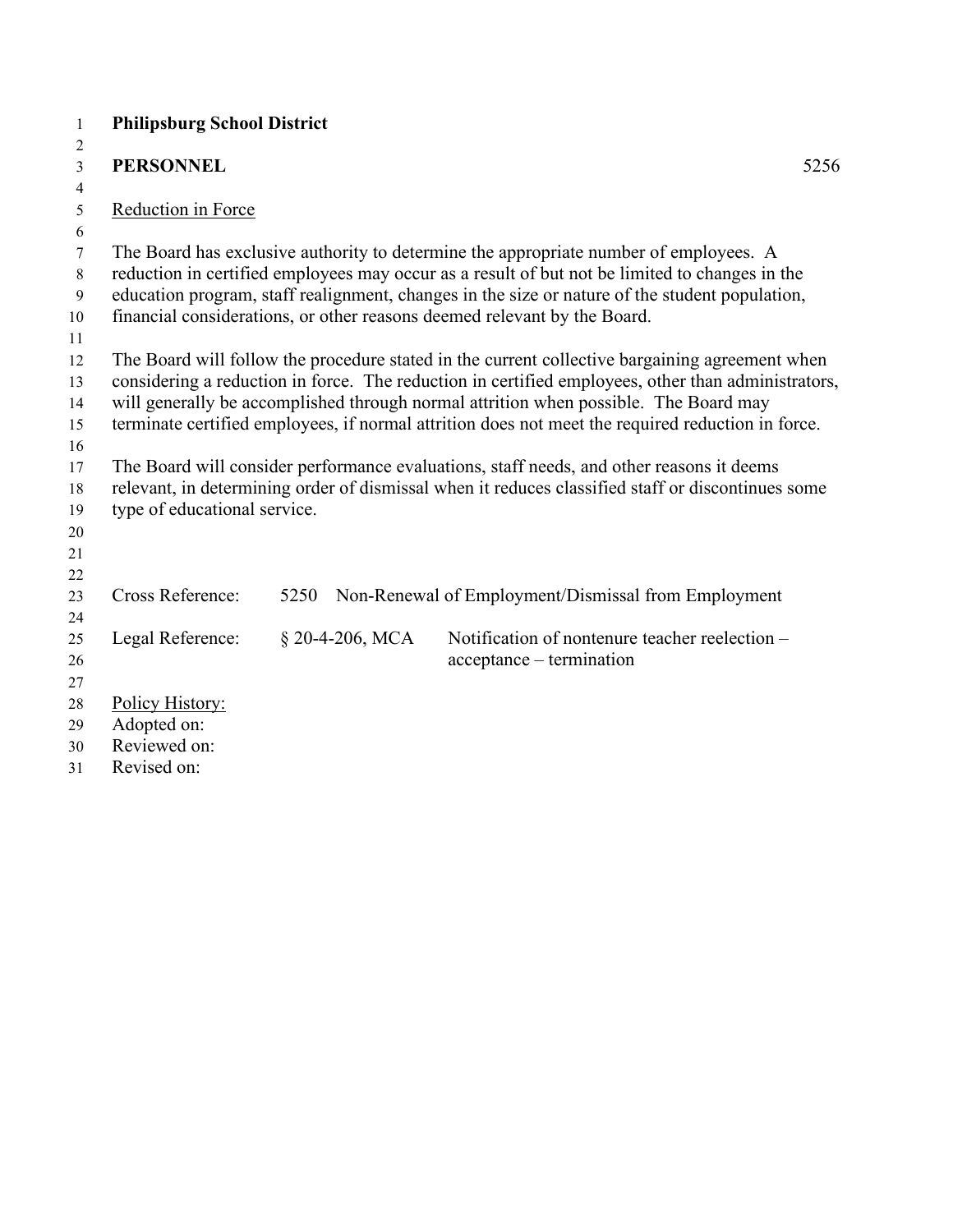| $\mathbf{1}$   | <b>Philipsburg School District</b>                         |      |                 |                                                                                                    |
|----------------|------------------------------------------------------------|------|-----------------|----------------------------------------------------------------------------------------------------|
| 2              |                                                            |      |                 |                                                                                                    |
| $\mathfrak{Z}$ | <b>PERSONNEL</b>                                           |      |                 | 5256                                                                                               |
| $\overline{4}$ |                                                            |      |                 |                                                                                                    |
| 5              | Reduction in Force                                         |      |                 |                                                                                                    |
| 6              |                                                            |      |                 |                                                                                                    |
| $\tau$         |                                                            |      |                 | The Board has exclusive authority to determine the appropriate number of employees. A              |
| 8              |                                                            |      |                 | reduction in certified employees may occur as a result of but not be limited to changes in the     |
| 9              |                                                            |      |                 | education program, staff realignment, changes in the size or nature of the student population,     |
| 10             |                                                            |      |                 | financial considerations, or other reasons deemed relevant by the Board.                           |
| 11             |                                                            |      |                 |                                                                                                    |
| 12             |                                                            |      |                 | The Board will follow the procedure stated in the current collective bargaining agreement when     |
| 13             |                                                            |      |                 | considering a reduction in force. The reduction in certified employees, other than administrators, |
| 14             |                                                            |      |                 | will generally be accomplished through normal attrition when possible. The Board may               |
| 15             |                                                            |      |                 | terminate certified employees, if normal attrition does not meet the required reduction in force.  |
| 16<br>17       |                                                            |      |                 | The Board will consider performance evaluations, staff needs, and other reasons it deems           |
| 18             |                                                            |      |                 | relevant, in determining order of dismissal when it reduces classified staff or discontinues some  |
| 19             | type of educational service.                               |      |                 |                                                                                                    |
| 20             |                                                            |      |                 |                                                                                                    |
| 21             |                                                            |      |                 |                                                                                                    |
| 22             |                                                            |      |                 |                                                                                                    |
| 23             | <b>Cross Reference:</b>                                    | 5250 |                 | Non-Renewal of Employment/Dismissal from Employment                                                |
| 24             |                                                            |      |                 |                                                                                                    |
| 25             | Legal Reference:                                           |      | § 20-4-206, MCA | Notification of nontenure teacher reelection -                                                     |
| 26             |                                                            |      |                 | acceptance – termination                                                                           |
| 27             |                                                            |      |                 |                                                                                                    |
| 28             | Policy History:                                            |      |                 |                                                                                                    |
| 29             | Adopted on:                                                |      |                 |                                                                                                    |
| 30             | Reviewed on:                                               |      |                 |                                                                                                    |
| 21             | $D_{\alpha}$ <i>u</i> <sub>cod</sub> $\alpha$ <sup>u</sup> |      |                 |                                                                                                    |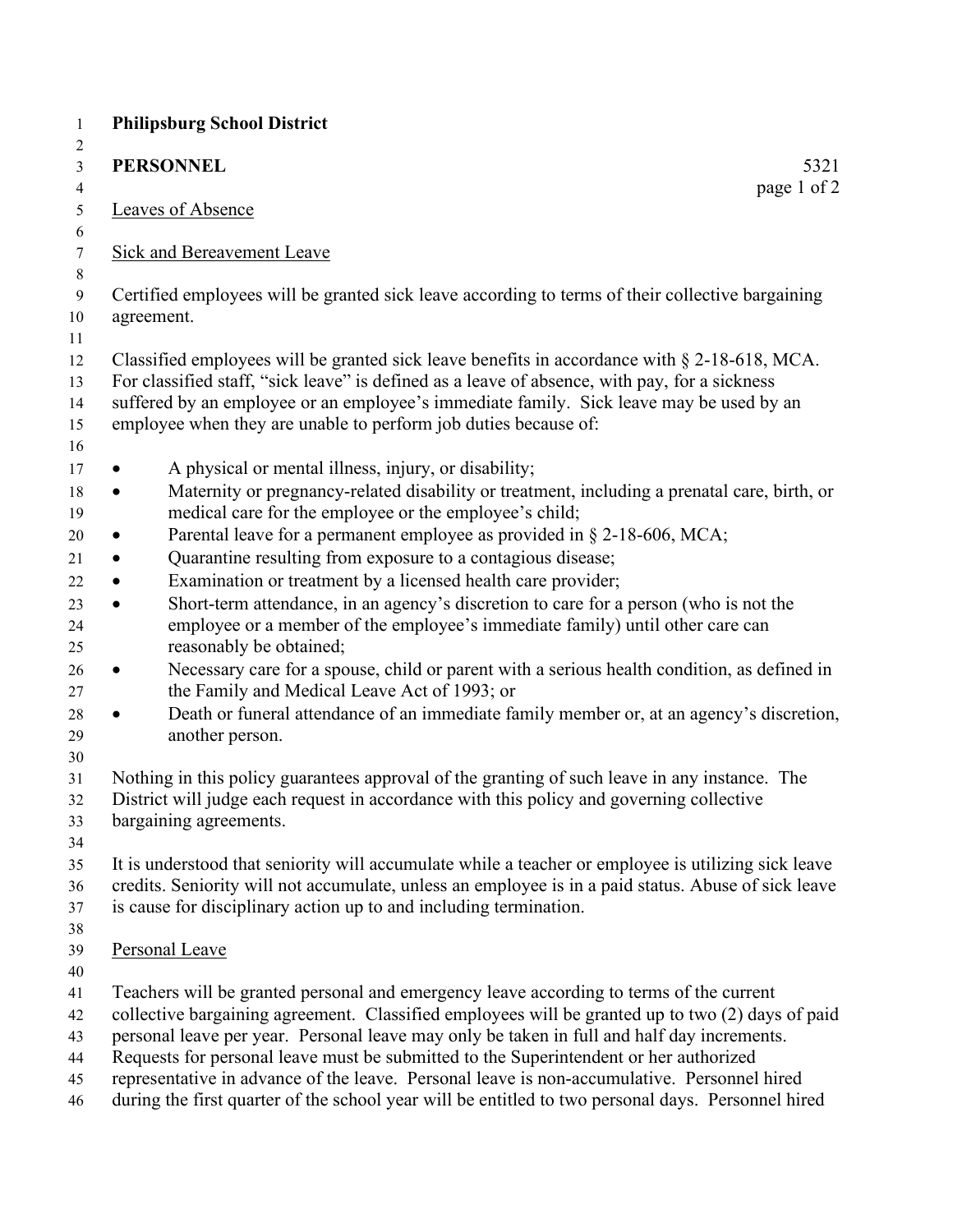|                                                       | <b>Philipsburg School District</b>                                                                                                                                                                                                                                                                                                                                                                                                                                                                                                                                                                                                                                                                                                                                                                                                                                                          |
|-------------------------------------------------------|---------------------------------------------------------------------------------------------------------------------------------------------------------------------------------------------------------------------------------------------------------------------------------------------------------------------------------------------------------------------------------------------------------------------------------------------------------------------------------------------------------------------------------------------------------------------------------------------------------------------------------------------------------------------------------------------------------------------------------------------------------------------------------------------------------------------------------------------------------------------------------------------|
|                                                       | <b>PERSONNEL</b><br>5321<br>page 1 of 2                                                                                                                                                                                                                                                                                                                                                                                                                                                                                                                                                                                                                                                                                                                                                                                                                                                     |
|                                                       | Leaves of Absence                                                                                                                                                                                                                                                                                                                                                                                                                                                                                                                                                                                                                                                                                                                                                                                                                                                                           |
|                                                       | <b>Sick and Bereavement Leave</b>                                                                                                                                                                                                                                                                                                                                                                                                                                                                                                                                                                                                                                                                                                                                                                                                                                                           |
|                                                       | Certified employees will be granted sick leave according to terms of their collective bargaining<br>agreement.                                                                                                                                                                                                                                                                                                                                                                                                                                                                                                                                                                                                                                                                                                                                                                              |
|                                                       | Classified employees will be granted sick leave benefits in accordance with $\S 2$ -18-618, MCA.<br>For classified staff, "sick leave" is defined as a leave of absence, with pay, for a sickness<br>suffered by an employee or an employee's immediate family. Sick leave may be used by an<br>employee when they are unable to perform job duties because of:                                                                                                                                                                                                                                                                                                                                                                                                                                                                                                                             |
| $\bullet$<br>$\bullet$<br>$\bullet$<br>$\bullet$<br>٠ | A physical or mental illness, injury, or disability;<br>Maternity or pregnancy-related disability or treatment, including a prenatal care, birth, or<br>medical care for the employee or the employee's child;<br>Parental leave for a permanent employee as provided in § 2-18-606, MCA;<br>Quarantine resulting from exposure to a contagious disease;<br>Examination or treatment by a licensed health care provider;<br>Short-term attendance, in an agency's discretion to care for a person (who is not the<br>employee or a member of the employee's immediate family) until other care can<br>reasonably be obtained;<br>Necessary care for a spouse, child or parent with a serious health condition, as defined in<br>the Family and Medical Leave Act of 1993; or<br>Death or funeral attendance of an immediate family member or, at an agency's discretion,<br>another person. |
|                                                       | Nothing in this policy guarantees approval of the granting of such leave in any instance. The<br>District will judge each request in accordance with this policy and governing collective<br>bargaining agreements.                                                                                                                                                                                                                                                                                                                                                                                                                                                                                                                                                                                                                                                                         |
|                                                       | It is understood that seniority will accumulate while a teacher or employee is utilizing sick leave<br>credits. Seniority will not accumulate, unless an employee is in a paid status. Abuse of sick leave<br>is cause for disciplinary action up to and including termination.                                                                                                                                                                                                                                                                                                                                                                                                                                                                                                                                                                                                             |
|                                                       | Personal Leave                                                                                                                                                                                                                                                                                                                                                                                                                                                                                                                                                                                                                                                                                                                                                                                                                                                                              |
|                                                       | Teachers will be granted personal and emergency leave according to terms of the current<br>collective bargaining agreement. Classified employees will be granted up to two (2) days of paid<br>personal leave per year. Personal leave may only be taken in full and half day increments.<br>Requests for personal leave must be submitted to the Superintendent or her authorized<br>representative in advance of the leave. Personal leave is non-accumulative. Personnel hired<br>during the first quarter of the school year will be entitled to two personal days. Personnel hired                                                                                                                                                                                                                                                                                                     |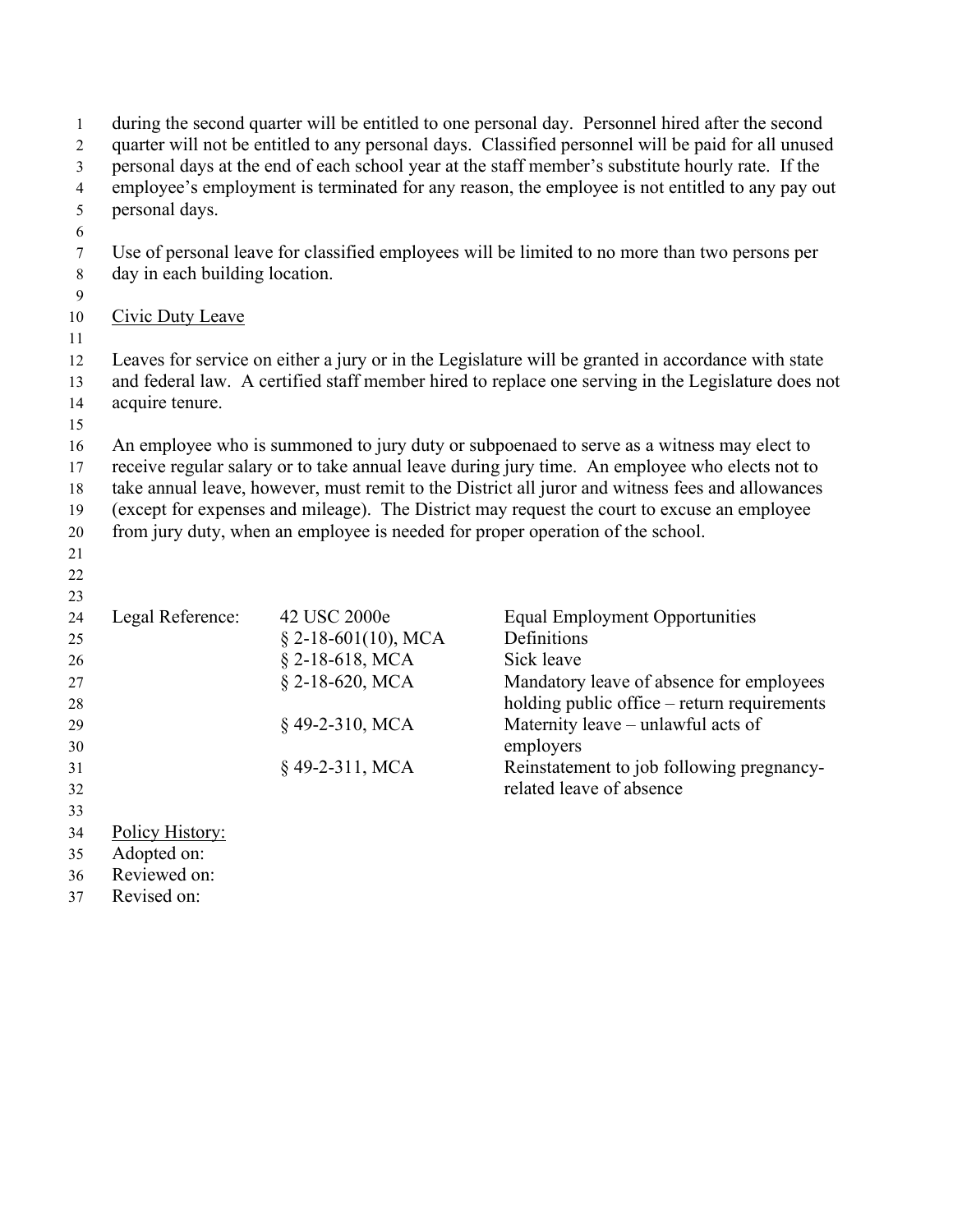| $\mathbf{1}$   |                                                                                                |                       | during the second quarter will be entitled to one personal day. Personnel hired after the second    |  |  |
|----------------|------------------------------------------------------------------------------------------------|-----------------------|-----------------------------------------------------------------------------------------------------|--|--|
| $\overline{2}$ |                                                                                                |                       | quarter will not be entitled to any personal days. Classified personnel will be paid for all unused |  |  |
| $\mathfrak{Z}$ |                                                                                                |                       | personal days at the end of each school year at the staff member's substitute hourly rate. If the   |  |  |
| 4              |                                                                                                |                       | employee's employment is terminated for any reason, the employee is not entitled to any pay out     |  |  |
| $5\,$          | personal days.                                                                                 |                       |                                                                                                     |  |  |
| 6              |                                                                                                |                       |                                                                                                     |  |  |
| 7              |                                                                                                |                       | Use of personal leave for classified employees will be limited to no more than two persons per      |  |  |
| $8\phantom{.}$ | day in each building location.                                                                 |                       |                                                                                                     |  |  |
| $\overline{9}$ |                                                                                                |                       |                                                                                                     |  |  |
| 10             | <b>Civic Duty Leave</b>                                                                        |                       |                                                                                                     |  |  |
| 11             |                                                                                                |                       |                                                                                                     |  |  |
| 12             |                                                                                                |                       | Leaves for service on either a jury or in the Legislature will be granted in accordance with state  |  |  |
| 13             |                                                                                                |                       | and federal law. A certified staff member hired to replace one serving in the Legislature does not  |  |  |
| 14             | acquire tenure.                                                                                |                       |                                                                                                     |  |  |
| 15             |                                                                                                |                       |                                                                                                     |  |  |
| 16             |                                                                                                |                       | An employee who is summoned to jury duty or subpoenaed to serve as a witness may elect to           |  |  |
| 17             | receive regular salary or to take annual leave during jury time. An employee who elects not to |                       |                                                                                                     |  |  |
| 18             |                                                                                                |                       | take annual leave, however, must remit to the District all juror and witness fees and allowances    |  |  |
| 19             |                                                                                                |                       | (except for expenses and mileage). The District may request the court to excuse an employee         |  |  |
| 20             |                                                                                                |                       | from jury duty, when an employee is needed for proper operation of the school.                      |  |  |
| 21             |                                                                                                |                       |                                                                                                     |  |  |
| 22             |                                                                                                |                       |                                                                                                     |  |  |
| 23             |                                                                                                |                       |                                                                                                     |  |  |
| 24             | Legal Reference:                                                                               | 42 USC 2000e          | <b>Equal Employment Opportunities</b>                                                               |  |  |
| 25             |                                                                                                | $§$ 2-18-601(10), MCA | Definitions                                                                                         |  |  |
| 26             |                                                                                                | § 2-18-618, MCA       | Sick leave                                                                                          |  |  |
| 27             |                                                                                                | § 2-18-620, MCA       | Mandatory leave of absence for employees                                                            |  |  |
| 28             |                                                                                                |                       | holding public office – return requirements                                                         |  |  |
| 29             |                                                                                                | §49-2-310, MCA        | Maternity leave - unlawful acts of                                                                  |  |  |
| 30             |                                                                                                |                       | employers                                                                                           |  |  |
| 31             |                                                                                                | §49-2-311, MCA        | Reinstatement to job following pregnancy-                                                           |  |  |
| 32             |                                                                                                |                       | related leave of absence                                                                            |  |  |
| 33             |                                                                                                |                       |                                                                                                     |  |  |
| 34             | Policy History:                                                                                |                       |                                                                                                     |  |  |
| 35             | Adopted on:                                                                                    |                       |                                                                                                     |  |  |
| 36             | Reviewed on:                                                                                   |                       |                                                                                                     |  |  |
| 37             | Revised on:                                                                                    |                       |                                                                                                     |  |  |
|                |                                                                                                |                       |                                                                                                     |  |  |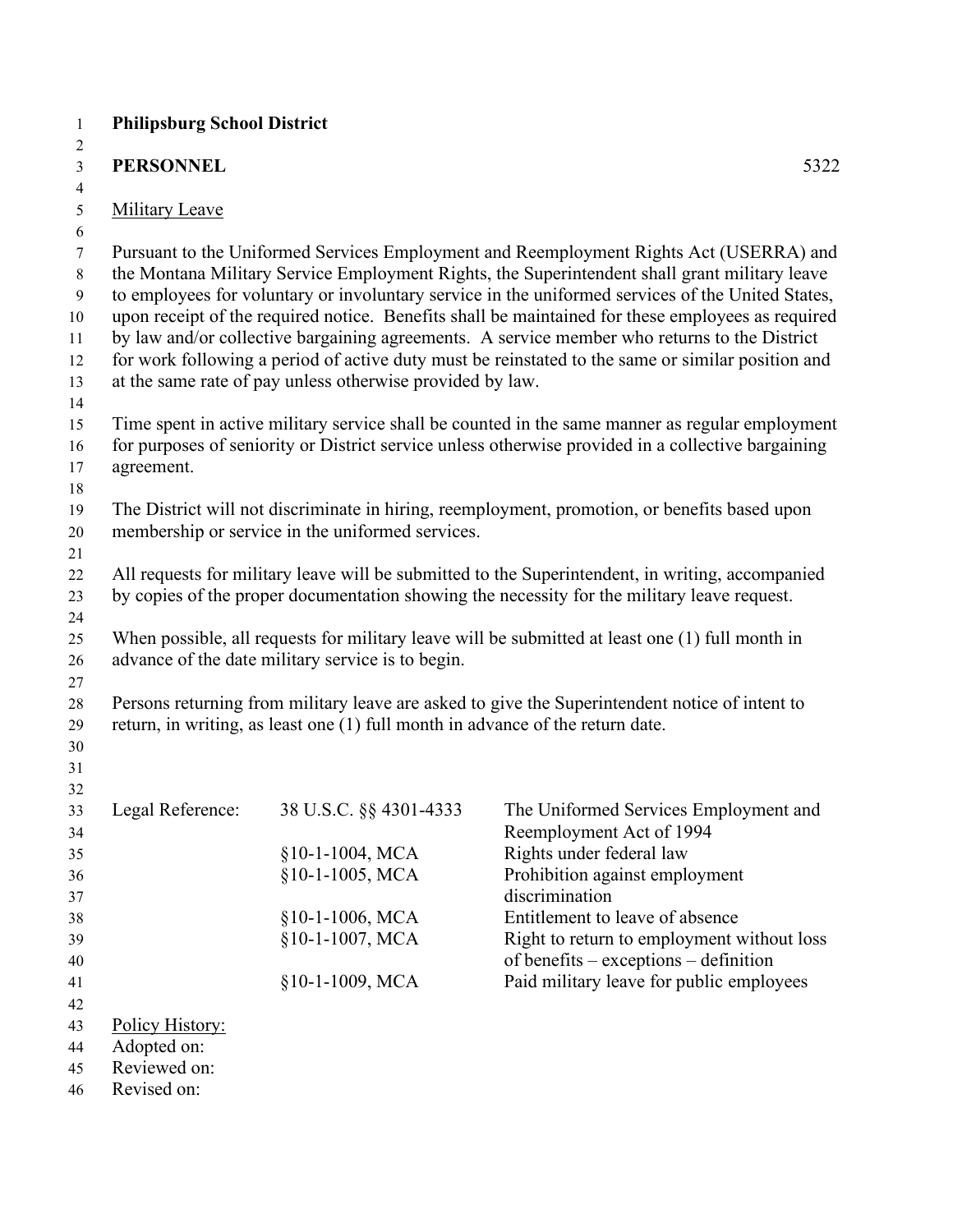| $\mathbf{1}$              | <b>Philipsburg School District</b> |                                                                                  |                                                                                                                                                                                         |
|---------------------------|------------------------------------|----------------------------------------------------------------------------------|-----------------------------------------------------------------------------------------------------------------------------------------------------------------------------------------|
| $\overline{c}$            |                                    |                                                                                  |                                                                                                                                                                                         |
| $\mathfrak{Z}$            | <b>PERSONNEL</b>                   |                                                                                  | 5322                                                                                                                                                                                    |
| $\overline{4}$            |                                    |                                                                                  |                                                                                                                                                                                         |
| 5                         | <b>Military Leave</b>              |                                                                                  |                                                                                                                                                                                         |
| $\sqrt{6}$                |                                    |                                                                                  |                                                                                                                                                                                         |
| $\boldsymbol{7}$<br>$8\,$ |                                    |                                                                                  | Pursuant to the Uniformed Services Employment and Reemployment Rights Act (USERRA) and<br>the Montana Military Service Employment Rights, the Superintendent shall grant military leave |
| 9                         |                                    |                                                                                  | to employees for voluntary or involuntary service in the uniformed services of the United States,                                                                                       |
| $10\,$                    |                                    |                                                                                  | upon receipt of the required notice. Benefits shall be maintained for these employees as required                                                                                       |
| 11                        |                                    |                                                                                  | by law and/or collective bargaining agreements. A service member who returns to the District                                                                                            |
| 12                        |                                    |                                                                                  | for work following a period of active duty must be reinstated to the same or similar position and                                                                                       |
| 13                        |                                    | at the same rate of pay unless otherwise provided by law.                        |                                                                                                                                                                                         |
| 14                        |                                    |                                                                                  |                                                                                                                                                                                         |
| 15                        |                                    |                                                                                  | Time spent in active military service shall be counted in the same manner as regular employment                                                                                         |
| 16                        |                                    |                                                                                  | for purposes of seniority or District service unless otherwise provided in a collective bargaining                                                                                      |
| 17                        | agreement.                         |                                                                                  |                                                                                                                                                                                         |
| 18                        |                                    |                                                                                  |                                                                                                                                                                                         |
| 19                        |                                    |                                                                                  | The District will not discriminate in hiring, reemployment, promotion, or benefits based upon                                                                                           |
| $20\,$                    |                                    | membership or service in the uniformed services.                                 |                                                                                                                                                                                         |
| 21                        |                                    |                                                                                  |                                                                                                                                                                                         |
| 22                        |                                    |                                                                                  | All requests for military leave will be submitted to the Superintendent, in writing, accompanied                                                                                        |
| 23                        |                                    |                                                                                  | by copies of the proper documentation showing the necessity for the military leave request.                                                                                             |
| 24                        |                                    |                                                                                  |                                                                                                                                                                                         |
| 25                        |                                    |                                                                                  | When possible, all requests for military leave will be submitted at least one (1) full month in                                                                                         |
| 26                        |                                    | advance of the date military service is to begin.                                |                                                                                                                                                                                         |
| 27                        |                                    |                                                                                  |                                                                                                                                                                                         |
| $28\,$                    |                                    |                                                                                  | Persons returning from military leave are asked to give the Superintendent notice of intent to                                                                                          |
| 29                        |                                    | return, in writing, as least one $(1)$ full month in advance of the return date. |                                                                                                                                                                                         |
| 30                        |                                    |                                                                                  |                                                                                                                                                                                         |
| 31                        |                                    |                                                                                  |                                                                                                                                                                                         |
| 32                        |                                    |                                                                                  | The Uniformed Services Employment and                                                                                                                                                   |
| 33<br>34                  | Legal Reference:                   | 38 U.S.C. §§ 4301-4333                                                           | Reemployment Act of 1994                                                                                                                                                                |
| 35                        |                                    | $§10-1-1004$ , MCA                                                               | Rights under federal law                                                                                                                                                                |
| 36                        |                                    | §10-1-1005, MCA                                                                  | Prohibition against employment                                                                                                                                                          |
| 37                        |                                    |                                                                                  | discrimination                                                                                                                                                                          |
| 38                        |                                    | §10-1-1006, MCA                                                                  | Entitlement to leave of absence                                                                                                                                                         |
| 39                        |                                    | §10-1-1007, MCA                                                                  | Right to return to employment without loss                                                                                                                                              |
| 40                        |                                    |                                                                                  | of benefits – exceptions – definition                                                                                                                                                   |
| 41                        |                                    | §10-1-1009, MCA                                                                  | Paid military leave for public employees                                                                                                                                                |
| 42                        |                                    |                                                                                  |                                                                                                                                                                                         |
| 43                        | Policy History:                    |                                                                                  |                                                                                                                                                                                         |
| 44                        | Adopted on:                        |                                                                                  |                                                                                                                                                                                         |
| 45                        | Reviewed on:                       |                                                                                  |                                                                                                                                                                                         |
| 46                        | Revised on:                        |                                                                                  |                                                                                                                                                                                         |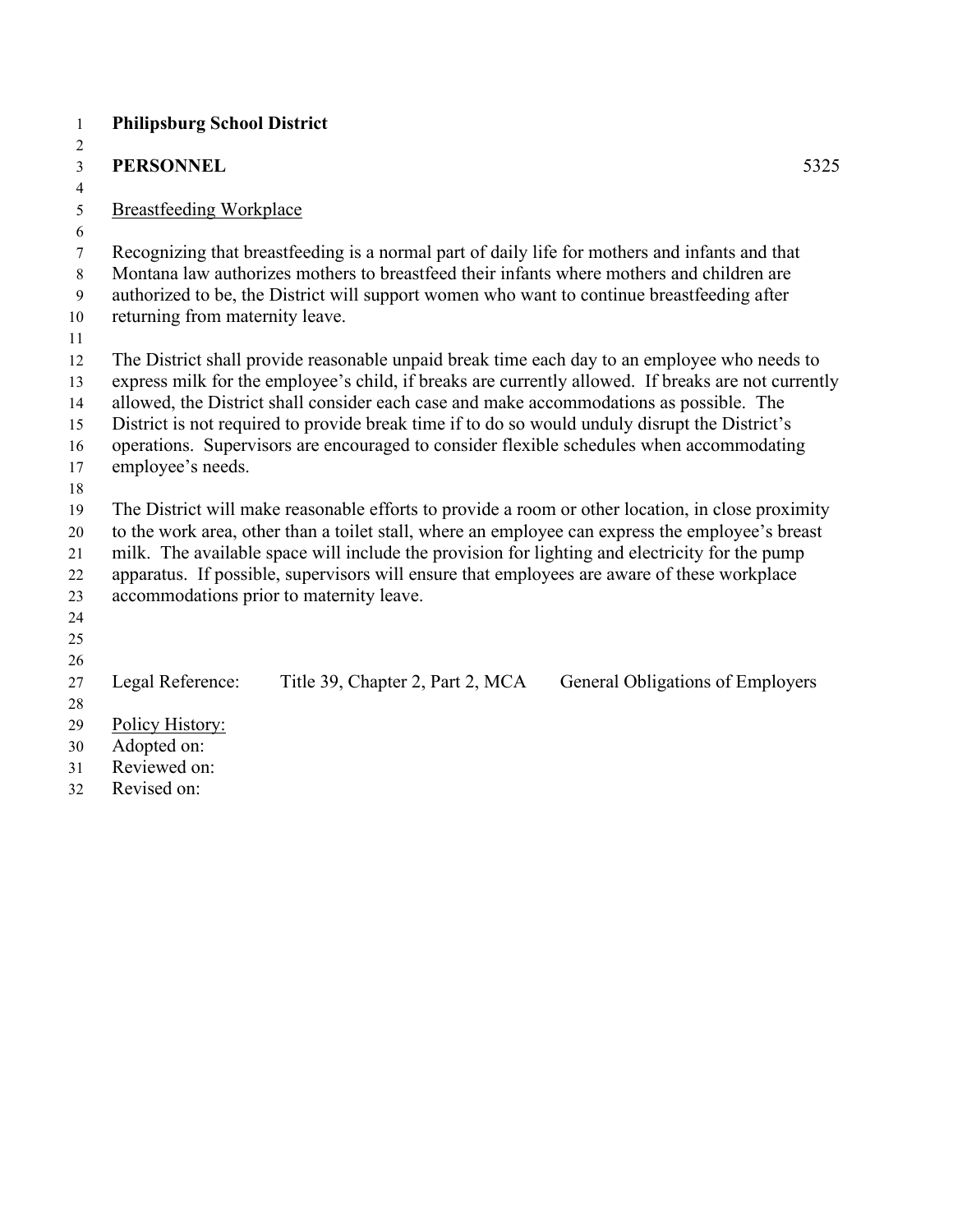| $\mathbf{1}$   | <b>Philipsburg School District</b>                                                                                                                                                        |
|----------------|-------------------------------------------------------------------------------------------------------------------------------------------------------------------------------------------|
| 2              |                                                                                                                                                                                           |
| $\overline{3}$ | <b>PERSONNEL</b><br>5325                                                                                                                                                                  |
| $\overline{4}$ |                                                                                                                                                                                           |
| 5              | <b>Breastfeeding Workplace</b>                                                                                                                                                            |
| 6              |                                                                                                                                                                                           |
| 7              | Recognizing that breastfeeding is a normal part of daily life for mothers and infants and that                                                                                            |
| 8              | Montana law authorizes mothers to breastfeed their infants where mothers and children are                                                                                                 |
| 9              | authorized to be, the District will support women who want to continue breastfeeding after                                                                                                |
| 10             | returning from maternity leave.                                                                                                                                                           |
| 11             |                                                                                                                                                                                           |
| 12             | The District shall provide reasonable unpaid break time each day to an employee who needs to                                                                                              |
| 13             | express milk for the employee's child, if breaks are currently allowed. If breaks are not currently                                                                                       |
| 14<br>15       | allowed, the District shall consider each case and make accommodations as possible. The<br>District is not required to provide break time if to do so would unduly disrupt the District's |
| 16             | operations. Supervisors are encouraged to consider flexible schedules when accommodating                                                                                                  |
| 17             | employee's needs.                                                                                                                                                                         |
| 18             |                                                                                                                                                                                           |
| 19             | The District will make reasonable efforts to provide a room or other location, in close proximity                                                                                         |
| 20             | to the work area, other than a toilet stall, where an employee can express the employee's breast                                                                                          |
| 21             | milk. The available space will include the provision for lighting and electricity for the pump                                                                                            |
| 22             | apparatus. If possible, supervisors will ensure that employees are aware of these workplace                                                                                               |
| 23             | accommodations prior to maternity leave.                                                                                                                                                  |
| 24             |                                                                                                                                                                                           |
| 25             |                                                                                                                                                                                           |
| 26             |                                                                                                                                                                                           |
| 27             | Legal Reference:<br>Title 39, Chapter 2, Part 2, MCA<br>General Obligations of Employers                                                                                                  |
| 28             |                                                                                                                                                                                           |
| 29             | Policy History:                                                                                                                                                                           |
| 30             | Adopted on:                                                                                                                                                                               |
| 31             | Reviewed on:                                                                                                                                                                              |
| 32             | Revised on:                                                                                                                                                                               |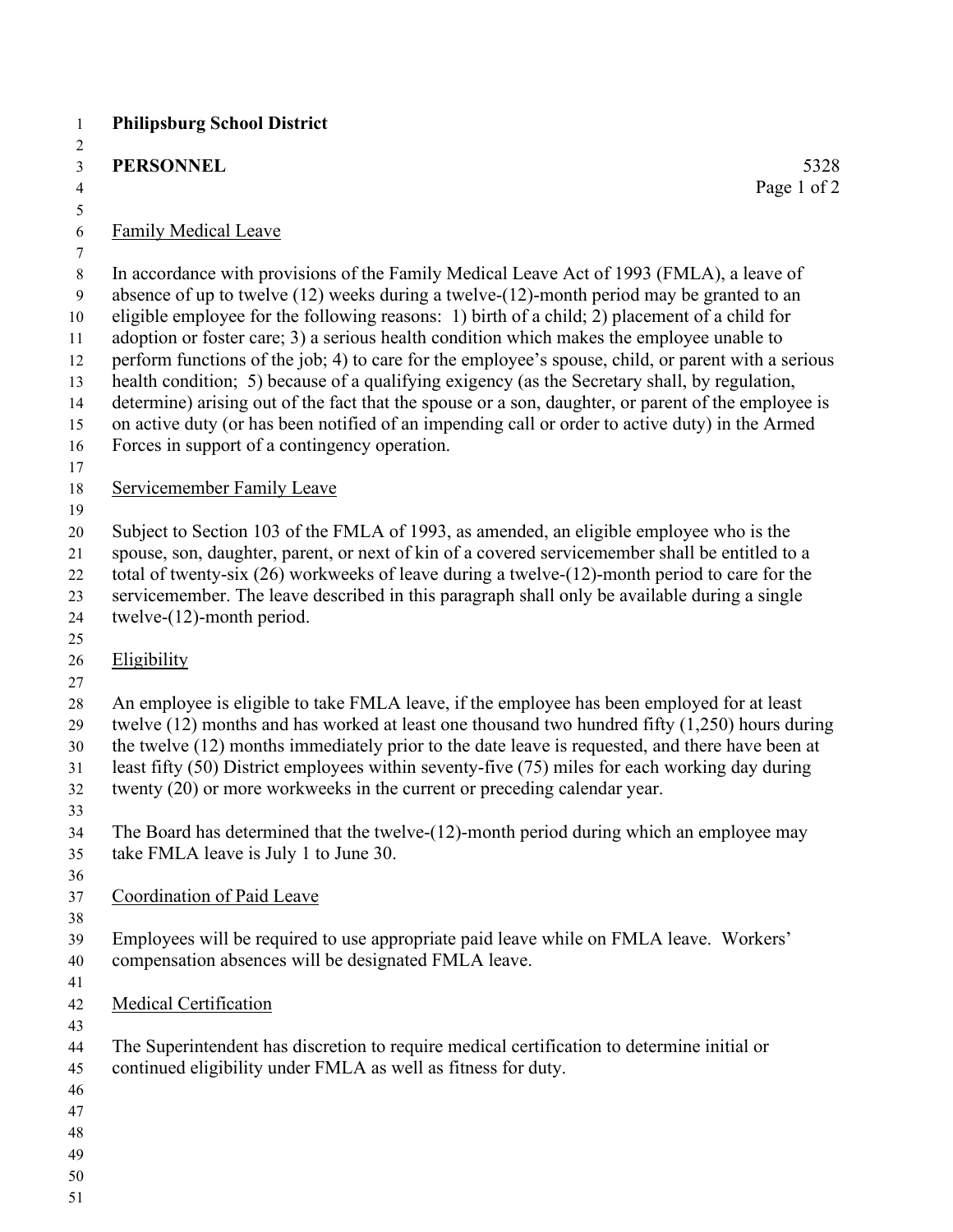### **PERSONNEL** 5328

### Family Medical Leave

 In accordance with provisions of the Family Medical Leave Act of 1993 (FMLA), a leave of absence of up to twelve (12) weeks during a twelve-(12)-month period may be granted to an

eligible employee for the following reasons: 1) birth of a child; 2) placement of a child for

adoption or foster care; 3) a serious health condition which makes the employee unable to

perform functions of the job; 4) to care for the employee's spouse, child, or parent with a serious

health condition; 5) because of a qualifying exigency (as the Secretary shall, by regulation,

determine) arising out of the fact that the spouse or a son, daughter, or parent of the employee is

on active duty (or has been notified of an impending call or order to active duty) in the Armed

- Forces in support of a contingency operation.
- 

## Servicemember Family Leave

Subject to Section 103 of the FMLA of 1993, as amended, an eligible employee who is the

spouse, son, daughter, parent, or next of kin of a covered servicemember shall be entitled to a

total of twenty-six (26) workweeks of leave during a twelve-(12)-month period to care for the

servicemember. The leave described in this paragraph shall only be available during a single

 twelve-(12)-month period. 

# Eligibility

An employee is eligible to take FMLA leave, if the employee has been employed for at least

twelve (12) months and has worked at least one thousand two hundred fifty (1,250) hours during

the twelve (12) months immediately prior to the date leave is requested, and there have been at

- least fifty (50) District employees within seventy-five (75) miles for each working day during
- twenty (20) or more workweeks in the current or preceding calendar year.
- 

 The Board has determined that the twelve-(12)-month period during which an employee may take FMLA leave is July 1 to June 30.

Coordination of Paid Leave

 Employees will be required to use appropriate paid leave while on FMLA leave. Workers' compensation absences will be designated FMLA leave.

- 
- Medical Certification

 The Superintendent has discretion to require medical certification to determine initial or continued eligibility under FMLA as well as fitness for duty.

- 
- 
- 
- 
-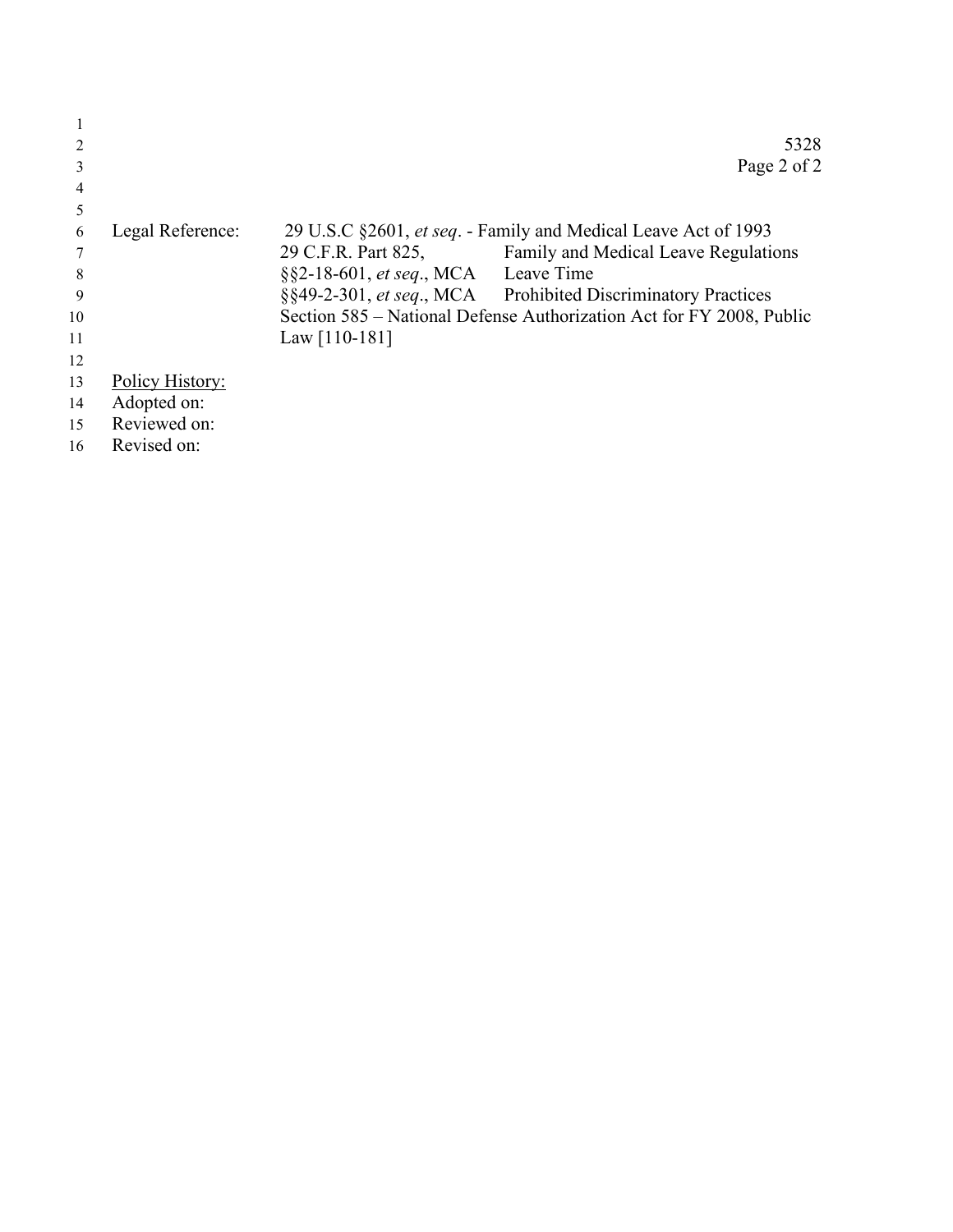|    |                  |                                                  | 5328                                                                 |
|----|------------------|--------------------------------------------------|----------------------------------------------------------------------|
| 3  |                  |                                                  | Page 2 of 2                                                          |
| 4  |                  |                                                  |                                                                      |
| 5  |                  |                                                  |                                                                      |
| 6  | Legal Reference: |                                                  | 29 U.S.C §2601, et seq. - Family and Medical Leave Act of 1993       |
|    |                  | 29 C.F.R. Part 825,                              | Family and Medical Leave Regulations                                 |
| 8  |                  | $\S$ \$2-18-601, <i>et seq.</i> , MCA Leave Time |                                                                      |
| 9  |                  |                                                  | §§49-2-301, et seq., MCA Prohibited Discriminatory Practices         |
| 10 |                  |                                                  | Section 585 – National Defense Authorization Act for FY 2008, Public |
| 11 |                  | Law $[110-181]$                                  |                                                                      |
| 12 |                  |                                                  |                                                                      |
| 13 | Policy History:  |                                                  |                                                                      |
| 14 | Adopted on:      |                                                  |                                                                      |
| 15 | Reviewed on:     |                                                  |                                                                      |
| 16 | Revised on:      |                                                  |                                                                      |
|    |                  |                                                  |                                                                      |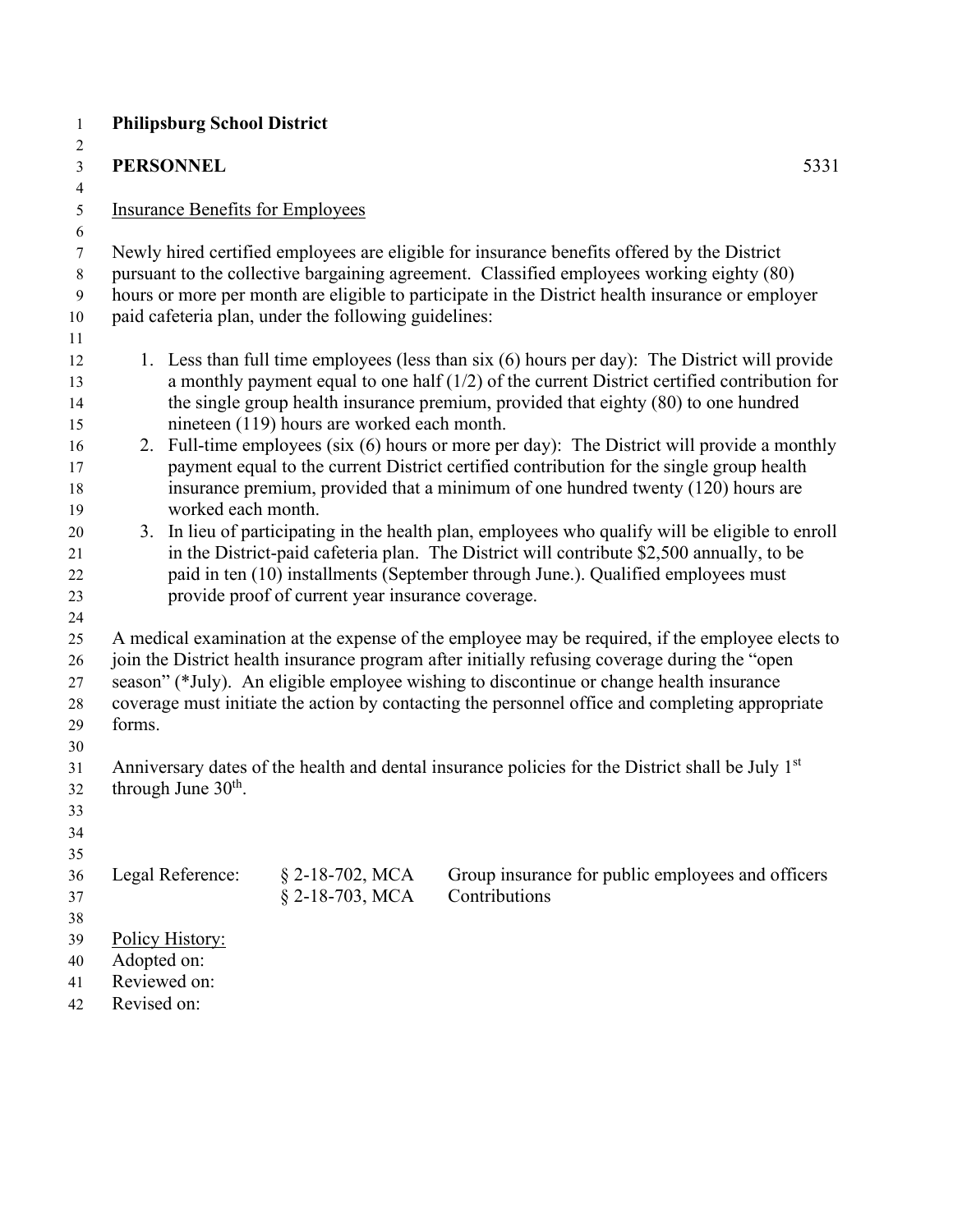| $\mathbf{1}$                     | <b>Philipsburg School District</b>      |                                                      |                                                                                                                                                                                                                                                                                              |
|----------------------------------|-----------------------------------------|------------------------------------------------------|----------------------------------------------------------------------------------------------------------------------------------------------------------------------------------------------------------------------------------------------------------------------------------------------|
| $\overline{c}$                   |                                         |                                                      |                                                                                                                                                                                                                                                                                              |
| $\mathfrak{Z}$<br>$\overline{4}$ | <b>PERSONNEL</b>                        |                                                      | 5331                                                                                                                                                                                                                                                                                         |
| 5<br>6                           | <b>Insurance Benefits for Employees</b> |                                                      |                                                                                                                                                                                                                                                                                              |
| $\tau$<br>$8\,$<br>9             |                                         |                                                      | Newly hired certified employees are eligible for insurance benefits offered by the District<br>pursuant to the collective bargaining agreement. Classified employees working eighty (80)<br>hours or more per month are eligible to participate in the District health insurance or employer |
| 10                               |                                         | paid cafeteria plan, under the following guidelines: |                                                                                                                                                                                                                                                                                              |
| 11                               |                                         |                                                      |                                                                                                                                                                                                                                                                                              |
| 12<br>13                         |                                         |                                                      | 1. Less than full time employees (less than six (6) hours per day): The District will provide<br>a monthly payment equal to one half $(1/2)$ of the current District certified contribution for                                                                                              |
| 14                               |                                         |                                                      | the single group health insurance premium, provided that eighty (80) to one hundred                                                                                                                                                                                                          |
| 15                               |                                         | nineteen (119) hours are worked each month.          |                                                                                                                                                                                                                                                                                              |
| 16                               |                                         |                                                      | 2. Full-time employees (six (6) hours or more per day): The District will provide a monthly<br>payment equal to the current District certified contribution for the single group health                                                                                                      |
| 17<br>18                         |                                         |                                                      | insurance premium, provided that a minimum of one hundred twenty (120) hours are                                                                                                                                                                                                             |
| 19                               | worked each month.                      |                                                      |                                                                                                                                                                                                                                                                                              |
| 20                               |                                         |                                                      | 3. In lieu of participating in the health plan, employees who qualify will be eligible to enroll                                                                                                                                                                                             |
| 21                               |                                         |                                                      | in the District-paid cafeteria plan. The District will contribute \$2,500 annually, to be                                                                                                                                                                                                    |
| 22                               |                                         |                                                      | paid in ten (10) installments (September through June.). Qualified employees must                                                                                                                                                                                                            |
| 23                               |                                         | provide proof of current year insurance coverage.    |                                                                                                                                                                                                                                                                                              |
| 24                               |                                         |                                                      |                                                                                                                                                                                                                                                                                              |
| 25                               |                                         |                                                      | A medical examination at the expense of the employee may be required, if the employee elects to                                                                                                                                                                                              |
| 26<br>27                         |                                         |                                                      | join the District health insurance program after initially refusing coverage during the "open<br>season" (*July). An eligible employee wishing to discontinue or change health insurance                                                                                                     |
| 28                               |                                         |                                                      | coverage must initiate the action by contacting the personnel office and completing appropriate                                                                                                                                                                                              |
| 29                               | forms.                                  |                                                      |                                                                                                                                                                                                                                                                                              |
| 30                               |                                         |                                                      |                                                                                                                                                                                                                                                                                              |
| 31                               |                                         |                                                      | Anniversary dates of the health and dental insurance policies for the District shall be July 1st                                                                                                                                                                                             |
| 32                               | through June 30 <sup>th</sup> .         |                                                      |                                                                                                                                                                                                                                                                                              |
| 33                               |                                         |                                                      |                                                                                                                                                                                                                                                                                              |
| 34                               |                                         |                                                      |                                                                                                                                                                                                                                                                                              |
| 35                               |                                         |                                                      |                                                                                                                                                                                                                                                                                              |
| 36                               | Legal Reference:                        | $§$ 2-18-702, MCA<br>$\S$ 2-18-703, MCA              | Group insurance for public employees and officers<br>Contributions                                                                                                                                                                                                                           |
| 37                               |                                         |                                                      |                                                                                                                                                                                                                                                                                              |
| 38<br>39                         | Policy History:                         |                                                      |                                                                                                                                                                                                                                                                                              |
| 40                               | Adopted on:                             |                                                      |                                                                                                                                                                                                                                                                                              |
| 41                               | Reviewed on:                            |                                                      |                                                                                                                                                                                                                                                                                              |
| 42                               | Revised on:                             |                                                      |                                                                                                                                                                                                                                                                                              |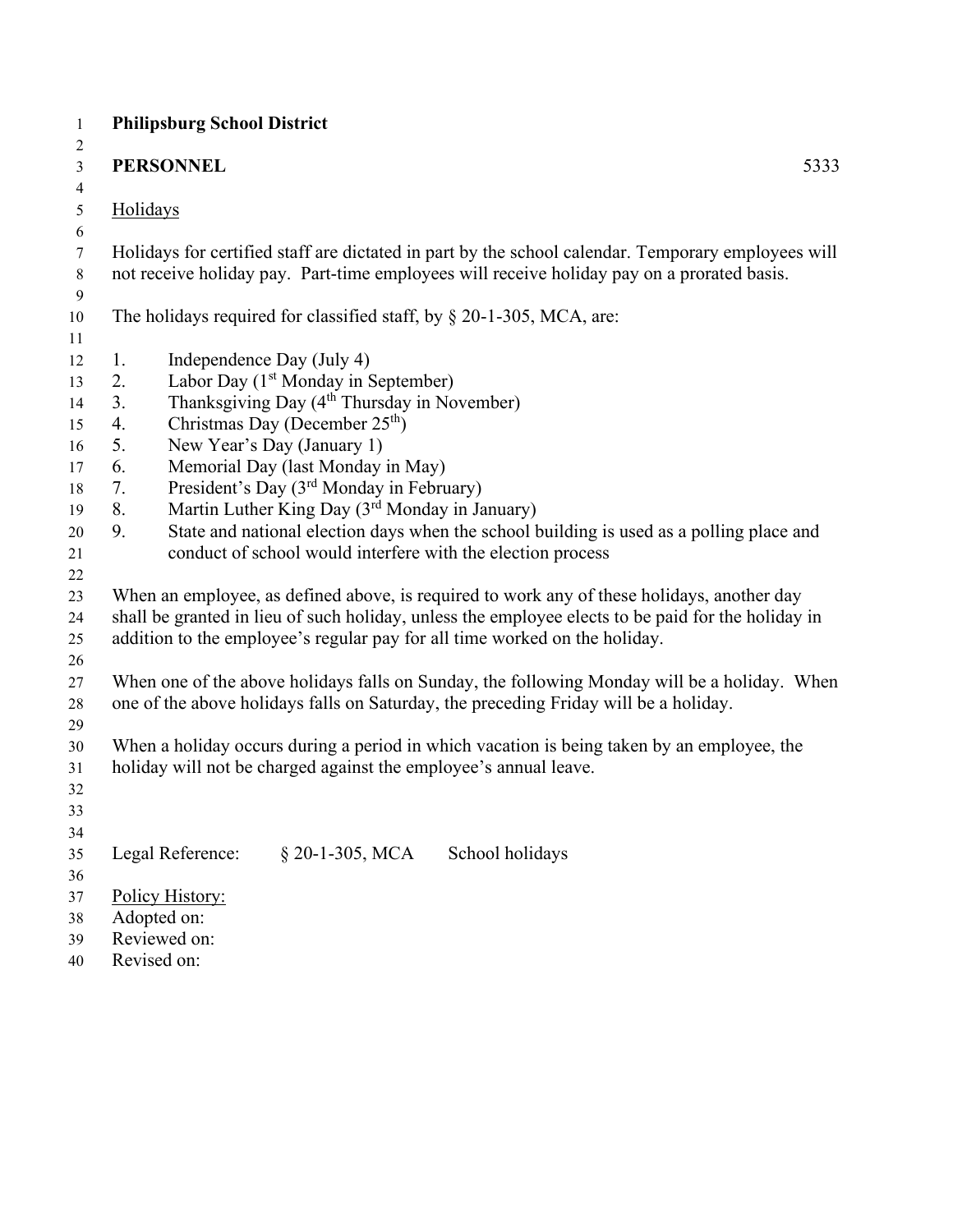|          | <b>Philipsburg School District</b> |                                                                  |                                                                                                                                                                                                                                                                                |
|----------|------------------------------------|------------------------------------------------------------------|--------------------------------------------------------------------------------------------------------------------------------------------------------------------------------------------------------------------------------------------------------------------------------|
|          | <b>PERSONNEL</b>                   |                                                                  | 5333                                                                                                                                                                                                                                                                           |
| Holidays |                                    |                                                                  |                                                                                                                                                                                                                                                                                |
|          |                                    |                                                                  |                                                                                                                                                                                                                                                                                |
|          |                                    |                                                                  | Holidays for certified staff are dictated in part by the school calendar. Temporary employees will<br>not receive holiday pay. Part-time employees will receive holiday pay on a prorated basis.                                                                               |
|          |                                    |                                                                  | The holidays required for classified staff, by $\S$ 20-1-305, MCA, are:                                                                                                                                                                                                        |
| 1.       |                                    | Independence Day (July 4)                                        |                                                                                                                                                                                                                                                                                |
| 2.       |                                    | Labor Day (1 <sup>st</sup> Monday in September)                  |                                                                                                                                                                                                                                                                                |
| 3.       |                                    | Thanksgiving Day (4 <sup>th</sup> Thursday in November)          |                                                                                                                                                                                                                                                                                |
| 4.       |                                    | Christmas Day (December 25 <sup>th</sup> )                       |                                                                                                                                                                                                                                                                                |
| 5.       |                                    | New Year's Day (January 1)                                       |                                                                                                                                                                                                                                                                                |
| 6.       |                                    | Memorial Day (last Monday in May)                                |                                                                                                                                                                                                                                                                                |
| 7.       |                                    | President's Day (3 <sup>rd</sup> Monday in February)             |                                                                                                                                                                                                                                                                                |
| 8.       |                                    | Martin Luther King Day (3rd Monday in January)                   |                                                                                                                                                                                                                                                                                |
| 9.       |                                    |                                                                  | State and national election days when the school building is used as a polling place and<br>conduct of school would interfere with the election process                                                                                                                        |
|          |                                    |                                                                  | When an employee, as defined above, is required to work any of these holidays, another day<br>shall be granted in lieu of such holiday, unless the employee elects to be paid for the holiday in<br>addition to the employee's regular pay for all time worked on the holiday. |
|          |                                    |                                                                  | When one of the above holidays falls on Sunday, the following Monday will be a holiday. When<br>one of the above holidays falls on Saturday, the preceding Friday will be a holiday.                                                                                           |
|          |                                    | holiday will not be charged against the employee's annual leave. | When a holiday occurs during a period in which vacation is being taken by an employee, the                                                                                                                                                                                     |
|          | Legal Reference:                   | § 20-1-305, MCA                                                  | School holidays                                                                                                                                                                                                                                                                |
|          | Policy History:                    |                                                                  |                                                                                                                                                                                                                                                                                |
|          | Adopted on:                        |                                                                  |                                                                                                                                                                                                                                                                                |
|          | Reviewed on:                       |                                                                  |                                                                                                                                                                                                                                                                                |
|          | Revised on:                        |                                                                  |                                                                                                                                                                                                                                                                                |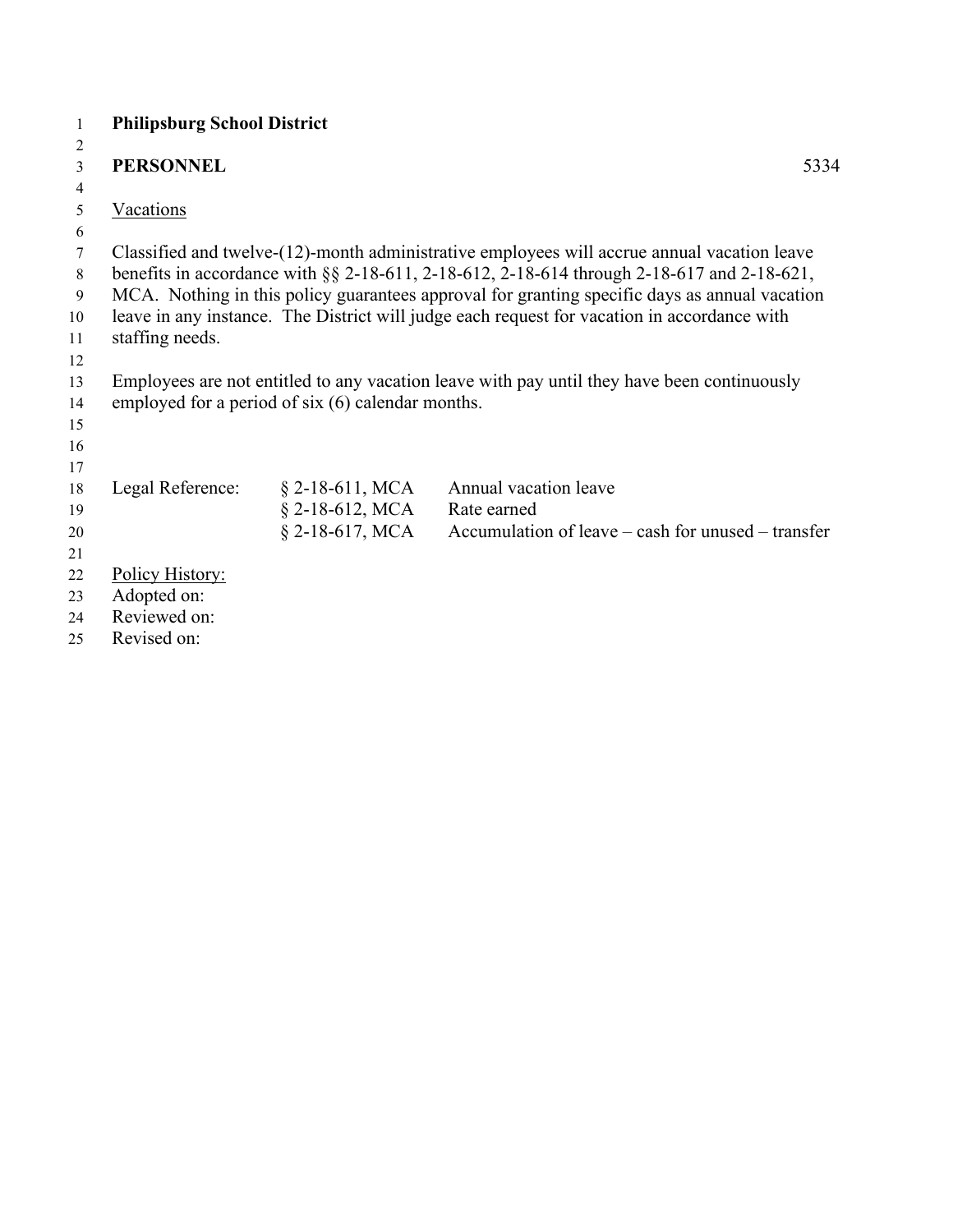| 1           | <b>Philipsburg School District</b> |                                                   |                                                                                               |
|-------------|------------------------------------|---------------------------------------------------|-----------------------------------------------------------------------------------------------|
| 2           |                                    |                                                   |                                                                                               |
| 3           | <b>PERSONNEL</b>                   |                                                   | 5334                                                                                          |
| 4           |                                    |                                                   |                                                                                               |
| 5           | Vacations                          |                                                   |                                                                                               |
| 6           |                                    |                                                   |                                                                                               |
| 7           |                                    |                                                   | Classified and twelve-(12)-month administrative employees will accrue annual vacation leave   |
| $\,$ 8 $\,$ |                                    |                                                   | benefits in accordance with §§ 2-18-611, 2-18-612, 2-18-614 through 2-18-617 and 2-18-621,    |
| 9           |                                    |                                                   | MCA. Nothing in this policy guarantees approval for granting specific days as annual vacation |
| 10          |                                    |                                                   | leave in any instance. The District will judge each request for vacation in accordance with   |
| 11          | staffing needs.                    |                                                   |                                                                                               |
| 12          |                                    |                                                   |                                                                                               |
| 13          |                                    |                                                   | Employees are not entitled to any vacation leave with pay until they have been continuously   |
| 14          |                                    | employed for a period of six (6) calendar months. |                                                                                               |
| 15          |                                    |                                                   |                                                                                               |
| 16          |                                    |                                                   |                                                                                               |
| 17          |                                    |                                                   |                                                                                               |
| 18          | Legal Reference:                   | $\S$ 2-18-611, MCA                                | Annual vacation leave                                                                         |
| 19          |                                    | $§$ 2-18-612, MCA                                 | Rate earned                                                                                   |
| 20          |                                    | $§ 2-18-617, MCA$                                 | Accumulation of leave – cash for unused – transfer                                            |
| 21          |                                    |                                                   |                                                                                               |
| 22          | Policy History:                    |                                                   |                                                                                               |
| 23          | Adopted on:                        |                                                   |                                                                                               |
| 24          | Reviewed on:                       |                                                   |                                                                                               |
| 25          | Revised on:                        |                                                   |                                                                                               |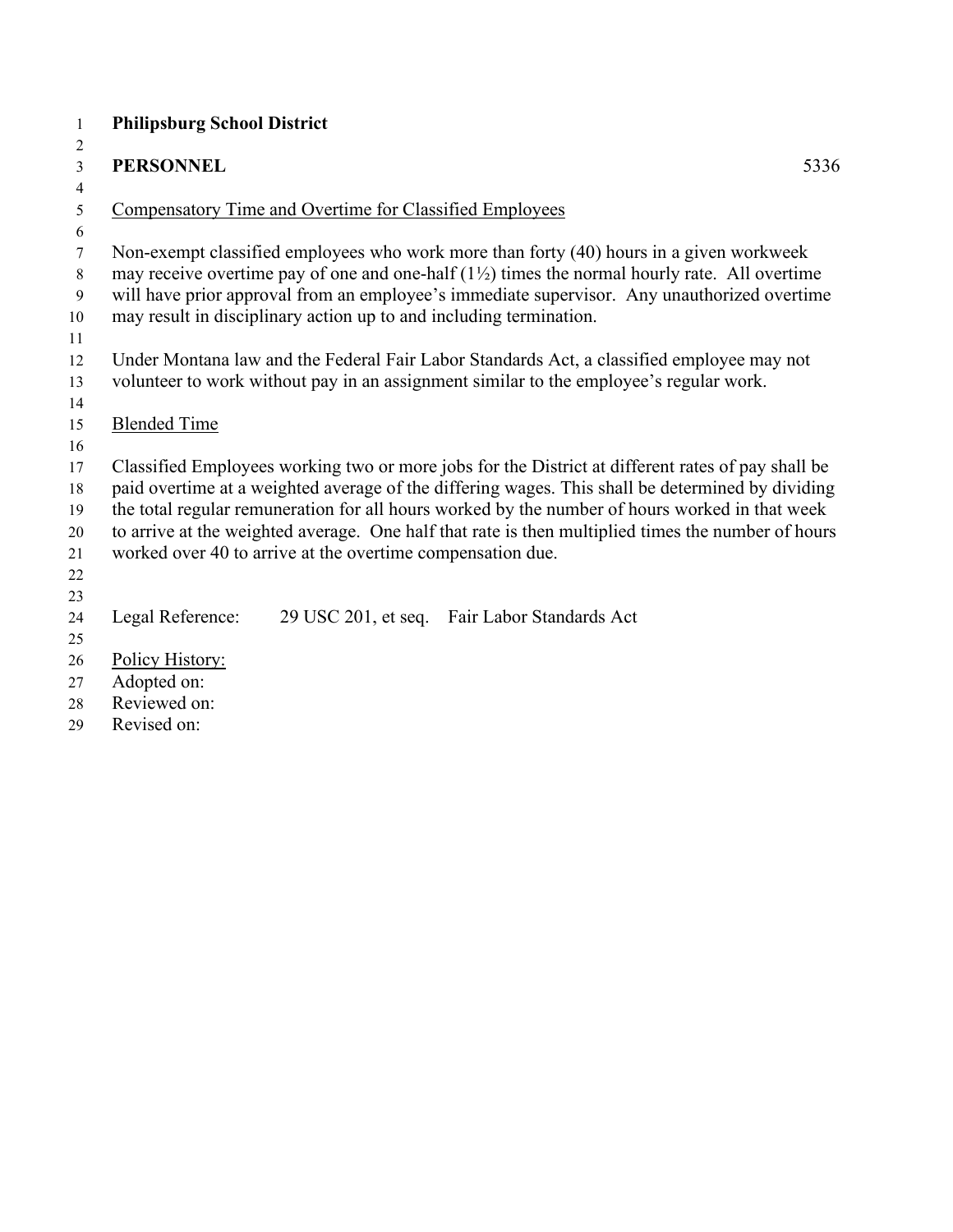| $\overline{2}$<br><b>PERSONNEL</b><br>$\mathfrak{Z}$<br>$\overline{4}$<br>Compensatory Time and Overtime for Classified Employees<br>5<br>6<br>Non-exempt classified employees who work more than forty (40) hours in a given workweek<br>$\tau$<br>may receive overtime pay of one and one-half $(1\frac{1}{2})$ times the normal hourly rate. All overtime<br>8<br>will have prior approval from an employee's immediate supervisor. Any unauthorized overtime<br>9<br>may result in disciplinary action up to and including termination.<br>10<br>11<br>Under Montana law and the Federal Fair Labor Standards Act, a classified employee may not<br>12<br>volunteer to work without pay in an assignment similar to the employee's regular work.<br>13<br>14<br><b>Blended Time</b><br>15<br>16<br>Classified Employees working two or more jobs for the District at different rates of pay shall be<br>17<br>paid overtime at a weighted average of the differing wages. This shall be determined by dividing<br>18<br>the total regular remuneration for all hours worked by the number of hours worked in that week<br>19<br>to arrive at the weighted average. One half that rate is then multiplied times the number of hours<br>20<br>worked over 40 to arrive at the overtime compensation due.<br>21<br>22 |      |
|------------------------------------------------------------------------------------------------------------------------------------------------------------------------------------------------------------------------------------------------------------------------------------------------------------------------------------------------------------------------------------------------------------------------------------------------------------------------------------------------------------------------------------------------------------------------------------------------------------------------------------------------------------------------------------------------------------------------------------------------------------------------------------------------------------------------------------------------------------------------------------------------------------------------------------------------------------------------------------------------------------------------------------------------------------------------------------------------------------------------------------------------------------------------------------------------------------------------------------------------------------------------------------------------------------------------|------|
|                                                                                                                                                                                                                                                                                                                                                                                                                                                                                                                                                                                                                                                                                                                                                                                                                                                                                                                                                                                                                                                                                                                                                                                                                                                                                                                        |      |
|                                                                                                                                                                                                                                                                                                                                                                                                                                                                                                                                                                                                                                                                                                                                                                                                                                                                                                                                                                                                                                                                                                                                                                                                                                                                                                                        | 5336 |
|                                                                                                                                                                                                                                                                                                                                                                                                                                                                                                                                                                                                                                                                                                                                                                                                                                                                                                                                                                                                                                                                                                                                                                                                                                                                                                                        |      |
|                                                                                                                                                                                                                                                                                                                                                                                                                                                                                                                                                                                                                                                                                                                                                                                                                                                                                                                                                                                                                                                                                                                                                                                                                                                                                                                        |      |
|                                                                                                                                                                                                                                                                                                                                                                                                                                                                                                                                                                                                                                                                                                                                                                                                                                                                                                                                                                                                                                                                                                                                                                                                                                                                                                                        |      |
|                                                                                                                                                                                                                                                                                                                                                                                                                                                                                                                                                                                                                                                                                                                                                                                                                                                                                                                                                                                                                                                                                                                                                                                                                                                                                                                        |      |
|                                                                                                                                                                                                                                                                                                                                                                                                                                                                                                                                                                                                                                                                                                                                                                                                                                                                                                                                                                                                                                                                                                                                                                                                                                                                                                                        |      |
|                                                                                                                                                                                                                                                                                                                                                                                                                                                                                                                                                                                                                                                                                                                                                                                                                                                                                                                                                                                                                                                                                                                                                                                                                                                                                                                        |      |
|                                                                                                                                                                                                                                                                                                                                                                                                                                                                                                                                                                                                                                                                                                                                                                                                                                                                                                                                                                                                                                                                                                                                                                                                                                                                                                                        |      |
|                                                                                                                                                                                                                                                                                                                                                                                                                                                                                                                                                                                                                                                                                                                                                                                                                                                                                                                                                                                                                                                                                                                                                                                                                                                                                                                        |      |
|                                                                                                                                                                                                                                                                                                                                                                                                                                                                                                                                                                                                                                                                                                                                                                                                                                                                                                                                                                                                                                                                                                                                                                                                                                                                                                                        |      |
|                                                                                                                                                                                                                                                                                                                                                                                                                                                                                                                                                                                                                                                                                                                                                                                                                                                                                                                                                                                                                                                                                                                                                                                                                                                                                                                        |      |
|                                                                                                                                                                                                                                                                                                                                                                                                                                                                                                                                                                                                                                                                                                                                                                                                                                                                                                                                                                                                                                                                                                                                                                                                                                                                                                                        |      |
|                                                                                                                                                                                                                                                                                                                                                                                                                                                                                                                                                                                                                                                                                                                                                                                                                                                                                                                                                                                                                                                                                                                                                                                                                                                                                                                        |      |
|                                                                                                                                                                                                                                                                                                                                                                                                                                                                                                                                                                                                                                                                                                                                                                                                                                                                                                                                                                                                                                                                                                                                                                                                                                                                                                                        |      |
|                                                                                                                                                                                                                                                                                                                                                                                                                                                                                                                                                                                                                                                                                                                                                                                                                                                                                                                                                                                                                                                                                                                                                                                                                                                                                                                        |      |
|                                                                                                                                                                                                                                                                                                                                                                                                                                                                                                                                                                                                                                                                                                                                                                                                                                                                                                                                                                                                                                                                                                                                                                                                                                                                                                                        |      |
|                                                                                                                                                                                                                                                                                                                                                                                                                                                                                                                                                                                                                                                                                                                                                                                                                                                                                                                                                                                                                                                                                                                                                                                                                                                                                                                        |      |
|                                                                                                                                                                                                                                                                                                                                                                                                                                                                                                                                                                                                                                                                                                                                                                                                                                                                                                                                                                                                                                                                                                                                                                                                                                                                                                                        |      |
|                                                                                                                                                                                                                                                                                                                                                                                                                                                                                                                                                                                                                                                                                                                                                                                                                                                                                                                                                                                                                                                                                                                                                                                                                                                                                                                        |      |
|                                                                                                                                                                                                                                                                                                                                                                                                                                                                                                                                                                                                                                                                                                                                                                                                                                                                                                                                                                                                                                                                                                                                                                                                                                                                                                                        |      |
| 23<br>Legal Reference:<br>29 USC 201, et seq. Fair Labor Standards Act                                                                                                                                                                                                                                                                                                                                                                                                                                                                                                                                                                                                                                                                                                                                                                                                                                                                                                                                                                                                                                                                                                                                                                                                                                                 |      |
| 24                                                                                                                                                                                                                                                                                                                                                                                                                                                                                                                                                                                                                                                                                                                                                                                                                                                                                                                                                                                                                                                                                                                                                                                                                                                                                                                     |      |
| 25<br>Policy History:<br>26                                                                                                                                                                                                                                                                                                                                                                                                                                                                                                                                                                                                                                                                                                                                                                                                                                                                                                                                                                                                                                                                                                                                                                                                                                                                                            |      |
| Adopted on:<br>27                                                                                                                                                                                                                                                                                                                                                                                                                                                                                                                                                                                                                                                                                                                                                                                                                                                                                                                                                                                                                                                                                                                                                                                                                                                                                                      |      |
| Reviewed on:<br>28                                                                                                                                                                                                                                                                                                                                                                                                                                                                                                                                                                                                                                                                                                                                                                                                                                                                                                                                                                                                                                                                                                                                                                                                                                                                                                     |      |
| Revised on:<br>29                                                                                                                                                                                                                                                                                                                                                                                                                                                                                                                                                                                                                                                                                                                                                                                                                                                                                                                                                                                                                                                                                                                                                                                                                                                                                                      |      |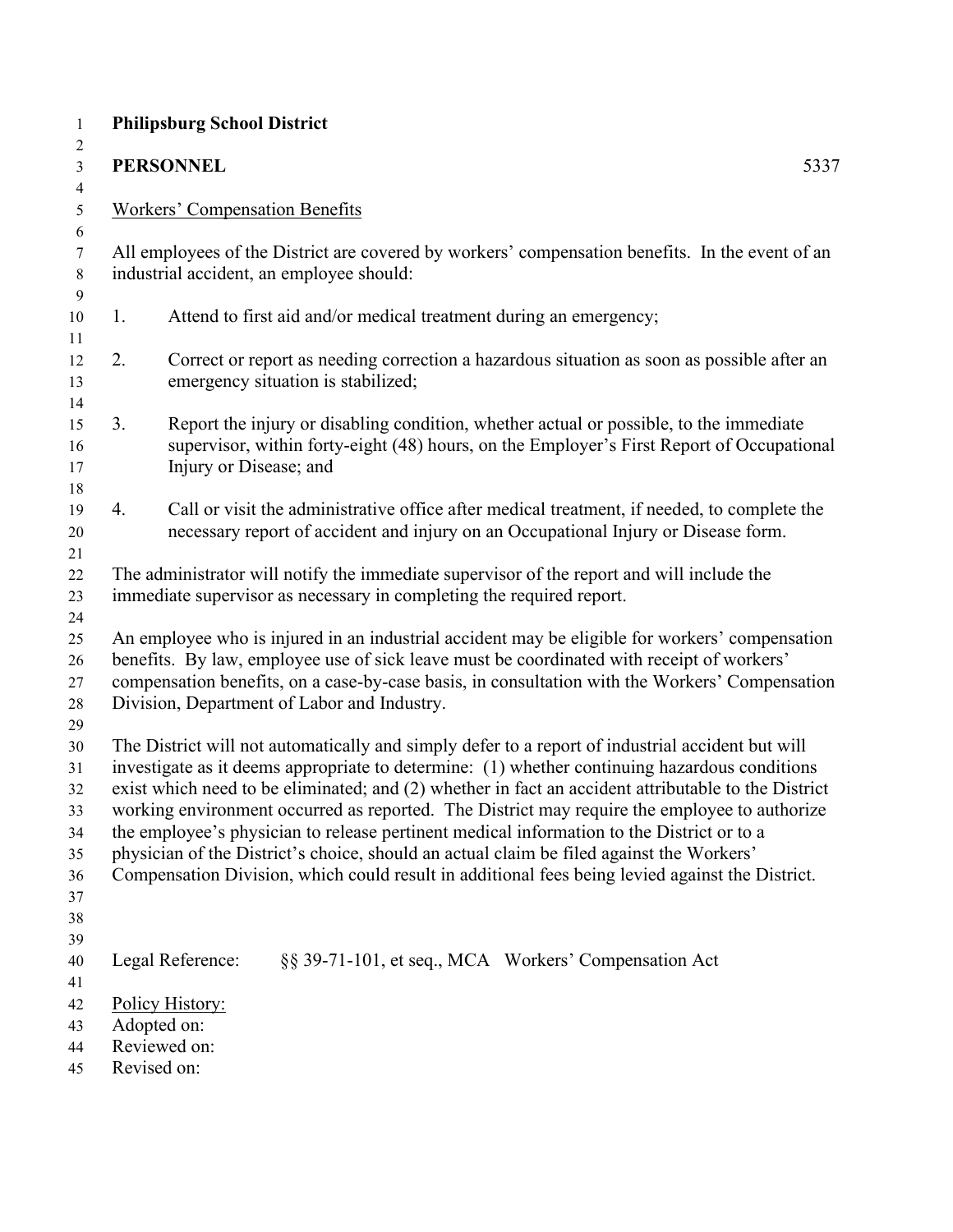|    | <b>PERSONNEL</b><br>5337                                                                                                                                                                                                                                                                                                                                                                                                                                                                                                                                                                                                                                                                             |
|----|------------------------------------------------------------------------------------------------------------------------------------------------------------------------------------------------------------------------------------------------------------------------------------------------------------------------------------------------------------------------------------------------------------------------------------------------------------------------------------------------------------------------------------------------------------------------------------------------------------------------------------------------------------------------------------------------------|
|    | <b>Workers' Compensation Benefits</b>                                                                                                                                                                                                                                                                                                                                                                                                                                                                                                                                                                                                                                                                |
|    | All employees of the District are covered by workers' compensation benefits. In the event of an<br>industrial accident, an employee should:                                                                                                                                                                                                                                                                                                                                                                                                                                                                                                                                                          |
| 1. | Attend to first aid and/or medical treatment during an emergency;                                                                                                                                                                                                                                                                                                                                                                                                                                                                                                                                                                                                                                    |
| 2. | Correct or report as needing correction a hazardous situation as soon as possible after an<br>emergency situation is stabilized;                                                                                                                                                                                                                                                                                                                                                                                                                                                                                                                                                                     |
| 3. | Report the injury or disabling condition, whether actual or possible, to the immediate<br>supervisor, within forty-eight (48) hours, on the Employer's First Report of Occupational<br>Injury or Disease; and                                                                                                                                                                                                                                                                                                                                                                                                                                                                                        |
| 4. | Call or visit the administrative office after medical treatment, if needed, to complete the<br>necessary report of accident and injury on an Occupational Injury or Disease form.                                                                                                                                                                                                                                                                                                                                                                                                                                                                                                                    |
|    | The administrator will notify the immediate supervisor of the report and will include the<br>immediate supervisor as necessary in completing the required report.                                                                                                                                                                                                                                                                                                                                                                                                                                                                                                                                    |
|    | An employee who is injured in an industrial accident may be eligible for workers' compensation<br>benefits. By law, employee use of sick leave must be coordinated with receipt of workers'<br>compensation benefits, on a case-by-case basis, in consultation with the Workers' Compensation<br>Division, Department of Labor and Industry.                                                                                                                                                                                                                                                                                                                                                         |
|    | The District will not automatically and simply defer to a report of industrial accident but will<br>investigate as it deems appropriate to determine: (1) whether continuing hazardous conditions<br>exist which need to be eliminated; and (2) whether in fact an accident attributable to the District<br>working environment occurred as reported. The District may require the employee to authorize<br>the employee's physician to release pertinent medical information to the District or to a<br>physician of the District's choice, should an actual claim be filed against the Workers'<br>Compensation Division, which could result in additional fees being levied against the District. |
|    | Legal Reference:<br>§§ 39-71-101, et seq., MCA Workers' Compensation Act<br>Policy History:<br>Adopted on:                                                                                                                                                                                                                                                                                                                                                                                                                                                                                                                                                                                           |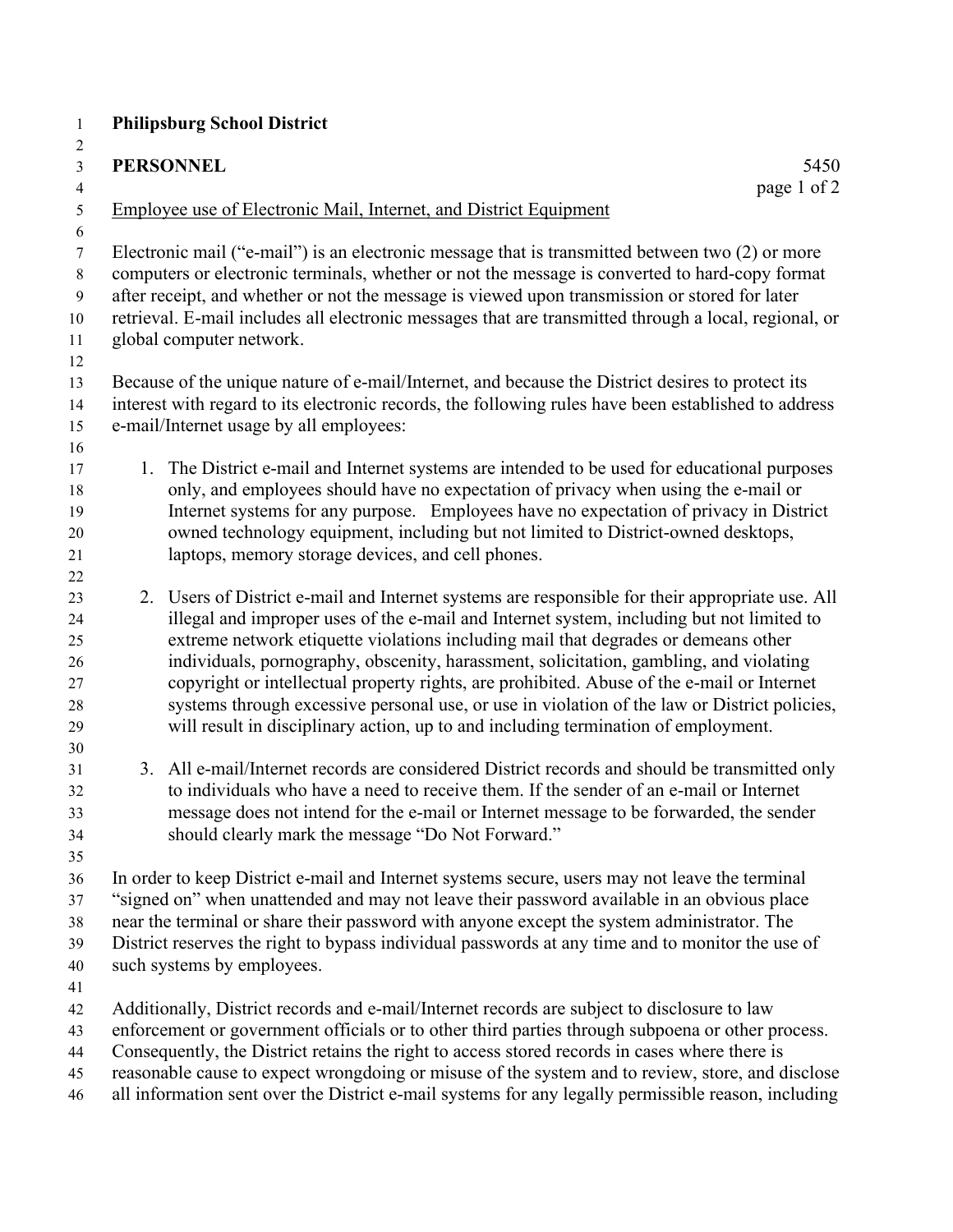| <b>PERSONNEL</b><br>5450<br>page 1 of 2                                                                                                                                                                                                                                                                                                                                                                                                                                                                                                                                                                                                                          |
|------------------------------------------------------------------------------------------------------------------------------------------------------------------------------------------------------------------------------------------------------------------------------------------------------------------------------------------------------------------------------------------------------------------------------------------------------------------------------------------------------------------------------------------------------------------------------------------------------------------------------------------------------------------|
| Employee use of Electronic Mail, Internet, and District Equipment                                                                                                                                                                                                                                                                                                                                                                                                                                                                                                                                                                                                |
| Electronic mail ("e-mail") is an electronic message that is transmitted between two (2) or more<br>computers or electronic terminals, whether or not the message is converted to hard-copy format<br>after receipt, and whether or not the message is viewed upon transmission or stored for later<br>retrieval. E-mail includes all electronic messages that are transmitted through a local, regional, or<br>global computer network.                                                                                                                                                                                                                          |
| Because of the unique nature of e-mail/Internet, and because the District desires to protect its<br>interest with regard to its electronic records, the following rules have been established to address<br>e-mail/Internet usage by all employees:                                                                                                                                                                                                                                                                                                                                                                                                              |
| 1. The District e-mail and Internet systems are intended to be used for educational purposes<br>only, and employees should have no expectation of privacy when using the e-mail or<br>Internet systems for any purpose. Employees have no expectation of privacy in District<br>owned technology equipment, including but not limited to District-owned desktops,<br>laptops, memory storage devices, and cell phones.                                                                                                                                                                                                                                           |
| 2. Users of District e-mail and Internet systems are responsible for their appropriate use. All<br>illegal and improper uses of the e-mail and Internet system, including but not limited to<br>extreme network etiquette violations including mail that degrades or demeans other<br>individuals, pornography, obscenity, harassment, solicitation, gambling, and violating<br>copyright or intellectual property rights, are prohibited. Abuse of the e-mail or Internet<br>systems through excessive personal use, or use in violation of the law or District policies,<br>will result in disciplinary action, up to and including termination of employment. |
| 3. All e-mail/Internet records are considered District records and should be transmitted only<br>to individuals who have a need to receive them. If the sender of an e-mail or Internet<br>message does not intend for the e-mail or Internet message to be forwarded, the sender<br>should clearly mark the message "Do Not Forward."                                                                                                                                                                                                                                                                                                                           |
| In order to keep District e-mail and Internet systems secure, users may not leave the terminal<br>"signed on" when unattended and may not leave their password available in an obvious place<br>near the terminal or share their password with anyone except the system administrator. The<br>District reserves the right to bypass individual passwords at any time and to monitor the use of<br>such systems by employees.                                                                                                                                                                                                                                     |
| Additionally, District records and e-mail/Internet records are subject to disclosure to law<br>enforcement or government officials or to other third parties through subpoena or other process.<br>Consequently, the District retains the right to access stored records in cases where there is<br>reasonable cause to expect wrongdoing or misuse of the system and to review, store, and disclose                                                                                                                                                                                                                                                             |

all information sent over the District e-mail systems for any legally permissible reason, including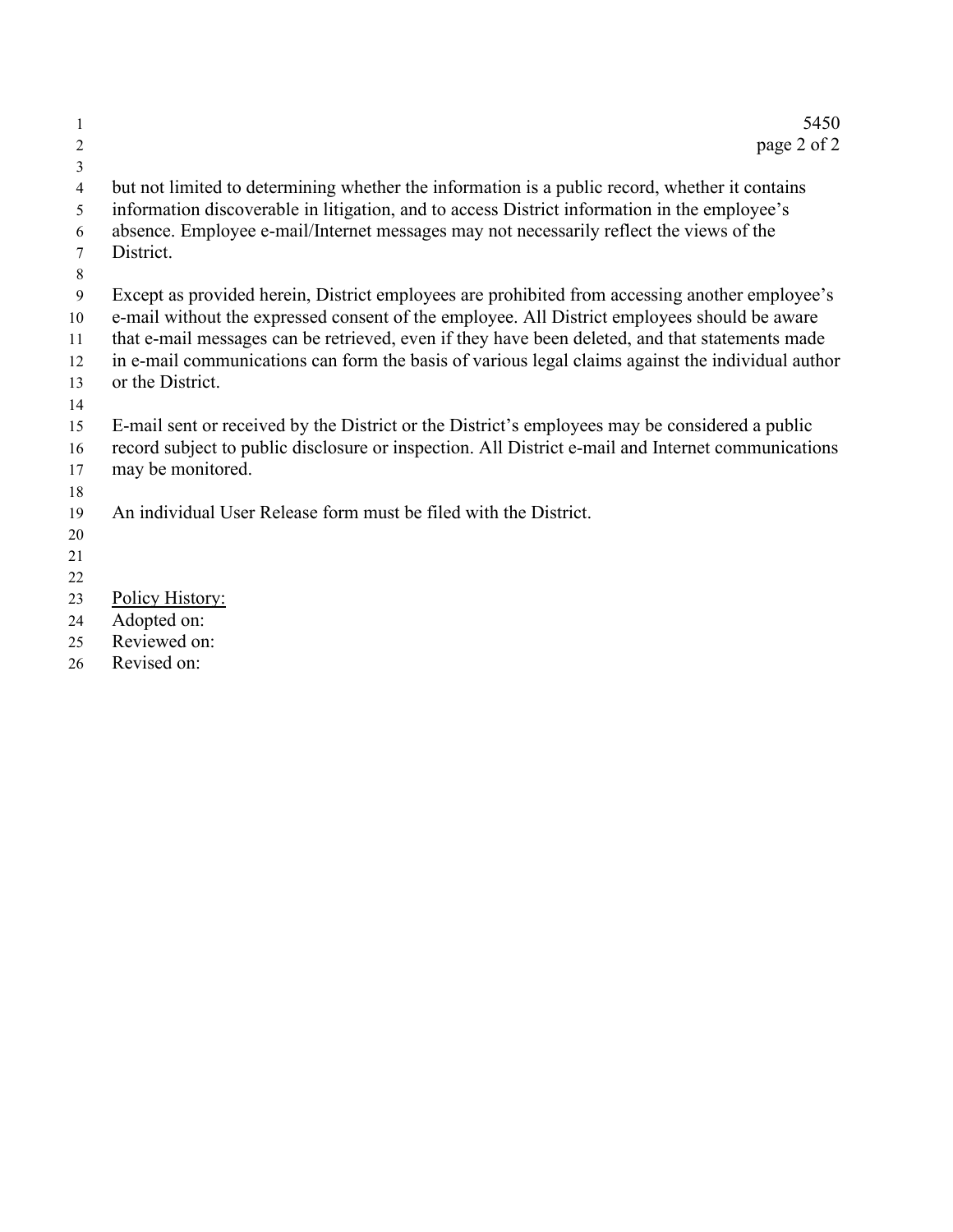| 1              | 5450                                                                                               |
|----------------|----------------------------------------------------------------------------------------------------|
| 2              | page 2 of 2                                                                                        |
| $\mathfrak{Z}$ |                                                                                                    |
| $\overline{4}$ | but not limited to determining whether the information is a public record, whether it contains     |
| 5              | information discoverable in litigation, and to access District information in the employee's       |
| 6              | absence. Employee e-mail/Internet messages may not necessarily reflect the views of the            |
| 7              | District.                                                                                          |
| $8\,$          |                                                                                                    |
| 9              | Except as provided herein, District employees are prohibited from accessing another employee's     |
| 10             | e-mail without the expressed consent of the employee. All District employees should be aware       |
| 11             | that e-mail messages can be retrieved, even if they have been deleted, and that statements made    |
| 12             | in e-mail communications can form the basis of various legal claims against the individual author  |
| 13             | or the District.                                                                                   |
| 14             |                                                                                                    |
| 15             | E-mail sent or received by the District or the District's employees may be considered a public     |
| 16             | record subject to public disclosure or inspection. All District e-mail and Internet communications |
| 17             | may be monitored.                                                                                  |
| 18             |                                                                                                    |
| 19             | An individual User Release form must be filed with the District.                                   |
| 20             |                                                                                                    |
| 21             |                                                                                                    |
| 22             |                                                                                                    |
| 23             | Policy History:                                                                                    |
| 24             | Adopted on:                                                                                        |
| 25             | Reviewed on:                                                                                       |
| 26             | Revised on:                                                                                        |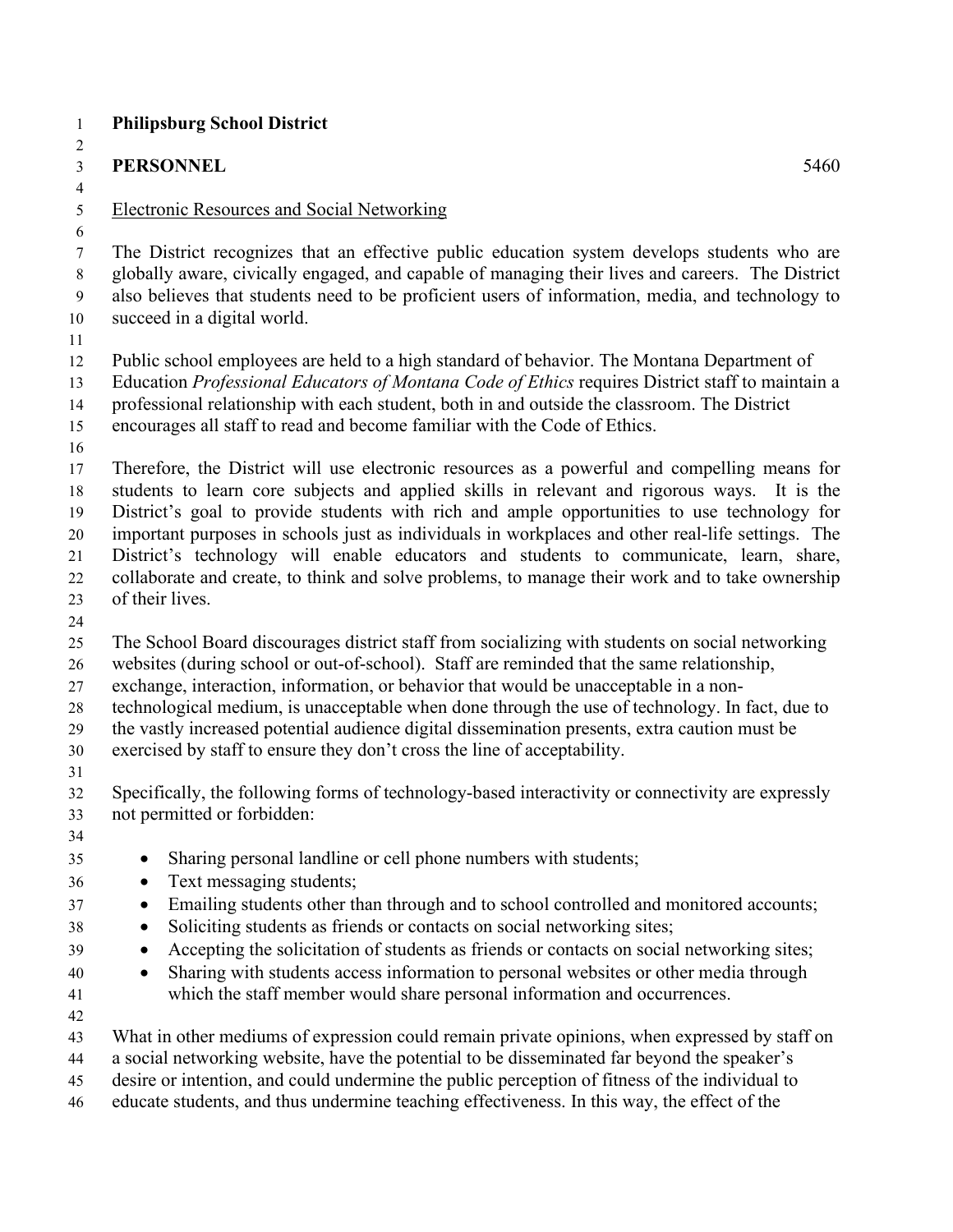| $\overline{c}$      |                                                                                                                                                                                  |  |  |  |
|---------------------|----------------------------------------------------------------------------------------------------------------------------------------------------------------------------------|--|--|--|
| $\overline{3}$      | <b>PERSONNEL</b><br>5460                                                                                                                                                         |  |  |  |
| $\overline{4}$<br>5 | <b>Electronic Resources and Social Networking</b>                                                                                                                                |  |  |  |
| 6                   |                                                                                                                                                                                  |  |  |  |
| $\tau$              | The District recognizes that an effective public education system develops students who are                                                                                      |  |  |  |
| $8\,$               | globally aware, civically engaged, and capable of managing their lives and careers. The District                                                                                 |  |  |  |
| $\boldsymbol{9}$    | also believes that students need to be proficient users of information, media, and technology to                                                                                 |  |  |  |
| 10                  | succeed in a digital world.                                                                                                                                                      |  |  |  |
| 11                  |                                                                                                                                                                                  |  |  |  |
| 12                  | Public school employees are held to a high standard of behavior. The Montana Department of                                                                                       |  |  |  |
| 13                  | Education Professional Educators of Montana Code of Ethics requires District staff to maintain a                                                                                 |  |  |  |
| 14                  | professional relationship with each student, both in and outside the classroom. The District                                                                                     |  |  |  |
| 15                  | encourages all staff to read and become familiar with the Code of Ethics.                                                                                                        |  |  |  |
| 16                  |                                                                                                                                                                                  |  |  |  |
| 17                  | Therefore, the District will use electronic resources as a powerful and compelling means for                                                                                     |  |  |  |
| 18                  | students to learn core subjects and applied skills in relevant and rigorous ways. It is the                                                                                      |  |  |  |
| 19                  | District's goal to provide students with rich and ample opportunities to use technology for                                                                                      |  |  |  |
| 20                  | important purposes in schools just as individuals in workplaces and other real-life settings. The                                                                                |  |  |  |
| 21                  | District's technology will enable educators and students to communicate, learn, share,                                                                                           |  |  |  |
| 22<br>23            | collaborate and create, to think and solve problems, to manage their work and to take ownership<br>of their lives.                                                               |  |  |  |
| 24                  |                                                                                                                                                                                  |  |  |  |
| 25                  | The School Board discourages district staff from socializing with students on social networking                                                                                  |  |  |  |
| 26                  | websites (during school or out-of-school). Staff are reminded that the same relationship,                                                                                        |  |  |  |
| 27                  | exchange, interaction, information, or behavior that would be unacceptable in a non-                                                                                             |  |  |  |
| 28                  | technological medium, is unacceptable when done through the use of technology. In fact, due to                                                                                   |  |  |  |
| 29                  | the vastly increased potential audience digital dissemination presents, extra caution must be                                                                                    |  |  |  |
| 30                  | exercised by staff to ensure they don't cross the line of acceptability.                                                                                                         |  |  |  |
| 31                  |                                                                                                                                                                                  |  |  |  |
| 32                  | Specifically, the following forms of technology-based interactivity or connectivity are expressly                                                                                |  |  |  |
| 33                  | not permitted or forbidden:                                                                                                                                                      |  |  |  |
| 34                  |                                                                                                                                                                                  |  |  |  |
| 35                  | Sharing personal landline or cell phone numbers with students;                                                                                                                   |  |  |  |
| 36                  | Text messaging students;<br>$\bullet$                                                                                                                                            |  |  |  |
| 37                  | Emailing students other than through and to school controlled and monitored accounts;<br>$\bullet$                                                                               |  |  |  |
| 38                  | Soliciting students as friends or contacts on social networking sites;<br>$\bullet$<br>Accepting the solicitation of students as friends or contacts on social networking sites; |  |  |  |
| 39<br>40            | $\bullet$<br>Sharing with students access information to personal websites or other media through<br>$\bullet$                                                                   |  |  |  |
| 41                  | which the staff member would share personal information and occurrences.                                                                                                         |  |  |  |
| 42                  |                                                                                                                                                                                  |  |  |  |
| 43                  | What in other mediums of expression could remain private opinions, when expressed by staff on                                                                                    |  |  |  |
| 44                  | a social networking website, have the potential to be disseminated far beyond the speaker's                                                                                      |  |  |  |
| 45                  | desire or intention, and could undermine the public perception of fitness of the individual to                                                                                   |  |  |  |

educate students, and thus undermine teaching effectiveness. In this way, the effect of the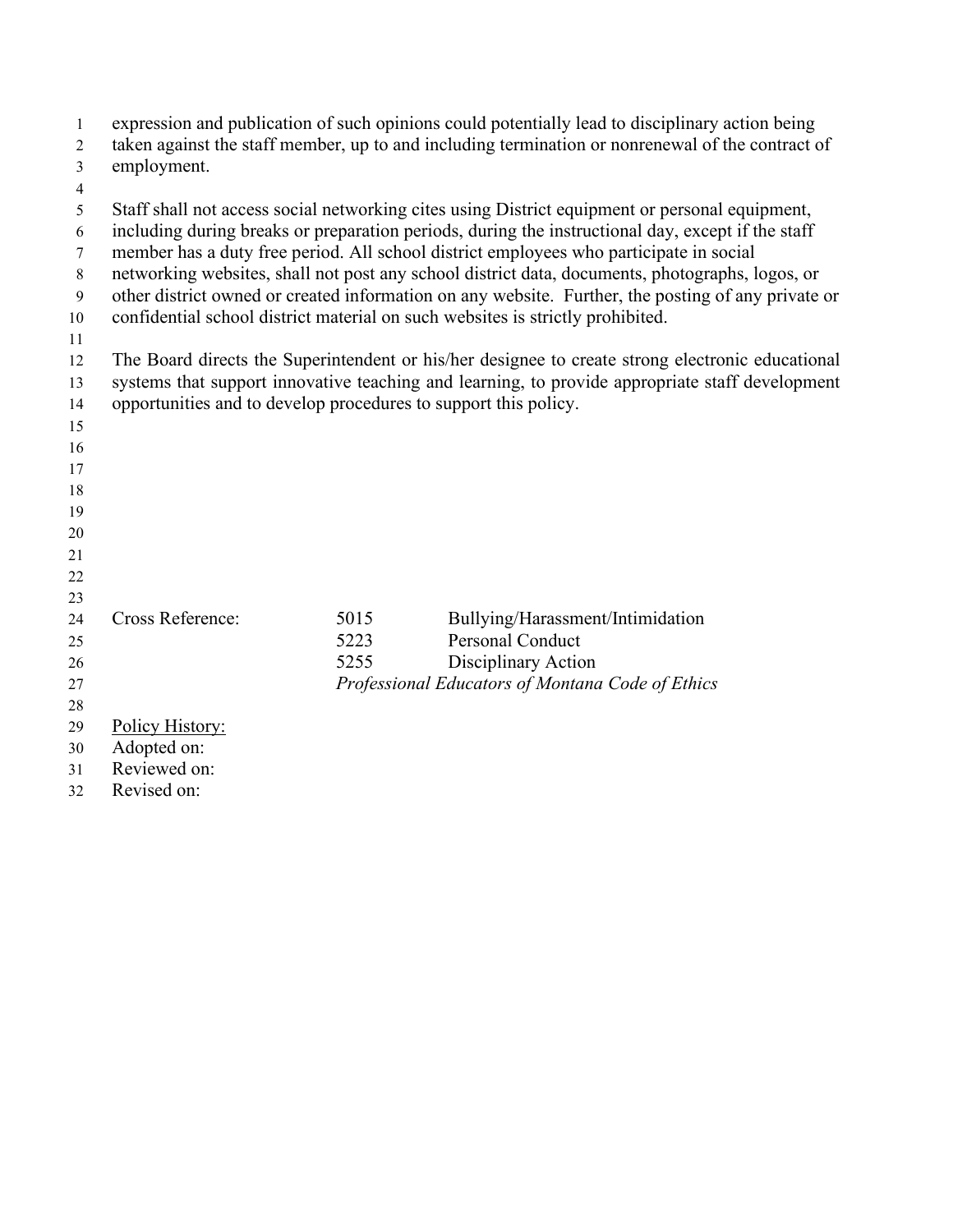| $\mathbf{1}$   | expression and publication of such opinions could potentially lead to disciplinary action being  |      |                                                                                                    |  |  |  |
|----------------|--------------------------------------------------------------------------------------------------|------|----------------------------------------------------------------------------------------------------|--|--|--|
| 2              | taken against the staff member, up to and including termination or nonrenewal of the contract of |      |                                                                                                    |  |  |  |
| 3              | employment.                                                                                      |      |                                                                                                    |  |  |  |
| $\overline{4}$ |                                                                                                  |      |                                                                                                    |  |  |  |
| 5              |                                                                                                  |      | Staff shall not access social networking cites using District equipment or personal equipment,     |  |  |  |
| 6              |                                                                                                  |      | including during breaks or preparation periods, during the instructional day, except if the staff  |  |  |  |
| 7              |                                                                                                  |      | member has a duty free period. All school district employees who participate in social             |  |  |  |
| 8              | networking websites, shall not post any school district data, documents, photographs, logos, or  |      |                                                                                                    |  |  |  |
| 9              |                                                                                                  |      | other district owned or created information on any website. Further, the posting of any private or |  |  |  |
| 10             |                                                                                                  |      | confidential school district material on such websites is strictly prohibited.                     |  |  |  |
| 11             |                                                                                                  |      |                                                                                                    |  |  |  |
| 12             | The Board directs the Superintendent or his/her designee to create strong electronic educational |      |                                                                                                    |  |  |  |
| 13             | systems that support innovative teaching and learning, to provide appropriate staff development  |      |                                                                                                    |  |  |  |
| 14             | opportunities and to develop procedures to support this policy.                                  |      |                                                                                                    |  |  |  |
| 15             |                                                                                                  |      |                                                                                                    |  |  |  |
| 16             |                                                                                                  |      |                                                                                                    |  |  |  |
| 17             |                                                                                                  |      |                                                                                                    |  |  |  |
| 18             |                                                                                                  |      |                                                                                                    |  |  |  |
| 19             |                                                                                                  |      |                                                                                                    |  |  |  |
| 20             |                                                                                                  |      |                                                                                                    |  |  |  |
| 21             |                                                                                                  |      |                                                                                                    |  |  |  |
| 22             |                                                                                                  |      |                                                                                                    |  |  |  |
| 23             |                                                                                                  |      |                                                                                                    |  |  |  |
| 24             | Cross Reference:                                                                                 | 5015 | Bullying/Harassment/Intimidation                                                                   |  |  |  |
| 25             |                                                                                                  | 5223 | Personal Conduct                                                                                   |  |  |  |
| 26             |                                                                                                  | 5255 | Disciplinary Action                                                                                |  |  |  |
| 27             |                                                                                                  |      | Professional Educators of Montana Code of Ethics                                                   |  |  |  |
| 28             |                                                                                                  |      |                                                                                                    |  |  |  |
| 29             | Policy History:                                                                                  |      |                                                                                                    |  |  |  |
| 30             | Adopted on:                                                                                      |      |                                                                                                    |  |  |  |
| 31             | Reviewed on:                                                                                     |      |                                                                                                    |  |  |  |
|                |                                                                                                  |      |                                                                                                    |  |  |  |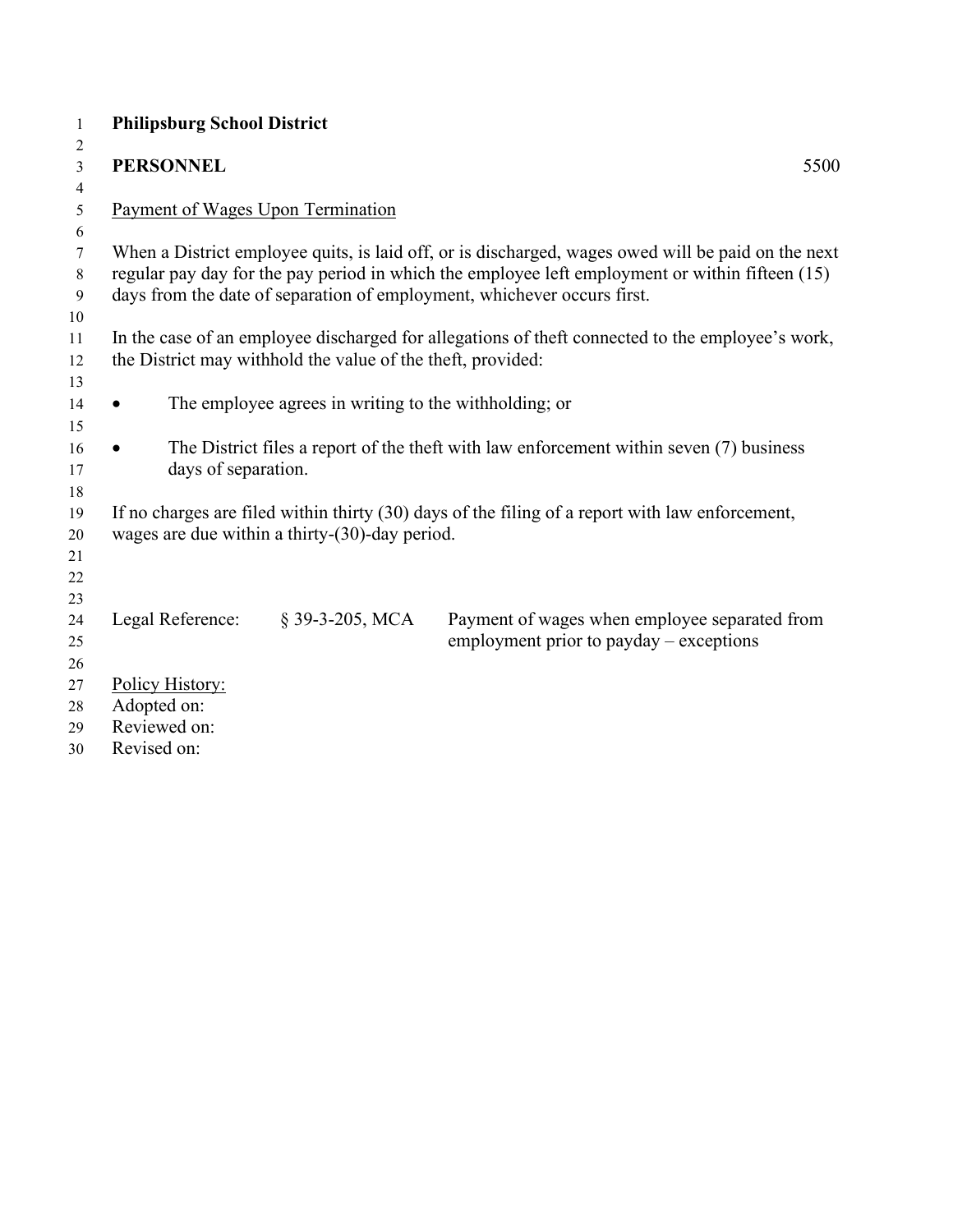| $\mathbf{1}$ | <b>Philipsburg School District</b>                                                                 |  |  |  |  |  |  |
|--------------|----------------------------------------------------------------------------------------------------|--|--|--|--|--|--|
| 2            |                                                                                                    |  |  |  |  |  |  |
| 3            | <b>PERSONNEL</b><br>5500                                                                           |  |  |  |  |  |  |
| 4            |                                                                                                    |  |  |  |  |  |  |
| 5            | Payment of Wages Upon Termination                                                                  |  |  |  |  |  |  |
| 6            |                                                                                                    |  |  |  |  |  |  |
| 7            | When a District employee quits, is laid off, or is discharged, wages owed will be paid on the next |  |  |  |  |  |  |
| 8            | regular pay day for the pay period in which the employee left employment or within fifteen (15)    |  |  |  |  |  |  |
| 9            | days from the date of separation of employment, whichever occurs first.                            |  |  |  |  |  |  |
| 10           |                                                                                                    |  |  |  |  |  |  |
| 11<br>12     | In the case of an employee discharged for allegations of theft connected to the employee's work,   |  |  |  |  |  |  |
| 13           | the District may withhold the value of the theft, provided:                                        |  |  |  |  |  |  |
| 14           | The employee agrees in writing to the withholding; or                                              |  |  |  |  |  |  |
| 15           |                                                                                                    |  |  |  |  |  |  |
| 16           | The District files a report of the theft with law enforcement within seven (7) business            |  |  |  |  |  |  |
| 17           | days of separation.                                                                                |  |  |  |  |  |  |
| 18           |                                                                                                    |  |  |  |  |  |  |
| 19           | If no charges are filed within thirty (30) days of the filing of a report with law enforcement,    |  |  |  |  |  |  |
| 20           | wages are due within a thirty-(30)-day period.                                                     |  |  |  |  |  |  |
| 21           |                                                                                                    |  |  |  |  |  |  |
| 22           |                                                                                                    |  |  |  |  |  |  |
| 23           |                                                                                                    |  |  |  |  |  |  |
| 24           | Legal Reference:<br>§ 39-3-205, MCA<br>Payment of wages when employee separated from               |  |  |  |  |  |  |
| 25           | employment prior to payday – exceptions                                                            |  |  |  |  |  |  |
| 26           |                                                                                                    |  |  |  |  |  |  |
| 27           | Policy History:                                                                                    |  |  |  |  |  |  |
| 28           | Adopted on:                                                                                        |  |  |  |  |  |  |
| 29           | Reviewed on:                                                                                       |  |  |  |  |  |  |
| 30           | Revised on:                                                                                        |  |  |  |  |  |  |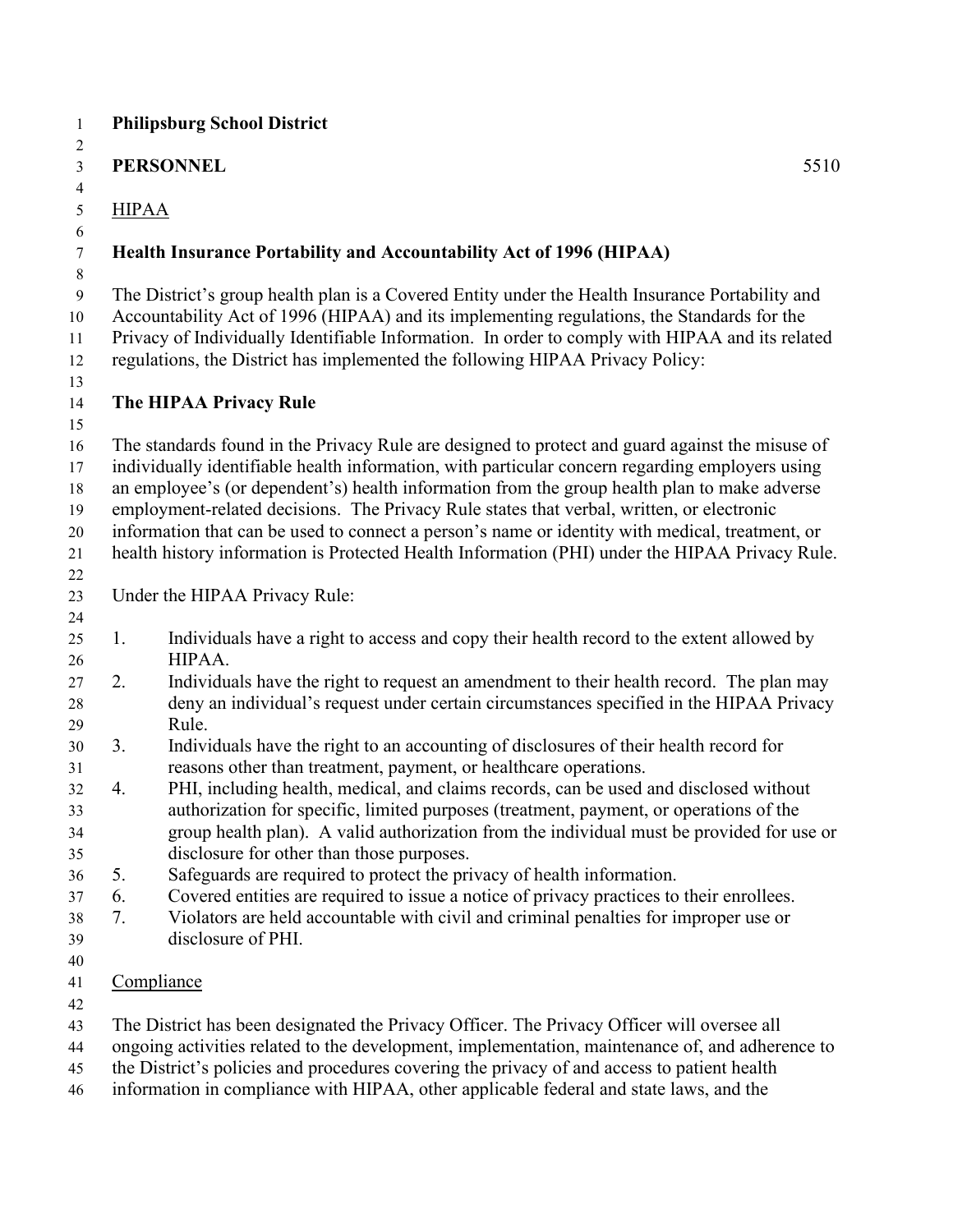**PERSONNEL** 5510 5 HIPAA **Health Insurance Portability and Accountability Act of 1996 (HIPAA)** 9 The District's group health plan is a Covered Entity under the Health Insurance Portability and Accountability Act of 1996 (HIPAA) and its implementing regulations, the Standards for the Privacy of Individually Identifiable Information. In order to comply with HIPAA and its related regulations, the District has implemented the following HIPAA Privacy Policy: **The HIPAA Privacy Rule** The standards found in the Privacy Rule are designed to protect and guard against the misuse of individually identifiable health information, with particular concern regarding employers using an employee's (or dependent's) health information from the group health plan to make adverse employment-related decisions. The Privacy Rule states that verbal, written, or electronic information that can be used to connect a person's name or identity with medical, treatment, or health history information is Protected Health Information (PHI) under the HIPAA Privacy Rule. Under the HIPAA Privacy Rule: 1. Individuals have a right to access and copy their health record to the extent allowed by HIPAA. 27 2. Individuals have the right to request an amendment to their health record. The plan may deny an individual's request under certain circumstances specified in the HIPAA Privacy Rule. 3. Individuals have the right to an accounting of disclosures of their health record for reasons other than treatment, payment, or healthcare operations. 4. PHI, including health, medical, and claims records, can be used and disclosed without authorization for specific, limited purposes (treatment, payment, or operations of the group health plan). A valid authorization from the individual must be provided for use or disclosure for other than those purposes. 5. Safeguards are required to protect the privacy of health information. 6. Covered entities are required to issue a notice of privacy practices to their enrollees. 7. Violators are held accountable with civil and criminal penalties for improper use or disclosure of PHI. Compliance 

**Philipsburg School District** 

- The District has been designated the Privacy Officer. The Privacy Officer will oversee all
- ongoing activities related to the development, implementation, maintenance of, and adherence to
- the District's policies and procedures covering the privacy of and access to patient health
- information in compliance with HIPAA, other applicable federal and state laws, and the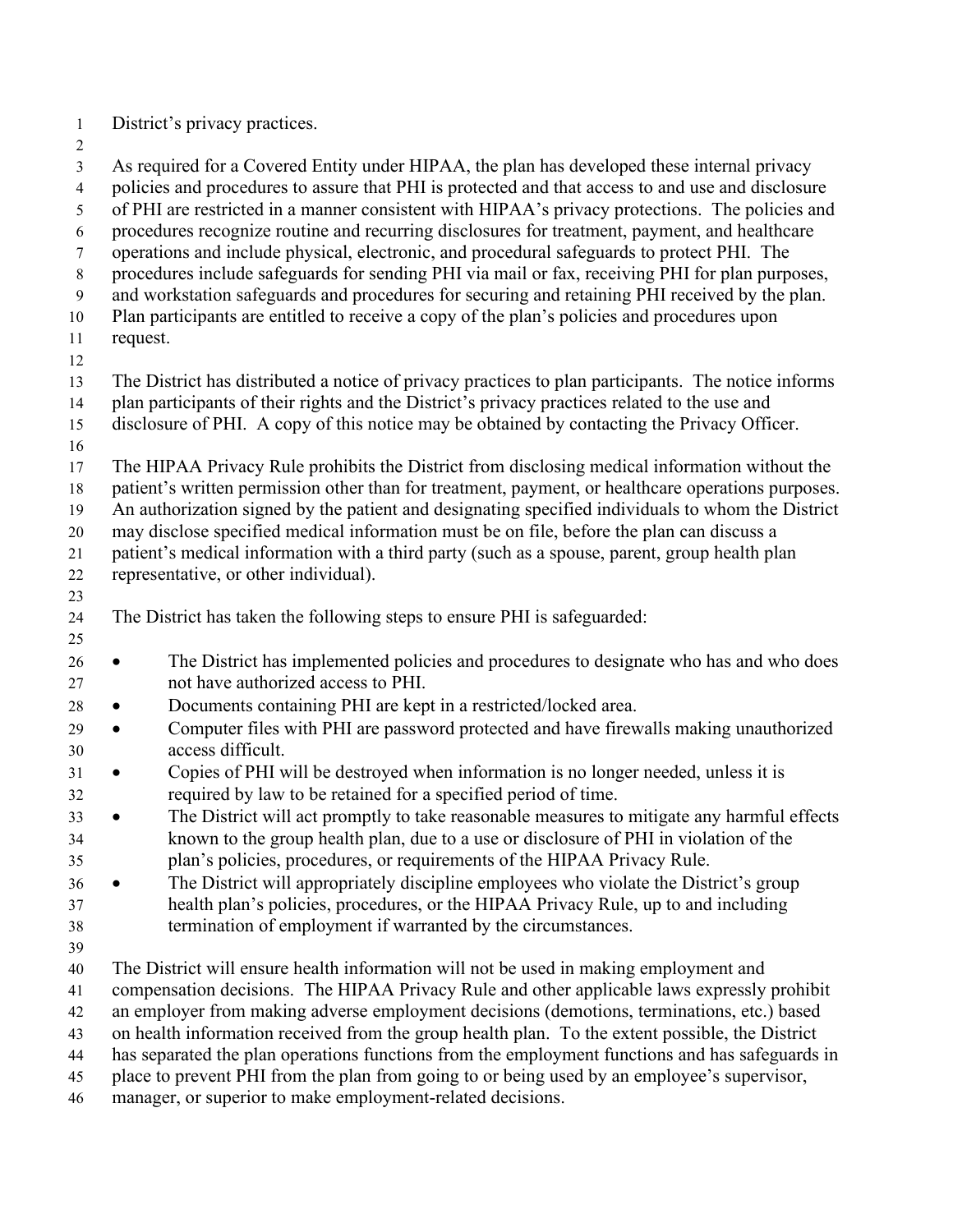- District's privacy practices.
- 

 As required for a Covered Entity under HIPAA, the plan has developed these internal privacy policies and procedures to assure that PHI is protected and that access to and use and disclosure of PHI are restricted in a manner consistent with HIPAA's privacy protections. The policies and procedures recognize routine and recurring disclosures for treatment, payment, and healthcare operations and include physical, electronic, and procedural safeguards to protect PHI. The procedures include safeguards for sending PHI via mail or fax, receiving PHI for plan purposes, and workstation safeguards and procedures for securing and retaining PHI received by the plan. Plan participants are entitled to receive a copy of the plan's policies and procedures upon request. The District has distributed a notice of privacy practices to plan participants. The notice informs plan participants of their rights and the District's privacy practices related to the use and disclosure of PHI. A copy of this notice may be obtained by contacting the Privacy Officer. The HIPAA Privacy Rule prohibits the District from disclosing medical information without the patient's written permission other than for treatment, payment, or healthcare operations purposes. An authorization signed by the patient and designating specified individuals to whom the District may disclose specified medical information must be on file, before the plan can discuss a patient's medical information with a third party (such as a spouse, parent, group health plan representative, or other individual). The District has taken the following steps to ensure PHI is safeguarded: • The District has implemented policies and procedures to designate who has and who does not have authorized access to PHI. • Documents containing PHI are kept in a restricted/locked area. • Computer files with PHI are password protected and have firewalls making unauthorized access difficult. • Copies of PHI will be destroyed when information is no longer needed, unless it is required by law to be retained for a specified period of time. • The District will act promptly to take reasonable measures to mitigate any harmful effects known to the group health plan, due to a use or disclosure of PHI in violation of the plan's policies, procedures, or requirements of the HIPAA Privacy Rule. • The District will appropriately discipline employees who violate the District's group health plan's policies, procedures, or the HIPAA Privacy Rule, up to and including termination of employment if warranted by the circumstances. The District will ensure health information will not be used in making employment and compensation decisions. The HIPAA Privacy Rule and other applicable laws expressly prohibit an employer from making adverse employment decisions (demotions, terminations, etc.) based on health information received from the group health plan. To the extent possible, the District has separated the plan operations functions from the employment functions and has safeguards in place to prevent PHI from the plan from going to or being used by an employee's supervisor,

manager, or superior to make employment-related decisions.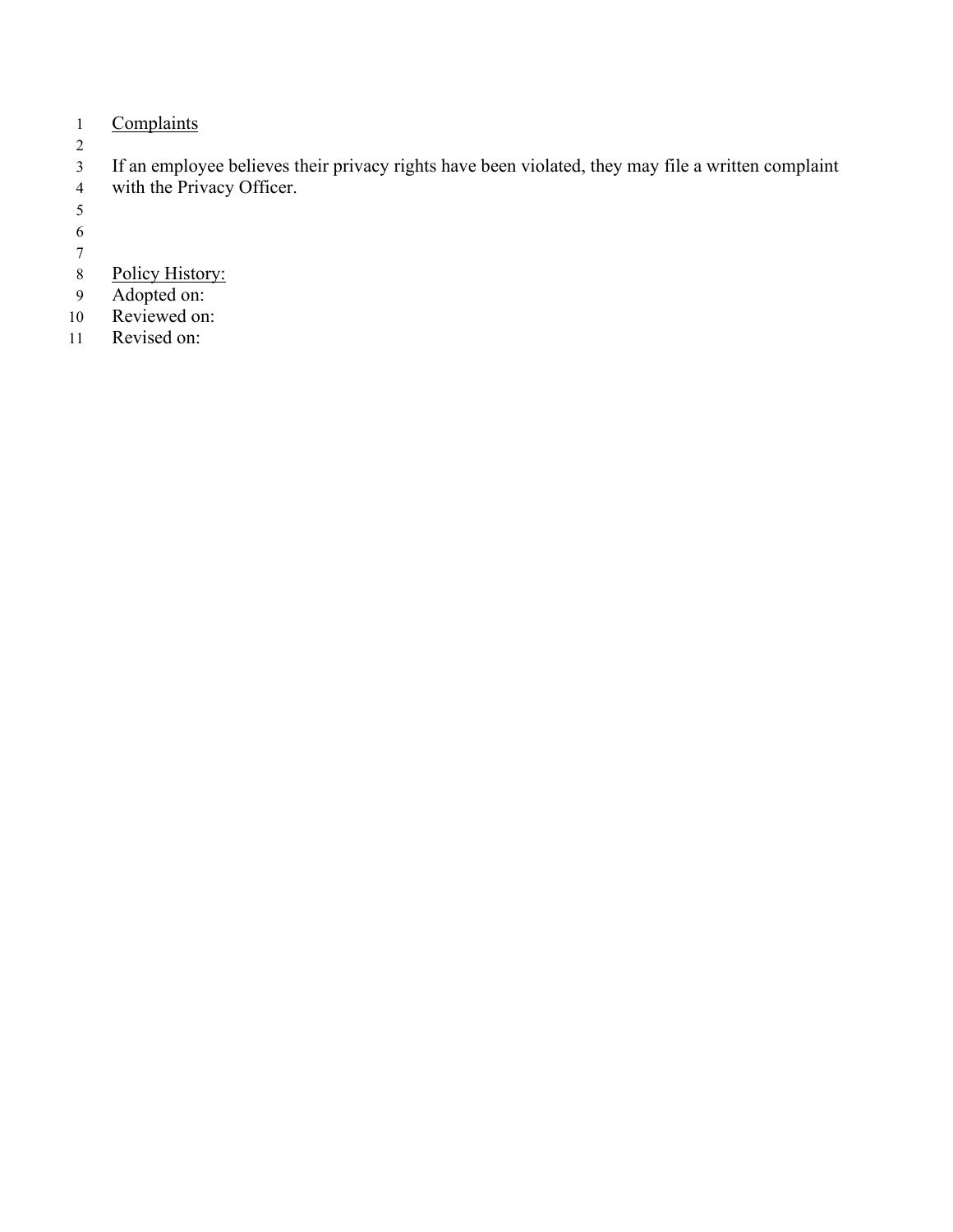- 1 Complaints
- $\begin{array}{c} 2 \\ 3 \end{array}$

3 If an employee believes their privacy rights have been violated, they may file a written complaint 4 with the Privacy Officer.

- 5
- 6
- 7
- 8 Policy History:
- 9 Adopted on:
- 10 Reviewed on:
- 11 Revised on: